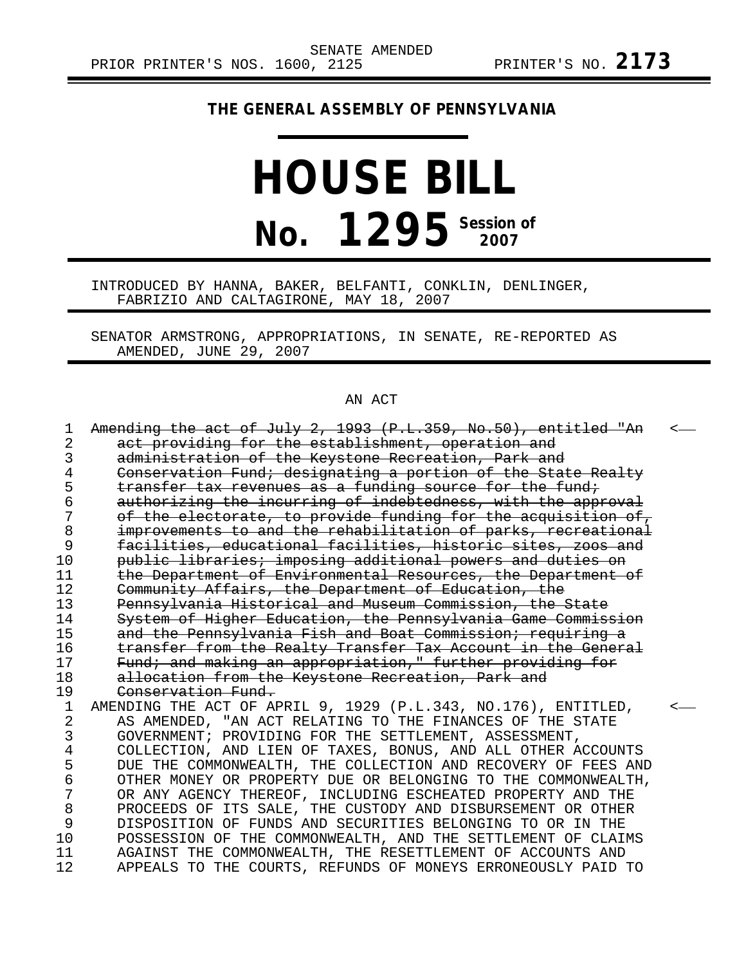## **THE GENERAL ASSEMBLY OF PENNSYLVANIA**

# **HOUSE BILL No. 1295** Session of

INTRODUCED BY HANNA, BAKER, BELFANTI, CONKLIN, DENLINGER, FABRIZIO AND CALTAGIRONE, MAY 18, 2007

SENATOR ARMSTRONG, APPROPRIATIONS, IN SENATE, RE-REPORTED AS AMENDED, JUNE 29, 2007

#### AN ACT

| 1  | Amending the act of July 2, 1993 (P.L.359, No.50), entitled "An | ≺ |
|----|-----------------------------------------------------------------|---|
| 2  | act providing for the establishment, operation and              |   |
| 3  | administration of the Keystone Recreation, Park and             |   |
| 4  | Conservation Fund; designating a portion of the State Realty    |   |
| 5  | transfer tax revenues as a funding source for the fund;         |   |
| б  | authorizing the incurring of indebtedness, with the approval    |   |
| 7  | of the electorate, to provide funding for the acquisition of,   |   |
| 8  | improvements to and the rehabilitation of parks, recreational   |   |
| 9  | facilities, educational facilities, historic sites, zoos and    |   |
| 10 | public libraries; imposing additional powers and duties on      |   |
| 11 | the Department of Environmental Resources, the Department of    |   |
| 12 | Community Affairs, the Department of Education, the             |   |
| 13 | Pennsylvania Historical and Museum Commission, the State        |   |
| 14 | System of Higher Education, the Pennsylvania Game Commission    |   |
| 15 | and the Pennsylvania Fish and Boat Commission; requiring a      |   |
| 16 | transfer from the Realty Transfer Tax Account in the General    |   |
| 17 | Fund; and making an appropriation," further providing for       |   |
| 18 | allocation from the Keystone Recreation, Park and               |   |
| 19 | Conservation Fund.                                              |   |
| 1  | AMENDING THE ACT OF APRIL 9, 1929 (P.L.343, NO.176), ENTITLED,  |   |
| 2  | AS AMENDED, "AN ACT RELATING TO THE FINANCES OF THE STATE       |   |
| 3  | GOVERNMENT; PROVIDING FOR THE SETTLEMENT, ASSESSMENT,           |   |
| 4  | COLLECTION, AND LIEN OF TAXES, BONUS, AND ALL OTHER ACCOUNTS    |   |
| 5  | DUE THE COMMONWEALTH, THE COLLECTION AND RECOVERY OF FEES AND   |   |
| 6  | OTHER MONEY OR PROPERTY DUE OR BELONGING TO THE COMMONWEALTH,   |   |
| 7  | OR ANY AGENCY THEREOF, INCLUDING ESCHEATED PROPERTY AND THE     |   |
| 8  | PROCEEDS OF ITS SALE, THE CUSTODY AND DISBURSEMENT OR OTHER     |   |
| 9  | DISPOSITION OF FUNDS AND SECURITIES BELONGING TO OR IN THE      |   |
| 10 | POSSESSION OF THE COMMONWEALTH, AND THE SETTLEMENT OF CLAIMS    |   |
| 11 | AGAINST THE COMMONWEALTH, THE RESETTLEMENT OF ACCOUNTS AND      |   |
| 12 | APPEALS TO THE COURTS, REFUNDS OF MONEYS ERRONEOUSLY PAID TO    |   |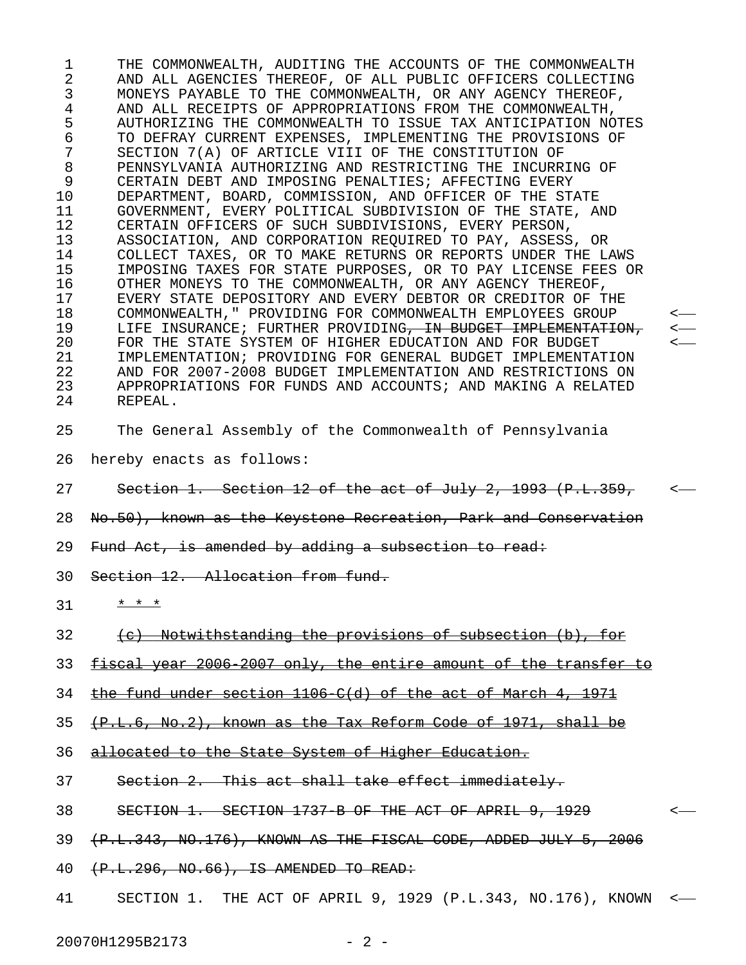1 THE COMMONWEALTH, AUDITING THE ACCOUNTS OF THE COMMONWEALTH 2 AND ALL AGENCIES THEREOF, OF ALL PUBLIC OFFICERS COLLECTING 3 MONEYS PAYABLE TO THE COMMONWEALTH, OR ANY AGENCY THEREOF, 4 AND ALL RECEIPTS OF APPROPRIATIONS FROM THE COMMONWEALTH, 5 AUTHORIZING THE COMMONWEALTH TO ISSUE TAX ANTICIPATION NOTES 6 TO DEFRAY CURRENT EXPENSES, IMPLEMENTING THE PROVISIONS OF 7 SECTION 7(A) OF ARTICLE VIII OF THE CONSTITUTION OF 8 PENNSYLVANIA AUTHORIZING AND RESTRICTING THE INCURRING OF 9 CERTAIN DEBT AND IMPOSING PENALTIES; AFFECTING EVERY 10 DEPARTMENT, BOARD, COMMISSION, AND OFFICER OF THE STATE 11 GOVERNMENT, EVERY POLITICAL SUBDIVISION OF THE STATE, AND 12 CERTAIN OFFICERS OF SUCH SUBDIVISIONS, EVERY PERSON, 13 ASSOCIATION, AND CORPORATION REQUIRED TO PAY, ASSESS, OR 14 COLLECT TAXES, OR TO MAKE RETURNS OR REPORTS UNDER THE LAWS 15 IMPOSING TAXES FOR STATE PURPOSES, OR TO PAY LICENSE FEES OR 16 OTHER MONEYS TO THE COMMONWEALTH, OR ANY AGENCY THEREOF, 17 EVERY STATE DEPOSITORY AND EVERY DEBTOR OR CREDITOR OF THE 18 COMMONWEALTH," PROVIDING FOR COMMONWEALTH EMPLOYEES GROUP < 19 LIFE INSURANCE; FURTHER PROVIDING<del>, IN BUDGET IMPLEMENTATION, <--</del><br>20 FOR THE STATE SYSTEM OF HIGHER EDUCATION AND FOR BUDGET <--FOR THE STATE SYSTEM OF HIGHER EDUCATION AND FOR BUDGET 21 IMPLEMENTATION; PROVIDING FOR GENERAL BUDGET IMPLEMENTATION 22 AND FOR 2007-2008 BUDGET IMPLEMENTATION AND RESTRICTIONS ON 23 APPROPRIATIONS FOR FUNDS AND ACCOUNTS; AND MAKING A RELATED 24 REPEAL. 25 The General Assembly of the Commonwealth of Pennsylvania 26 hereby enacts as follows:

- 27 Section 1. Section 12 of the act of July 2, 1993 (P.L.359, <-
- 28 No.50), known as the Keystone Recreation, Park and Conservation
- 29 Fund Act, is amended by adding a subsection to read:
- 30 Section 12. Allocation from fund.
- $31 + x + x$
- 32 (c) Notwithstanding the provisions of subsection (b), for
- 33 fiscal year 2006 2007 only, the entire amount of the transfer to
- 34 the fund under section 1106 C(d) of the act of March 4, 1971
- $35$   $(+P.L.6, No.2)$ , known as the Tax Reform Code of 1971, shall be
- 36 allocated to the State System of Higher Education.
- 37 Section 2. This act shall take effect immediately.
- 38 SECTION 1. SECTION 1737 B OF THE ACT OF APRIL 9, 1929 <-
- 39 (P.L.343, NO.176), KNOWN AS THE FISCAL CODE, ADDED JULY 5, 2006
- 40 (P.L.296, NO.66), IS AMENDED TO READ:
- 41 SECTION 1. THE ACT OF APRIL 9, 1929 (P.L.343, NO.176), KNOWN <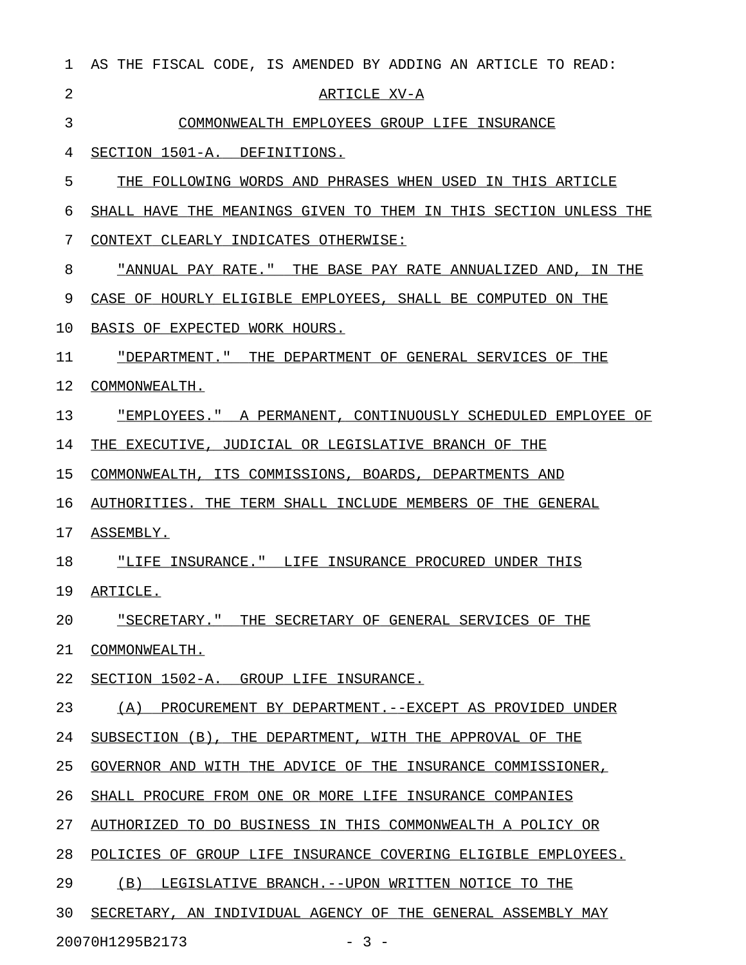| $\mathbf{1}$   | AS THE FISCAL CODE, IS AMENDED BY ADDING AN ARTICLE TO READ:     |
|----------------|------------------------------------------------------------------|
| $\overline{a}$ | ARTICLE XV-A                                                     |
| 3              | COMMONWEALTH EMPLOYEES GROUP LIFE INSURANCE                      |
| 4              | SECTION 1501-A. DEFINITIONS.                                     |
| 5              | THE FOLLOWING WORDS AND PHRASES WHEN USED IN THIS ARTICLE        |
| 6              | SHALL HAVE THE MEANINGS GIVEN TO THEM IN THIS SECTION UNLESS THE |
| 7              | CONTEXT CLEARLY INDICATES OTHERWISE:                             |
| 8              | "ANNUAL PAY RATE." THE BASE PAY RATE ANNUALIZED AND, IN THE      |
| 9              | CASE OF HOURLY ELIGIBLE EMPLOYEES, SHALL BE COMPUTED ON THE      |
| 10             | BASIS OF EXPECTED WORK HOURS.                                    |
| 11             | "DEPARTMENT." THE DEPARTMENT OF GENERAL SERVICES OF THE          |
| 12             | COMMONWEALTH.                                                    |
| 13             | "EMPLOYEES." A PERMANENT, CONTINUOUSLY SCHEDULED EMPLOYEE OF     |
| 14             | THE EXECUTIVE, JUDICIAL OR LEGISLATIVE BRANCH OF THE             |
| 15             | COMMONWEALTH, ITS COMMISSIONS, BOARDS, DEPARTMENTS AND           |
| 16             | AUTHORITIES. THE TERM SHALL INCLUDE MEMBERS OF THE GENERAL       |
| 17             | ASSEMBLY.                                                        |
| 18             | "LIFE INSURANCE." LIFE INSURANCE PROCURED UNDER THIS             |
| 19             | ARTICLE.                                                         |
| 20             | "SECRETARY." THE SECRETARY OF GENERAL SERVICES OF THE            |
| 21             | COMMONWEALTH.                                                    |
| 22             | SECTION 1502-A. GROUP LIFE INSURANCE.                            |
| 23             | (A) PROCUREMENT BY DEPARTMENT.--EXCEPT AS PROVIDED UNDER         |
| 24             | SUBSECTION (B), THE DEPARTMENT, WITH THE APPROVAL OF THE         |
| 25             | GOVERNOR AND WITH THE ADVICE OF THE INSURANCE COMMISSIONER,      |
| 26             | SHALL PROCURE FROM ONE OR MORE LIFE INSURANCE COMPANIES          |
| 27             | AUTHORIZED TO DO BUSINESS IN THIS COMMONWEALTH A POLICY OR       |
| 28             | POLICIES OF GROUP LIFE INSURANCE COVERING ELIGIBLE EMPLOYEES.    |
| 29             | (B) LEGISLATIVE BRANCH.--UPON WRITTEN NOTICE TO THE              |
| 30             | SECRETARY, AN INDIVIDUAL AGENCY OF THE GENERAL ASSEMBLY MAY      |
|                | 20070H1295B2173<br>$-3 -$                                        |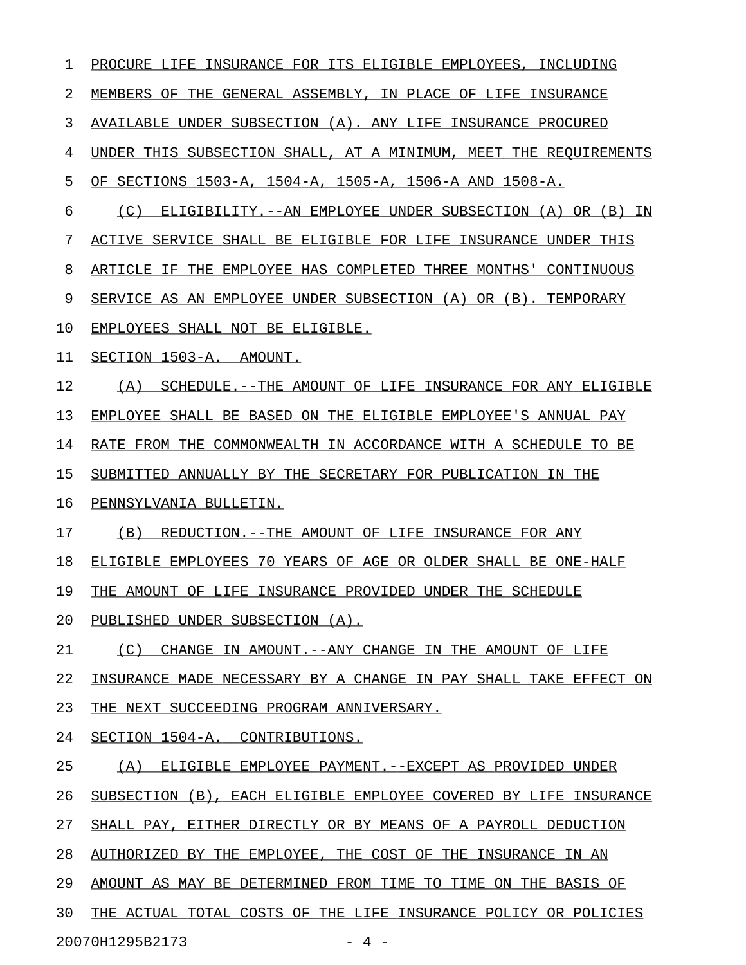1 PROCURE LIFE INSURANCE FOR ITS ELIGIBLE EMPLOYEES, INCLUDING 2 MEMBERS OF THE GENERAL ASSEMBLY, IN PLACE OF LIFE INSURANCE 3 AVAILABLE UNDER SUBSECTION (A). ANY LIFE INSURANCE PROCURED 4 UNDER THIS SUBSECTION SHALL, AT A MINIMUM, MEET THE REQUIREMENTS 5 OF SECTIONS 1503-A, 1504-A, 1505-A, 1506-A AND 1508-A. 6 (C) ELIGIBILITY.--AN EMPLOYEE UNDER SUBSECTION (A) OR (B) IN 7 ACTIVE SERVICE SHALL BE ELIGIBLE FOR LIFE INSURANCE UNDER THIS 8 ARTICLE IF THE EMPLOYEE HAS COMPLETED THREE MONTHS' CONTINUOUS 9 SERVICE AS AN EMPLOYEE UNDER SUBSECTION (A) OR (B). TEMPORARY 10 EMPLOYEES SHALL NOT BE ELIGIBLE. 11 SECTION 1503-A. AMOUNT. 12 (A) SCHEDULE.--THE AMOUNT OF LIFE INSURANCE FOR ANY ELIGIBLE 13 EMPLOYEE SHALL BE BASED ON THE ELIGIBLE EMPLOYEE'S ANNUAL PAY 14 RATE FROM THE COMMONWEALTH IN ACCORDANCE WITH A SCHEDULE TO BE 15 SUBMITTED ANNUALLY BY THE SECRETARY FOR PUBLICATION IN THE 16 PENNSYLVANIA BULLETIN. 17 (B) REDUCTION.--THE AMOUNT OF LIFE INSURANCE FOR ANY 18 ELIGIBLE EMPLOYEES 70 YEARS OF AGE OR OLDER SHALL BE ONE-HALF 19 THE AMOUNT OF LIFE INSURANCE PROVIDED UNDER THE SCHEDULE 20 PUBLISHED UNDER SUBSECTION (A). 21 (C) CHANGE IN AMOUNT. --ANY CHANGE IN THE AMOUNT OF LIFE 22 INSURANCE MADE NECESSARY BY A CHANGE IN PAY SHALL TAKE EFFECT ON 23 THE NEXT SUCCEEDING PROGRAM ANNIVERSARY. 24 SECTION 1504-A. CONTRIBUTIONS. 25 (A) ELIGIBLE EMPLOYEE PAYMENT.--EXCEPT AS PROVIDED UNDER 26 SUBSECTION (B), EACH ELIGIBLE EMPLOYEE COVERED BY LIFE INSURANCE 27 SHALL PAY, EITHER DIRECTLY OR BY MEANS OF A PAYROLL DEDUCTION 28 AUTHORIZED BY THE EMPLOYEE, THE COST OF THE INSURANCE IN AN 29 AMOUNT AS MAY BE DETERMINED FROM TIME TO TIME ON THE BASIS OF 30 THE ACTUAL TOTAL COSTS OF THE LIFE INSURANCE POLICY OR POLICIES 20070H1295B2173 - 4 -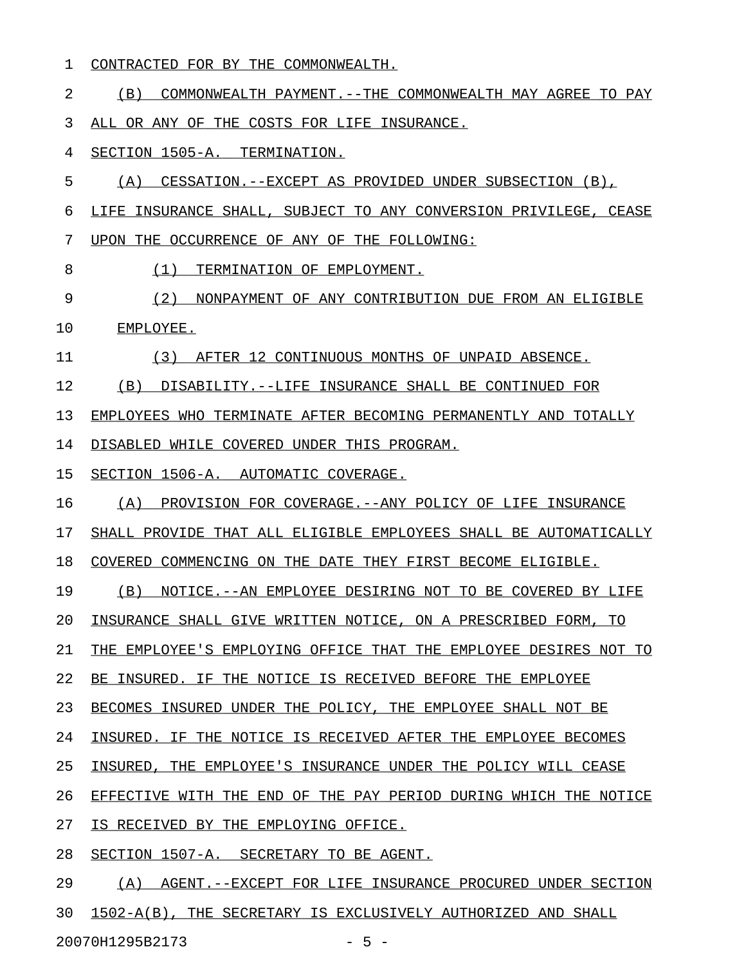|  |  | CONTRACTED FOR BY THE COMMONWEALTH. |
|--|--|-------------------------------------|
|  |  |                                     |

2 (B) COMMONWEALTH PAYMENT. -- THE COMMONWEALTH MAY AGREE TO PAY 3 ALL OR ANY OF THE COSTS FOR LIFE INSURANCE. 4 SECTION 1505-A. TERMINATION. 5 (A) CESSATION.--EXCEPT AS PROVIDED UNDER SUBSECTION (B), 6 LIFE INSURANCE SHALL, SUBJECT TO ANY CONVERSION PRIVILEGE, CEASE 7 UPON THE OCCURRENCE OF ANY OF THE FOLLOWING: 8 (1) TERMINATION OF EMPLOYMENT. 9 (2) NONPAYMENT OF ANY CONTRIBUTION DUE FROM AN ELIGIBLE 10 EMPLOYEE. 11 (3) AFTER 12 CONTINUOUS MONTHS OF UNPAID ABSENCE. 12 (B) DISABILITY.--LIFE INSURANCE SHALL BE CONTINUED FOR 13 EMPLOYEES WHO TERMINATE AFTER BECOMING PERMANENTLY AND TOTALLY 14 DISABLED WHILE COVERED UNDER THIS PROGRAM. 15 SECTION 1506-A. AUTOMATIC COVERAGE. 16 (A) PROVISION FOR COVERAGE.--ANY POLICY OF LIFE INSURANCE 17 SHALL PROVIDE THAT ALL ELIGIBLE EMPLOYEES SHALL BE AUTOMATICALLY 18 COVERED COMMENCING ON THE DATE THEY FIRST BECOME ELIGIBLE. 19 (B) NOTICE.--AN EMPLOYEE DESIRING NOT TO BE COVERED BY LIFE 20 INSURANCE SHALL GIVE WRITTEN NOTICE, ON A PRESCRIBED FORM, TO 21 THE EMPLOYEE'S EMPLOYING OFFICE THAT THE EMPLOYEE DESIRES NOT TO 22 BE INSURED. IF THE NOTICE IS RECEIVED BEFORE THE EMPLOYEE 23 BECOMES INSURED UNDER THE POLICY, THE EMPLOYEE SHALL NOT BE 24 INSURED. IF THE NOTICE IS RECEIVED AFTER THE EMPLOYEE BECOMES 25 INSURED, THE EMPLOYEE'S INSURANCE UNDER THE POLICY WILL CEASE 26 EFFECTIVE WITH THE END OF THE PAY PERIOD DURING WHICH THE NOTICE 27 IS RECEIVED BY THE EMPLOYING OFFICE. 28 SECTION 1507-A. SECRETARY TO BE AGENT. 29 (A) AGENT.--EXCEPT FOR LIFE INSURANCE PROCURED UNDER SECTION 30 1502-A(B), THE SECRETARY IS EXCLUSIVELY AUTHORIZED AND SHALL

20070H1295B2173 - 5 -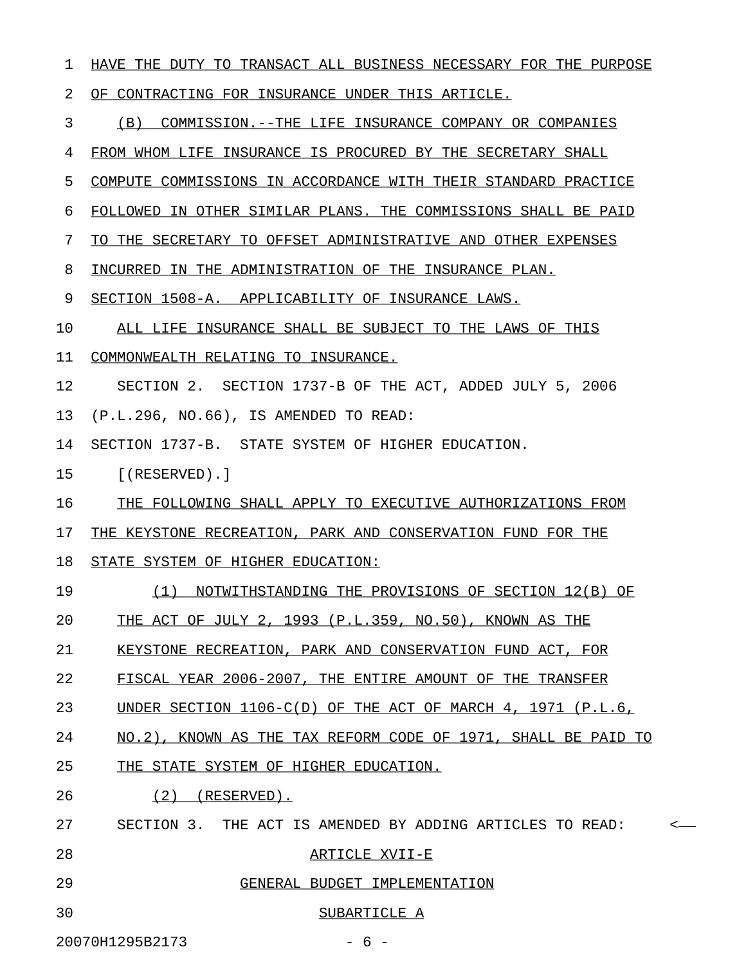| 1  | HAVE THE DUTY TO TRANSACT ALL BUSINESS NECESSARY FOR THE PURPOSE |         |
|----|------------------------------------------------------------------|---------|
| 2  | OF CONTRACTING FOR INSURANCE UNDER THIS ARTICLE.                 |         |
| 3  | (B)<br>COMMISSION.--THE LIFE INSURANCE COMPANY OR COMPANIES      |         |
| 4  | FROM WHOM LIFE INSURANCE IS PROCURED BY THE SECRETARY SHALL      |         |
| 5  | COMPUTE COMMISSIONS IN ACCORDANCE WITH THEIR STANDARD PRACTICE   |         |
| 6  | FOLLOWED IN OTHER SIMILAR PLANS. THE COMMISSIONS SHALL BE PAID   |         |
| 7  | TO THE SECRETARY TO OFFSET ADMINISTRATIVE AND OTHER EXPENSES     |         |
| 8  | INCURRED IN THE ADMINISTRATION OF THE INSURANCE PLAN.            |         |
| 9  | SECTION 1508-A. APPLICABILITY OF INSURANCE LAWS.                 |         |
| 10 | ALL LIFE INSURANCE SHALL BE SUBJECT TO THE LAWS OF THIS          |         |
| 11 | COMMONWEALTH RELATING TO INSURANCE.                              |         |
| 12 | SECTION 2. SECTION 1737-B OF THE ACT, ADDED JULY 5, 2006         |         |
| 13 | (P.L.296, NO.66), IS AMENDED TO READ:                            |         |
| 14 | SECTION 1737-B. STATE SYSTEM OF HIGHER EDUCATION.                |         |
| 15 | $[$ (RESERVED).]                                                 |         |
| 16 | THE FOLLOWING SHALL APPLY TO EXECUTIVE AUTHORIZATIONS FROM       |         |
| 17 | THE KEYSTONE RECREATION, PARK AND CONSERVATION FUND FOR THE      |         |
| 18 | STATE SYSTEM OF HIGHER EDUCATION:                                |         |
| 19 | NOTWITHSTANDING THE PROVISIONS OF SECTION 12(B) OF<br>(1)        |         |
| 20 | THE ACT OF JULY 2, 1993 (P.L.359, NO.50), KNOWN AS THE           |         |
| 21 | KEYSTONE RECREATION, PARK AND CONSERVATION FUND ACT, FOR         |         |
| 22 | FISCAL YEAR 2006-2007, THE ENTIRE AMOUNT OF THE TRANSFER         |         |
| 23 | UNDER SECTION 1106-C(D) OF THE ACT OF MARCH 4, 1971 (P.L.6,      |         |
| 24 | NO.2), KNOWN AS THE TAX REFORM CODE OF 1971, SHALL BE PAID TO    |         |
| 25 | THE STATE SYSTEM OF HIGHER EDUCATION.                            |         |
| 26 | (2)<br>(RESERVED).                                               |         |
| 27 | SECTION 3. THE ACT IS AMENDED BY ADDING ARTICLES TO READ:        | $\,<\,$ |
| 28 | ARTICLE XVII-E                                                   |         |
| 29 | GENERAL BUDGET IMPLEMENTATION                                    |         |
| 30 | SUBARTICLE A                                                     |         |
|    | 20070H1295B2173<br>$-6-$                                         |         |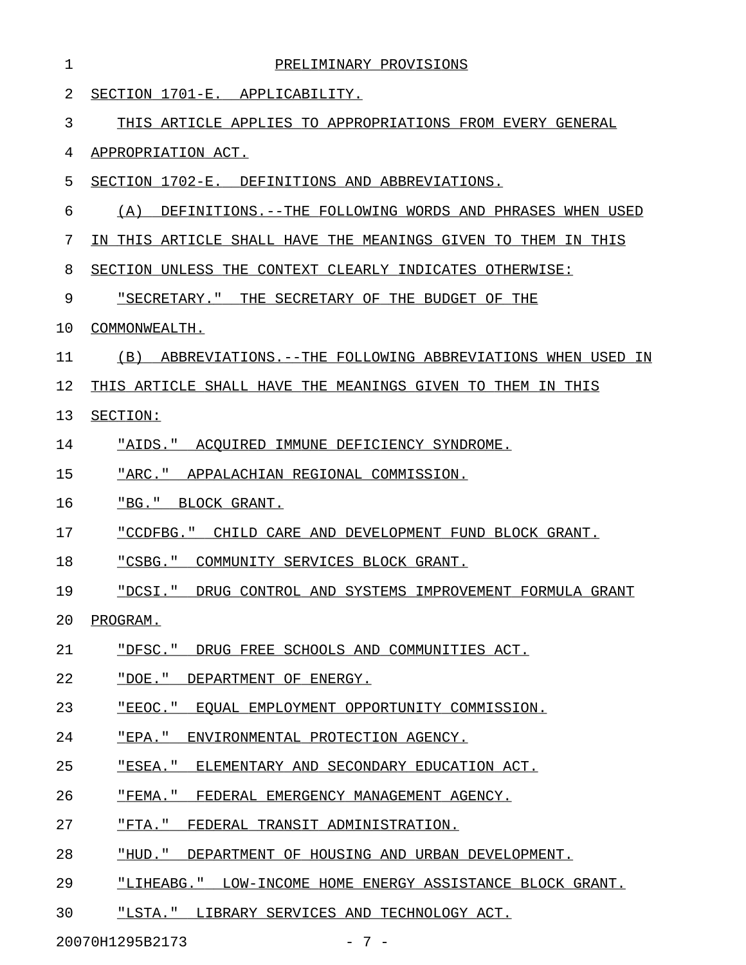| ı  | PRELIMINARY PROVISIONS                                         |
|----|----------------------------------------------------------------|
| 2  | SECTION 1701-E. APPLICABILITY.                                 |
| 3  | THIS ARTICLE APPLIES TO APPROPRIATIONS FROM EVERY GENERAL      |
| 4  | APPROPRIATION ACT.                                             |
| 5  | SECTION 1702-E. DEFINITIONS AND ABBREVIATIONS.                 |
| 6  | (A)<br>DEFINITIONS.--THE FOLLOWING WORDS AND PHRASES WHEN USED |
| 7  | IN THIS ARTICLE SHALL HAVE THE MEANINGS GIVEN TO THEM IN THIS  |
| 8  | SECTION UNLESS THE CONTEXT CLEARLY INDICATES OTHERWISE:        |
| 9  | "SECRETARY." THE SECRETARY OF THE BUDGET OF THE                |
| 10 | COMMONWEALTH.                                                  |
| 11 | (B) ABBREVIATIONS.--THE FOLLOWING ABBREVIATIONS WHEN USED IN   |
| 12 | THIS ARTICLE SHALL HAVE THE MEANINGS GIVEN TO THEM IN THIS     |
| 13 | SECTION:                                                       |
| 14 | "AIDS." ACQUIRED IMMUNE DEFICIENCY SYNDROME.                   |
| 15 | "ARC." APPALACHIAN REGIONAL COMMISSION.                        |
| 16 | "BG." BLOCK GRANT.                                             |
| 17 | "CCDFBG." CHILD CARE AND DEVELOPMENT FUND BLOCK GRANT.         |
| 18 | "CSBG." COMMUNITY SERVICES BLOCK GRANT.                        |
| 19 | "DCSI." DRUG CONTROL AND SYSTEMS IMPROVEMENT FORMULA GRANT     |
| 20 | PROGRAM.                                                       |
| 21 | "DFSC." DRUG FREE SCHOOLS AND COMMUNITIES ACT.                 |
| 22 | "DOE." DEPARTMENT OF ENERGY.                                   |
| 23 | "EEOC." EOUAL EMPLOYMENT OPPORTUNITY COMMISSION.               |
| 24 | "EPA." ENVIRONMENTAL PROTECTION AGENCY.                        |
| 25 | "ESEA." ELEMENTARY AND SECONDARY EDUCATION ACT.                |
| 26 | "FEMA." FEDERAL EMERGENCY MANAGEMENT AGENCY.                   |
| 27 | "FTA." FEDERAL TRANSIT ADMINISTRATION.                         |
| 28 | "HUD." DEPARTMENT OF HOUSING AND URBAN DEVELOPMENT.            |
| 29 | "LIHEABG." LOW-INCOME HOME ENERGY ASSISTANCE BLOCK GRANT.      |
|    |                                                                |

30 "LSTA." LIBRARY SERVICES AND TECHNOLOGY ACT.

20070H1295B2173 - 7 -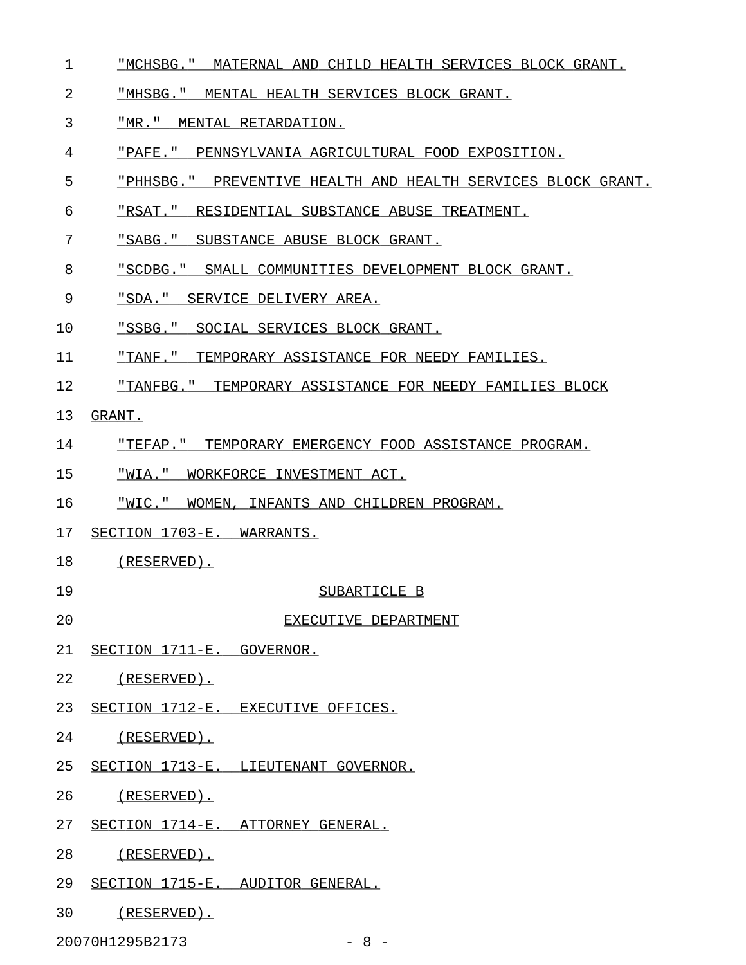- 1 "MCHSBG." MATERNAL AND CHILD HEALTH SERVICES BLOCK GRANT.
- 2 "MHSBG." MENTAL HEALTH SERVICES BLOCK GRANT.
- 3 "MR." MENTAL RETARDATION.
- 4 "PAFE." PENNSYLVANIA AGRICULTURAL FOOD EXPOSITION.
- 5 "PHHSBG." PREVENTIVE HEALTH AND HEALTH SERVICES BLOCK GRANT.
- 6 "RSAT." RESIDENTIAL SUBSTANCE ABUSE TREATMENT.
- 7 "SABG." SUBSTANCE ABUSE BLOCK GRANT.
- 8 "SCDBG." SMALL COMMUNITIES DEVELOPMENT BLOCK GRANT.
- 9 "SDA." SERVICE DELIVERY AREA.
- 10 "SSBG." SOCIAL SERVICES BLOCK GRANT.
- 11 "TANF." TEMPORARY ASSISTANCE FOR NEEDY FAMILIES.
- 12 "TANFBG." TEMPORARY ASSISTANCE FOR NEEDY FAMILIES BLOCK
- 13 GRANT.
- 14 "TEFAP." TEMPORARY EMERGENCY FOOD ASSISTANCE PROGRAM.
- 15 "WIA." WORKFORCE INVESTMENT ACT.
- 16 "WIC." WOMEN, INFANTS AND CHILDREN PROGRAM.
- 17 SECTION 1703-E. WARRANTS.
- 18 (RESERVED).
- 
- 19 SUBARTICLE B
- 20 EXECUTIVE DEPARTMENT
- 21 SECTION 1711-E. GOVERNOR.
- 22 (RESERVED).
- 23 SECTION 1712-E. EXECUTIVE OFFICES.
- 24 (RESERVED).
- 25 SECTION 1713-E. LIEUTENANT GOVERNOR.
- 26 (RESERVED).
- 27 SECTION 1714-E. ATTORNEY GENERAL.
- 28 (RESERVED).
- 29 SECTION 1715-E. AUDITOR GENERAL.
- 30 (RESERVED).

20070H1295B2173 - 8 -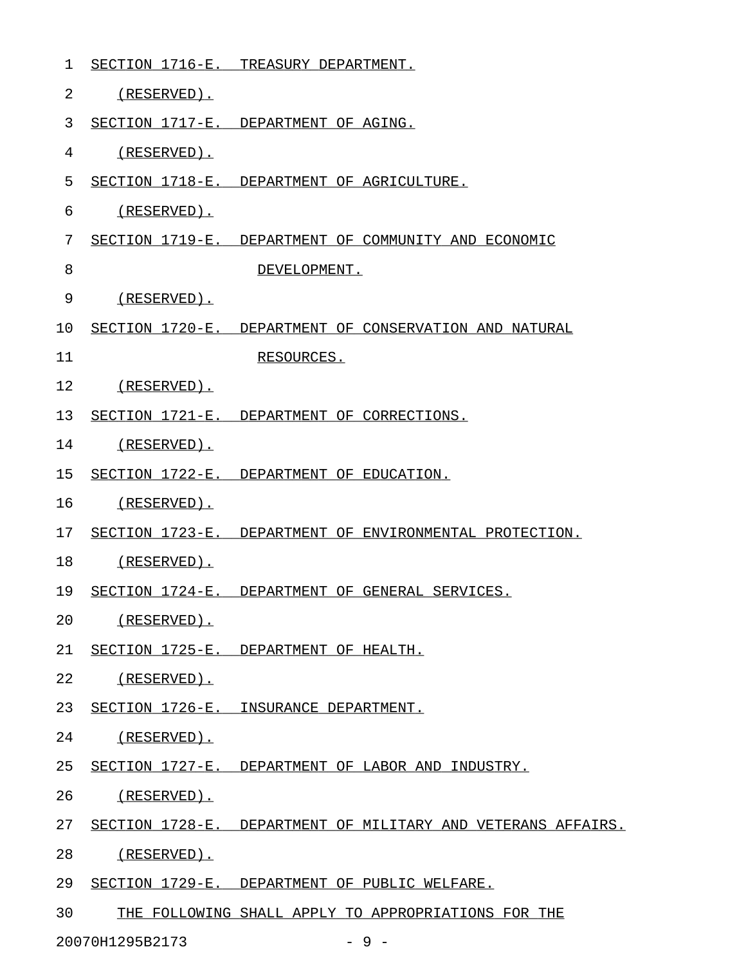| 1  | SECTION 1716-E. | TREASURY DEPARTMENT.                                         |
|----|-----------------|--------------------------------------------------------------|
| 2  | (RESERVED).     |                                                              |
| 3  |                 | SECTION 1717-E. DEPARTMENT OF AGING.                         |
| 4  | $(RESERVED)$ .  |                                                              |
| 5  |                 | SECTION 1718-E. DEPARTMENT OF AGRICULTURE.                   |
| 6  | (RESERVED).     |                                                              |
| 7  |                 | SECTION 1719-E. DEPARTMENT OF COMMUNITY AND ECONOMIC         |
| 8  |                 | DEVELOPMENT.                                                 |
| 9  | (RESERVED).     |                                                              |
| 10 |                 | SECTION 1720-E. DEPARTMENT OF CONSERVATION AND NATURAL       |
| 11 |                 | RESOURCES.                                                   |
| 12 | $(RESERVED)$ .  |                                                              |
| 13 |                 | SECTION 1721-E. DEPARTMENT OF CORRECTIONS.                   |
| 14 | $(RESERVED)$ .  |                                                              |
| 15 |                 | SECTION 1722-E. DEPARTMENT OF EDUCATION.                     |
| 16 | $(RESERVED)$ .  |                                                              |
| 17 |                 | SECTION 1723-E. DEPARTMENT OF ENVIRONMENTAL PROTECTION.      |
| 18 | (RESERVED).     |                                                              |
| 19 |                 | SECTION 1724-E. DEPARTMENT OF GENERAL SERVICES.              |
| 20 | (RESERVED).     |                                                              |
| 21 |                 | SECTION 1725-E. DEPARTMENT OF HEALTH.                        |
| 22 | (RESERVED).     |                                                              |
| 23 |                 | SECTION 1726-E. INSURANCE DEPARTMENT.                        |
| 24 | $(RESERVED)$ .  |                                                              |
| 25 |                 | SECTION 1727-E. DEPARTMENT OF LABOR AND INDUSTRY.            |
| 26 | (RESERVED).     |                                                              |
| 27 |                 | SECTION 1728-E. DEPARTMENT OF MILITARY AND VETERANS AFFAIRS. |
| 28 | (RESERVED).     |                                                              |
| 29 |                 | SECTION 1729-E. DEPARTMENT OF PUBLIC WELFARE.                |
| 30 |                 | THE FOLLOWING SHALL APPLY TO APPROPRIATIONS FOR THE          |

20070H1295B2173 - 9 -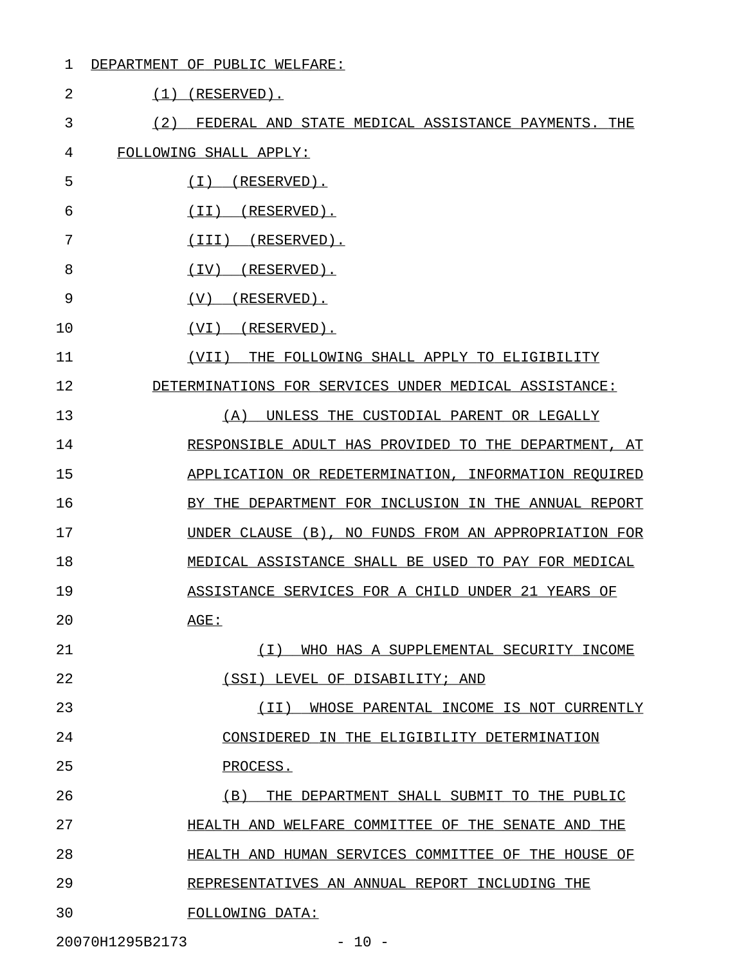#### 1 DEPARTMENT OF PUBLIC WELFARE:

| $\overline{2}$  | $(1)$ (RESERVED).                                     |
|-----------------|-------------------------------------------------------|
| 3<br>(2)        | FEDERAL AND STATE MEDICAL ASSISTANCE PAYMENTS. THE    |
| 4               | FOLLOWING SHALL APPLY:                                |
| 5               | (RESERVED).<br>( I )                                  |
| 6               | (RESERVED).<br>(TI)                                   |
| 7               | (RESERVED).<br>(III)                                  |
| 8               | (RESERVED).<br>(IV)                                   |
| 9               | (RESERVED).<br>(V)                                    |
| 10              | (RESERVED).<br>(VI)                                   |
| 11              | THE FOLLOWING SHALL APPLY TO ELIGIBILITY<br>(VII)     |
| 12              | DETERMINATIONS FOR SERVICES UNDER MEDICAL ASSISTANCE: |
| 13              | UNLESS THE CUSTODIAL PARENT OR LEGALLY<br>(A)         |
| 14              | RESPONSIBLE ADULT HAS PROVIDED TO THE DEPARTMENT, AT  |
| 15              | APPLICATION OR REDETERMINATION, INFORMATION REQUIRED  |
| 16              | BY THE DEPARTMENT FOR INCLUSION IN THE ANNUAL REPORT  |
| 17              | UNDER CLAUSE (B), NO FUNDS FROM AN APPROPRIATION FOR  |
| 18              | MEDICAL ASSISTANCE SHALL BE USED TO PAY FOR MEDICAL   |
| 19              | ASSISTANCE SERVICES FOR A CHILD UNDER 21 YEARS OF     |
| 20              | AGE:                                                  |
| 21              | (T)<br>WHO HAS A SUPPLEMENTAL SECURITY INCOME         |
| 22              | (SSI) LEVEL OF DISABILITY; AND                        |
| 23              | (TT)<br>WHOSE PARENTAL INCOME IS NOT CURRENTLY        |
| 24              | CONSIDERED IN THE ELIGIBILITY DETERMINATION           |
| 25              | PROCESS.                                              |
| 26              | (B)<br>THE DEPARTMENT SHALL SUBMIT TO THE PUBLIC      |
| 27              | HEALTH AND WELFARE COMMITTEE OF THE SENATE AND THE    |
| 28              | HEALTH AND HUMAN SERVICES COMMITTEE OF THE HOUSE OF   |
| 29              | REPRESENTATIVES AN ANNUAL REPORT INCLUDING THE        |
| 30              | FOLLOWING DATA:                                       |
| 20070H1295B2173 | $-10 -$                                               |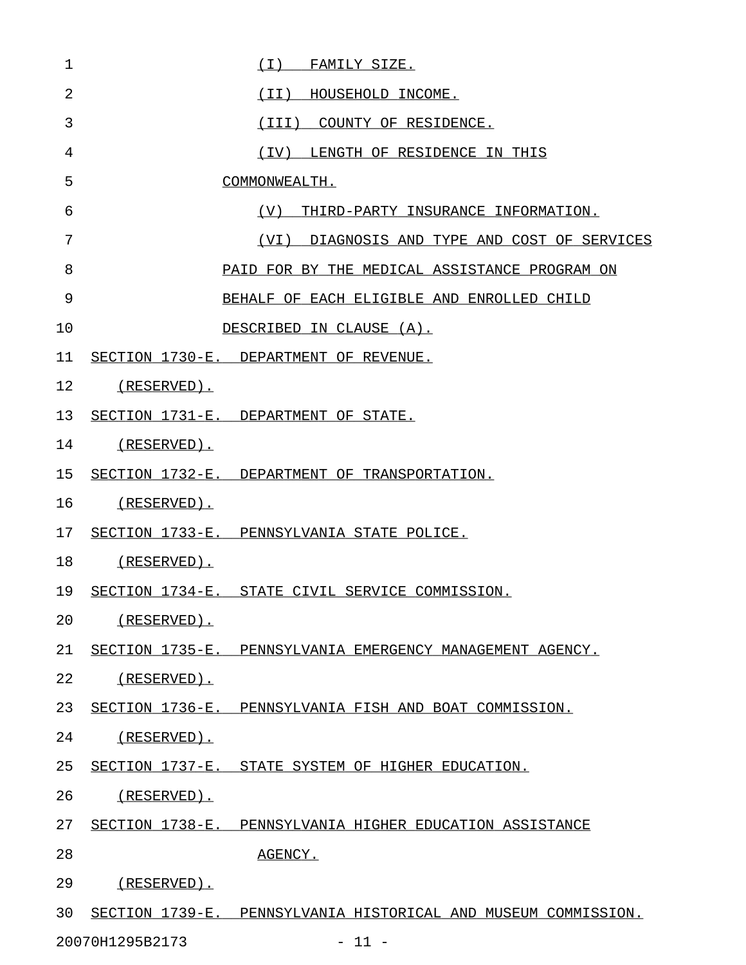| 1              | (I) FAMILY SIZE.                                               |
|----------------|----------------------------------------------------------------|
| $\overline{2}$ | (II) HOUSEHOLD INCOME.                                         |
| 3              | (III) COUNTY OF RESIDENCE.                                     |
| 4              | (IV) LENGTH OF RESIDENCE IN THIS                               |
| 5              | COMMONWEALTH.                                                  |
| 6              | (V) THIRD-PARTY INSURANCE INFORMATION.                         |
| 7              | (VI) DIAGNOSIS AND TYPE AND COST OF SERVICES                   |
| 8              | PAID FOR BY THE MEDICAL ASSISTANCE PROGRAM ON                  |
| 9              | BEHALF OF EACH ELIGIBLE AND ENROLLED CHILD                     |
| 10             | DESCRIBED IN CLAUSE (A).                                       |
| 11             | SECTION 1730-E. DEPARTMENT OF REVENUE.                         |
| 12             | (RESERVED).                                                    |
| 13             | SECTION 1731-E. DEPARTMENT OF STATE.                           |
| 14             | (RESERVED).                                                    |
| 15             | SECTION 1732-E. DEPARTMENT OF TRANSPORTATION.                  |
| 16             | (RESERVED).                                                    |
| 17             | SECTION 1733-E. PENNSYLVANIA STATE POLICE.                     |
| 18             | (RESERVED).                                                    |
| 19             | SECTION 1734-E. STATE CIVIL SERVICE COMMISSION.                |
| 20             | (RESERVED).                                                    |
| 21             | SECTION 1735-E. PENNSYLVANIA EMERGENCY MANAGEMENT AGENCY.      |
| 22             | (RESERVED).                                                    |
| 23             | SECTION 1736-E. PENNSYLVANIA FISH AND BOAT COMMISSION.         |
| 24             | $(RESERVED)$ .                                                 |
| 25             | SECTION 1737-E. STATE SYSTEM OF HIGHER EDUCATION.              |
| 26             | (RESERVED).                                                    |
| 27             | SECTION 1738-E. PENNSYLVANIA HIGHER EDUCATION ASSISTANCE       |
| 28             | AGENCY.                                                        |
| 29             | (RESERVED).                                                    |
| 30             | SECTION 1739-E. PENNSYLVANIA HISTORICAL AND MUSEUM COMMISSION. |
|                | 20070H1295B2173<br>$-11 -$                                     |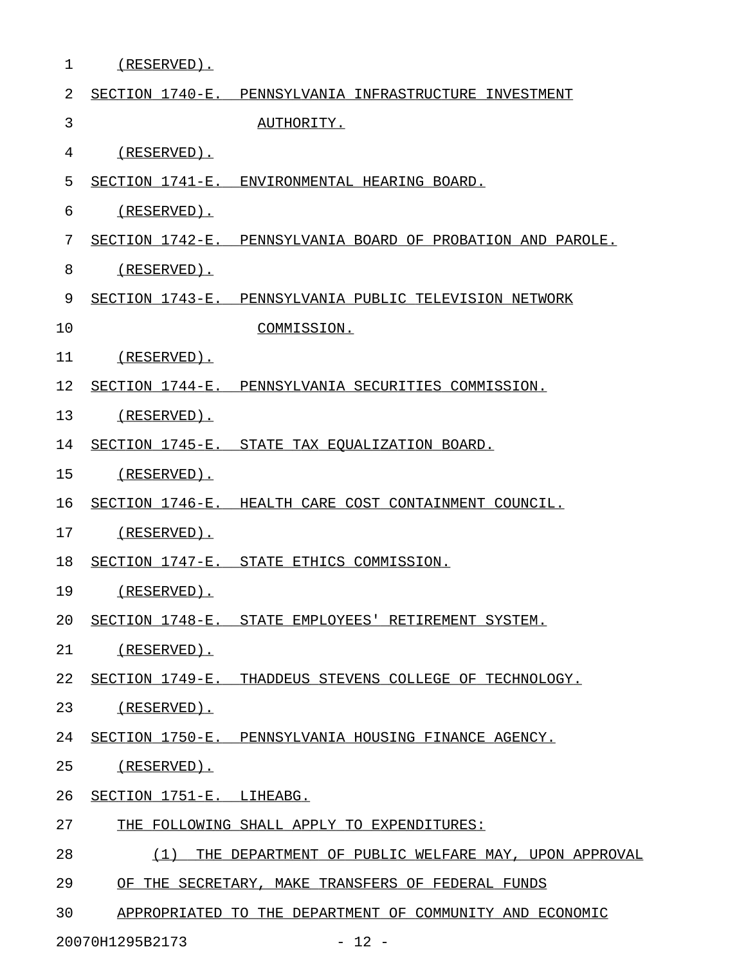| $\mathbf 1$ | (RESERVED).              |                                                             |
|-------------|--------------------------|-------------------------------------------------------------|
| 2           |                          | SECTION 1740-E. PENNSYLVANIA INFRASTRUCTURE INVESTMENT      |
| 3           |                          | AUTHORITY.                                                  |
| 4           | $(RESERVED)$ .           |                                                             |
| 5           |                          | SECTION 1741-E. ENVIRONMENTAL HEARING BOARD.                |
| 6           | (RESERVED).              |                                                             |
| 7           |                          | SECTION 1742-E. PENNSYLVANIA BOARD OF PROBATION AND PAROLE. |
| 8           | (RESERVED).              |                                                             |
| 9           |                          | SECTION 1743-E. PENNSYLVANIA PUBLIC TELEVISION NETWORK      |
| 10          |                          | COMMISSION.                                                 |
| 11          | (RESERVED).              |                                                             |
| 12          |                          | SECTION 1744-E. PENNSYLVANIA SECURITIES COMMISSION.         |
| 13          | (RESERVED).              |                                                             |
| 14          |                          | SECTION 1745-E. STATE TAX EQUALIZATION BOARD.               |
| 15          | (RESERVED).              |                                                             |
| 16          |                          | SECTION 1746-E. HEALTH CARE COST CONTAINMENT COUNCIL.       |
| 17          | $(RESERVED)$ .           |                                                             |
| 18          |                          | SECTION 1747-E. STATE ETHICS COMMISSION.                    |
| 19          | (RESERVED).              |                                                             |
| 20          |                          | SECTION 1748-E. STATE EMPLOYEES' RETIREMENT SYSTEM.         |
| 21          | (RESERVED).              |                                                             |
| 22          |                          | SECTION 1749-E. THADDEUS STEVENS COLLEGE OF TECHNOLOGY.     |
| 23          | (RESERVED).              |                                                             |
| 24          |                          | SECTION 1750-E. PENNSYLVANIA HOUSING FINANCE AGENCY.        |
| 25          | (RESERVED).              |                                                             |
| 26          | SECTION 1751-E. LIHEABG. |                                                             |
| 27          |                          | THE FOLLOWING SHALL APPLY TO EXPENDITURES:                  |
| 28          | (1)                      | THE DEPARTMENT OF PUBLIC WELFARE MAY, UPON APPROVAL         |
| 29          |                          | OF THE SECRETARY, MAKE TRANSFERS OF FEDERAL FUNDS           |
| 30          |                          | APPROPRIATED TO THE DEPARTMENT OF COMMUNITY AND ECONOMIC    |
|             | 20070H1295B2173          | $-12 -$                                                     |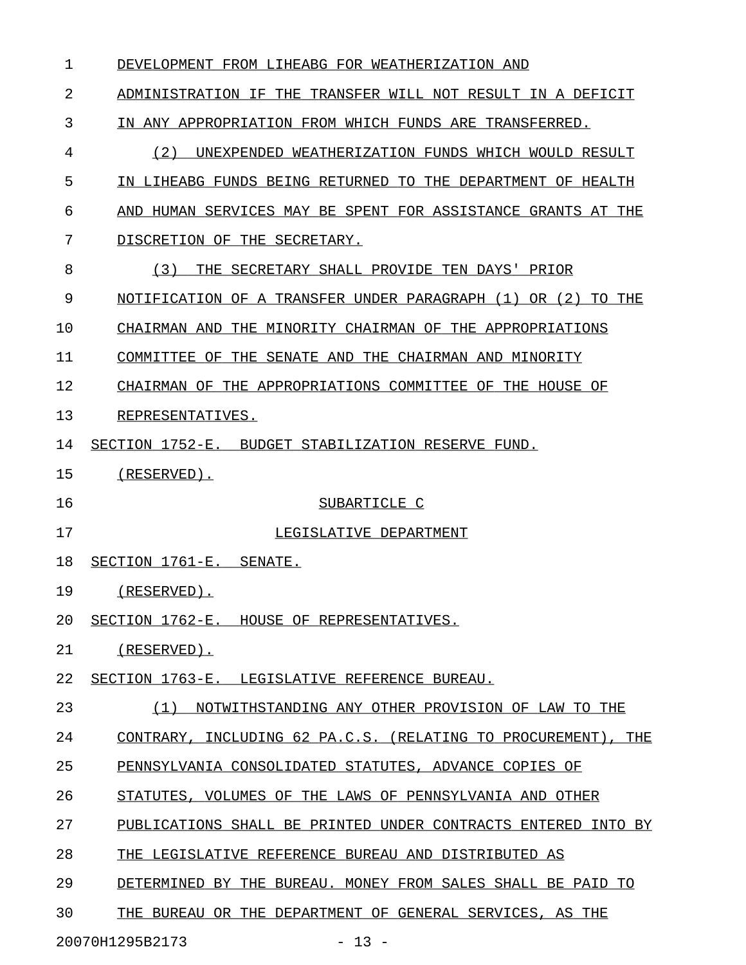| 1  | DEVELOPMENT FROM LIHEABG FOR WEATHERIZATION AND                 |
|----|-----------------------------------------------------------------|
| 2  | ADMINISTRATION IF THE TRANSFER WILL NOT RESULT IN A DEFICIT     |
| 3  | IN ANY APPROPRIATION FROM WHICH FUNDS ARE TRANSFERRED.          |
| 4  | (2)<br>UNEXPENDED WEATHERIZATION FUNDS WHICH WOULD RESULT       |
| 5  | IN LIHEABG FUNDS BEING RETURNED TO THE DEPARTMENT OF HEALTH     |
| 6  | AND HUMAN SERVICES MAY BE SPENT FOR ASSISTANCE GRANTS AT THE    |
| 7  | DISCRETION OF THE SECRETARY.                                    |
| 8  | (3)<br>THE SECRETARY SHALL PROVIDE TEN DAYS' PRIOR              |
| 9  | NOTIFICATION OF A TRANSFER UNDER PARAGRAPH (1) OR (2)<br>TO THE |
| 10 | CHAIRMAN AND THE MINORITY CHAIRMAN OF THE APPROPRIATIONS        |
| 11 | COMMITTEE OF THE SENATE AND THE CHAIRMAN AND MINORITY           |
| 12 | CHAIRMAN OF THE APPROPRIATIONS COMMITTEE OF THE HOUSE OF        |
| 13 | REPRESENTATIVES.                                                |
| 14 | SECTION 1752-E. BUDGET STABILIZATION RESERVE FUND.              |
| 15 | $(RESERVED)$ .                                                  |
| 16 | SUBARTICLE C                                                    |
| 17 | LEGISLATIVE DEPARTMENT                                          |
| 18 | SECTION 1761-E. SENATE.                                         |
| 19 | $(RESERVED)$ .                                                  |
| 20 | SECTION 1762-E. HOUSE OF REPRESENTATIVES.                       |
| 21 | <u>(RESERVED).</u>                                              |
| 22 | SECTION 1763-E. LEGISLATIVE REFERENCE BUREAU.                   |
| 23 | (1) NOTWITHSTANDING ANY OTHER PROVISION OF LAW TO THE           |
| 24 | CONTRARY, INCLUDING 62 PA.C.S. (RELATING TO PROCUREMENT), THE   |
| 25 | PENNSYLVANIA CONSOLIDATED STATUTES, ADVANCE COPIES OF           |
| 26 | STATUTES, VOLUMES OF THE LAWS OF PENNSYLVANIA AND OTHER         |
| 27 | PUBLICATIONS SHALL BE PRINTED UNDER CONTRACTS ENTERED INTO BY   |
| 28 | THE LEGISLATIVE REFERENCE BUREAU AND DISTRIBUTED AS             |
| 29 | DETERMINED BY THE BUREAU. MONEY FROM SALES SHALL BE PAID TO     |
| 30 | THE BUREAU OR THE DEPARTMENT OF GENERAL SERVICES, AS THE        |

20070H1295B2173 - 13 -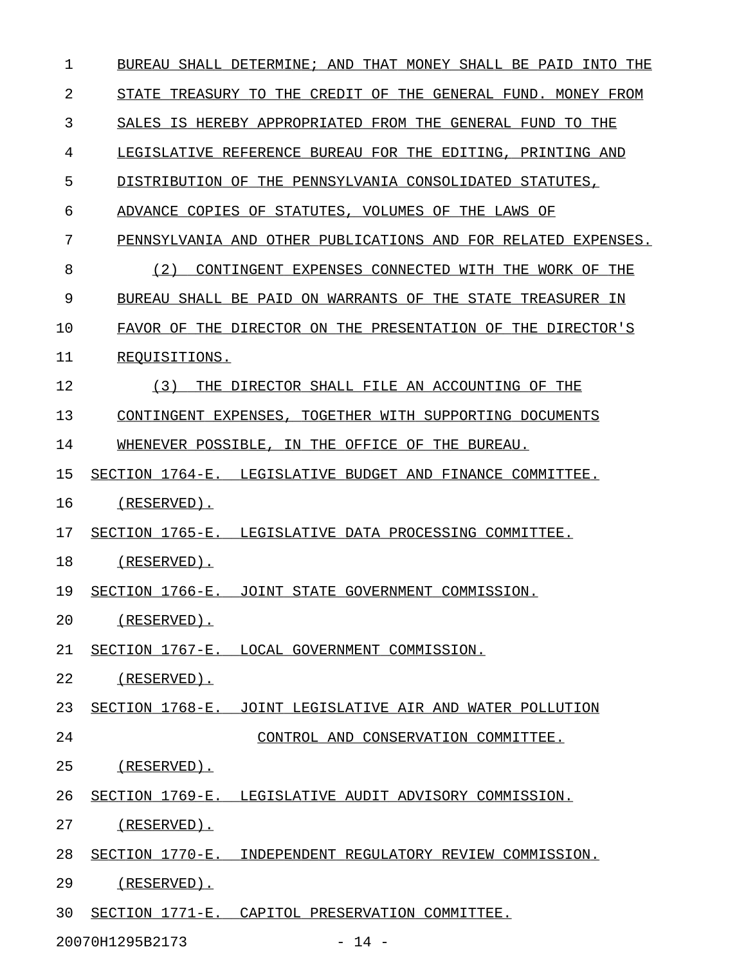| 1  | BUREAU SHALL DETERMINE; AND THAT MONEY SHALL BE PAID INTO THE |
|----|---------------------------------------------------------------|
| 2  | STATE TREASURY TO THE CREDIT OF THE GENERAL FUND. MONEY FROM  |
| 3  | SALES IS HEREBY APPROPRIATED FROM THE GENERAL FUND TO THE     |
| 4  | LEGISLATIVE REFERENCE BUREAU FOR THE EDITING, PRINTING AND    |
| 5  | DISTRIBUTION OF THE PENNSYLVANIA CONSOLIDATED STATUTES,       |
| 6  | ADVANCE COPIES OF STATUTES, VOLUMES OF THE LAWS OF            |
| 7  | PENNSYLVANIA AND OTHER PUBLICATIONS AND FOR RELATED EXPENSES. |
| 8  | (2)<br>CONTINGENT EXPENSES CONNECTED WITH THE WORK OF THE     |
| 9  | BUREAU SHALL BE PAID ON WARRANTS OF THE STATE TREASURER IN    |
| 10 | FAVOR OF THE DIRECTOR ON THE PRESENTATION OF THE DIRECTOR'S   |
| 11 | REOUISITIONS.                                                 |
| 12 | (3)<br>THE DIRECTOR SHALL FILE AN ACCOUNTING OF THE           |
| 13 | CONTINGENT EXPENSES, TOGETHER WITH SUPPORTING DOCUMENTS       |
| 14 | WHENEVER POSSIBLE, IN THE OFFICE OF THE BUREAU.               |
| 15 | SECTION 1764-E. LEGISLATIVE BUDGET AND FINANCE COMMITTEE.     |
| 16 | $(RESERVED)$ .                                                |
| 17 | SECTION 1765-E. LEGISLATIVE DATA PROCESSING COMMITTEE.        |
| 18 | (RESERVED).                                                   |
| 19 | SECTION 1766-E. JOINT STATE GOVERNMENT COMMISSION.            |
| 20 | (RESERVED).                                                   |
| 21 | SECTION 1767-E. LOCAL GOVERNMENT COMMISSION.                  |
| 22 | (RESERVED).                                                   |
| 23 | SECTION 1768-E. JOINT LEGISLATIVE AIR AND WATER POLLUTION     |
| 24 | CONTROL AND CONSERVATION COMMITTEE.                           |
| 25 | (RESERVED).                                                   |
| 26 | SECTION 1769-E. LEGISLATIVE AUDIT ADVISORY COMMISSION.        |
| 27 | (RESERVED).                                                   |
| 28 | SECTION 1770-E. INDEPENDENT REGULATORY REVIEW COMMISSION.     |
| 29 | (RESERVED).                                                   |
| 30 | SECTION 1771-E. CAPITOL PRESERVATION COMMITTEE.               |
|    |                                                               |

20070H1295B2173 - 14 -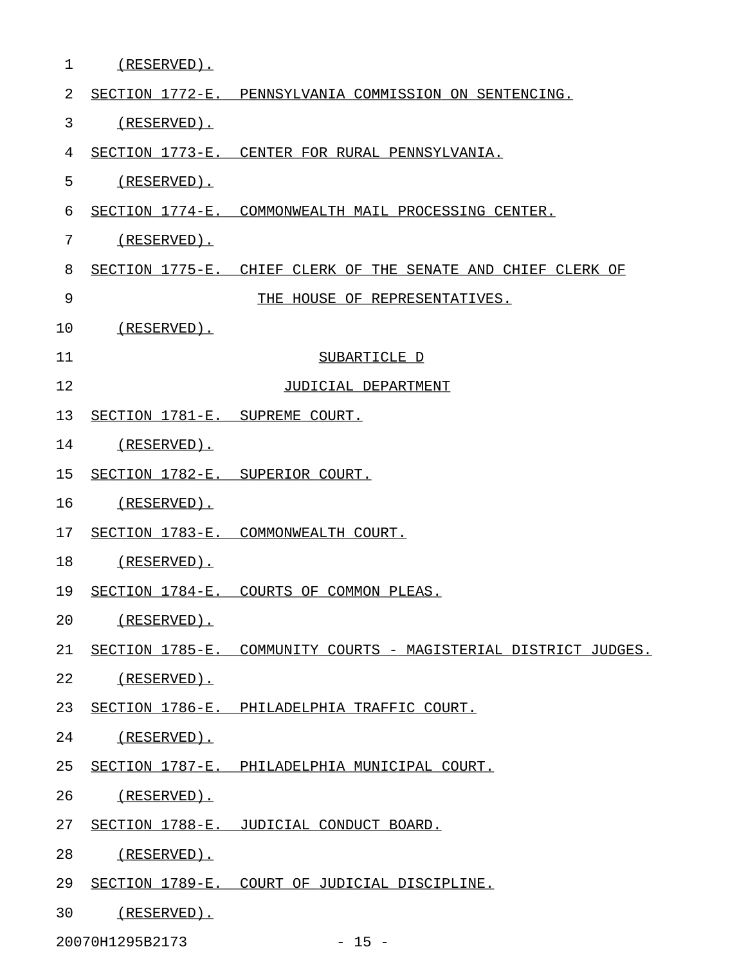| $\mathbf 1$    | $(RESERVED)$ .                 |                                                                 |
|----------------|--------------------------------|-----------------------------------------------------------------|
| $\overline{2}$ |                                | SECTION 1772-E. PENNSYLVANIA COMMISSION ON SENTENCING.          |
| 3              | $(RESERVED)$ .                 |                                                                 |
| 4              |                                | SECTION 1773-E. CENTER FOR RURAL PENNSYLVANIA.                  |
| 5              | $(RESERVED)$ .                 |                                                                 |
| 6              |                                | SECTION 1774-E. COMMONWEALTH MAIL PROCESSING CENTER.            |
| 7              | $(RESERVED)$ .                 |                                                                 |
| 8              |                                | SECTION 1775-E. CHIEF CLERK OF THE SENATE AND CHIEF CLERK OF    |
| 9              |                                | THE HOUSE OF REPRESENTATIVES.                                   |
| 10             | $(RESERVED)$ .                 |                                                                 |
| 11             |                                | SUBARTICLE D                                                    |
| 12             |                                | JUDICIAL DEPARTMENT                                             |
| 13             | SECTION 1781-E. SUPREME COURT. |                                                                 |
| 14             | $(RESERVED)$ .                 |                                                                 |
| 15             |                                | SECTION 1782-E. SUPERIOR COURT.                                 |
| 16             | $(RESERVED)$ .                 |                                                                 |
| 17             |                                | SECTION 1783-E. COMMONWEALTH COURT.                             |
| 18             | $(RESERVED)$ .                 |                                                                 |
| 19             |                                | SECTION 1784-E. COURTS OF COMMON PLEAS.                         |
| 20             | (RESERVED).                    |                                                                 |
| 21             |                                | SECTION 1785-E. COMMUNITY COURTS - MAGISTERIAL DISTRICT JUDGES. |
| 22             | (RESERVED).                    |                                                                 |
| 23             |                                | SECTION 1786-E. PHILADELPHIA TRAFFIC COURT.                     |
| 24             | (RESERVED).                    |                                                                 |
| 25             |                                | SECTION 1787-E. PHILADELPHIA MUNICIPAL COURT.                   |
| 26             | (RESERVED).                    |                                                                 |
| 27             |                                | SECTION 1788-E. JUDICIAL CONDUCT BOARD.                         |
| 28             | (RESERVED).                    |                                                                 |
| 29             |                                | SECTION 1789-E. COURT OF JUDICIAL DISCIPLINE.                   |
| 30             | <u>(RESERVED).</u>             |                                                                 |
|                |                                |                                                                 |

20070H1295B2173 - 15 -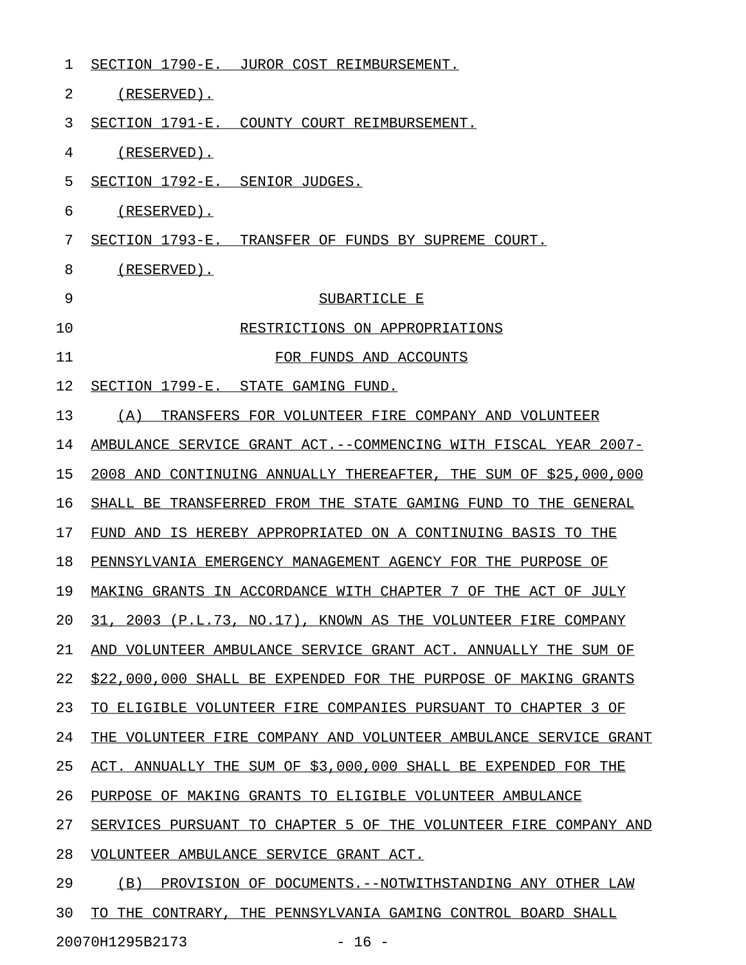| 1  | SECTION 1790-E. JUROR COST REIMBURSEMENT.                         |
|----|-------------------------------------------------------------------|
| 2  | (RESERVED).                                                       |
| 3  | SECTION 1791-E. COUNTY COURT REIMBURSEMENT.                       |
| 4  | (RESERVED).                                                       |
| 5  | SECTION 1792-E. SENIOR JUDGES.                                    |
| 6  | (RESERVED).                                                       |
| 7  | SECTION 1793-E. TRANSFER OF FUNDS BY SUPREME COURT.               |
| 8  | (RESERVED).                                                       |
| 9  | SUBARTICLE E                                                      |
| 10 | RESTRICTIONS ON APPROPRIATIONS                                    |
| 11 | FOR FUNDS AND ACCOUNTS                                            |
| 12 | SECTION 1799-E. STATE GAMING FUND.                                |
| 13 | (A) TRANSFERS FOR VOLUNTEER FIRE COMPANY AND VOLUNTEER            |
| 14 | AMBULANCE SERVICE GRANT ACT. -- COMMENCING WITH FISCAL YEAR 2007- |
| 15 | 2008 AND CONTINUING ANNUALLY THEREAFTER, THE SUM OF \$25,000,000  |
| 16 | SHALL BE TRANSFERRED FROM THE STATE GAMING FUND TO THE GENERAL    |
| 17 | FUND AND IS HEREBY APPROPRIATED ON A CONTINUING BASIS TO THE      |
| 18 | PENNSYLVANIA EMERGENCY MANAGEMENT AGENCY FOR THE PURPOSE OF       |
| 19 | MAKING GRANTS IN ACCORDANCE WITH CHAPTER 7 OF THE ACT OF JULY     |
| 20 | 31, 2003 (P.L.73, NO.17), KNOWN AS THE VOLUNTEER FIRE COMPANY     |
| 21 | AND VOLUNTEER AMBULANCE SERVICE GRANT ACT. ANNUALLY THE SUM OF    |
| 22 | \$22,000,000 SHALL BE EXPENDED FOR THE PURPOSE OF MAKING GRANTS   |
| 23 | ELIGIBLE VOLUNTEER FIRE COMPANIES PURSUANT TO CHAPTER 3 OF<br>TO. |
| 24 | THE VOLUNTEER FIRE COMPANY AND VOLUNTEER AMBULANCE SERVICE GRANT  |
| 25 | ACT. ANNUALLY THE SUM OF \$3,000,000 SHALL BE EXPENDED FOR THE    |
| 26 | PURPOSE OF MAKING GRANTS TO ELIGIBLE VOLUNTEER AMBULANCE          |
| 27 | SERVICES PURSUANT TO CHAPTER 5 OF THE VOLUNTEER FIRE COMPANY AND  |
| 28 | VOLUNTEER AMBULANCE SERVICE GRANT ACT.                            |
| 29 | (B)<br>PROVISION OF DOCUMENTS.--NOTWITHSTANDING ANY OTHER LAW     |
| 30 | THE CONTRARY, THE PENNSYLVANIA GAMING CONTROL BOARD SHALL<br>TΟ   |

20070H1295B2173 - 16 -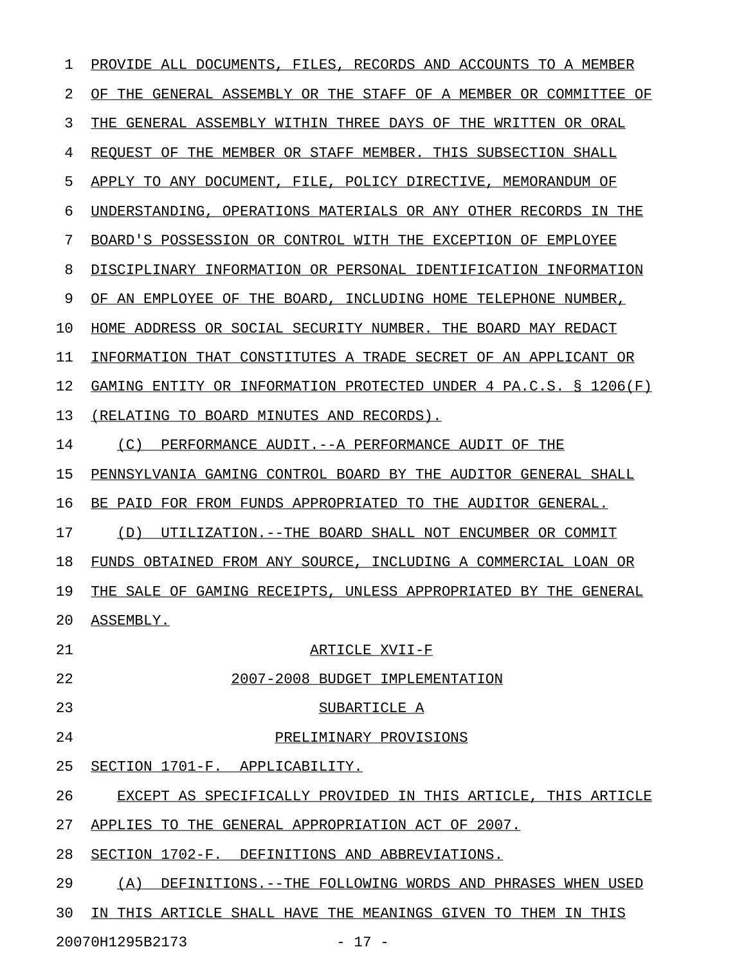1 PROVIDE ALL DOCUMENTS, FILES, RECORDS AND ACCOUNTS TO A MEMBER 2 OF THE GENERAL ASSEMBLY OR THE STAFF OF A MEMBER OR COMMITTEE OF 3 THE GENERAL ASSEMBLY WITHIN THREE DAYS OF THE WRITTEN OR ORAL 4 REQUEST OF THE MEMBER OR STAFF MEMBER. THIS SUBSECTION SHALL 5 APPLY TO ANY DOCUMENT, FILE, POLICY DIRECTIVE, MEMORANDUM OF 6 UNDERSTANDING, OPERATIONS MATERIALS OR ANY OTHER RECORDS IN THE 7 BOARD'S POSSESSION OR CONTROL WITH THE EXCEPTION OF EMPLOYEE 8 DISCIPLINARY INFORMATION OR PERSONAL IDENTIFICATION INFORMATION 9 OF AN EMPLOYEE OF THE BOARD, INCLUDING HOME TELEPHONE NUMBER, 10 HOME ADDRESS OR SOCIAL SECURITY NUMBER. THE BOARD MAY REDACT 11 INFORMATION THAT CONSTITUTES A TRADE SECRET OF AN APPLICANT OR 12 GAMING ENTITY OR INFORMATION PROTECTED UNDER 4 PA.C.S. § 1206(F) 13 (RELATING TO BOARD MINUTES AND RECORDS). 14 (C) PERFORMANCE AUDIT.--A PERFORMANCE AUDIT OF THE 15 PENNSYLVANIA GAMING CONTROL BOARD BY THE AUDITOR GENERAL SHALL 16 BE PAID FOR FROM FUNDS APPROPRIATED TO THE AUDITOR GENERAL. 17 (D) UTILIZATION.--THE BOARD SHALL NOT ENCUMBER OR COMMIT 18 FUNDS OBTAINED FROM ANY SOURCE, INCLUDING A COMMERCIAL LOAN OR 19 THE SALE OF GAMING RECEIPTS, UNLESS APPROPRIATED BY THE GENERAL 20 ASSEMBLY. 21 ARTICLE XVII-F 22 2007-2008 BUDGET IMPLEMENTATION 23 SUBARTICLE A 24 PRELIMINARY PROVISIONS 25 SECTION 1701-F. APPLICABILITY. 26 EXCEPT AS SPECIFICALLY PROVIDED IN THIS ARTICLE, THIS ARTICLE 27 APPLIES TO THE GENERAL APPROPRIATION ACT OF 2007. 28 SECTION 1702-F. DEFINITIONS AND ABBREVIATIONS. 29 (A) DEFINITIONS.--THE FOLLOWING WORDS AND PHRASES WHEN USED 30 IN THIS ARTICLE SHALL HAVE THE MEANINGS GIVEN TO THEM IN THIS

20070H1295B2173 - 17 -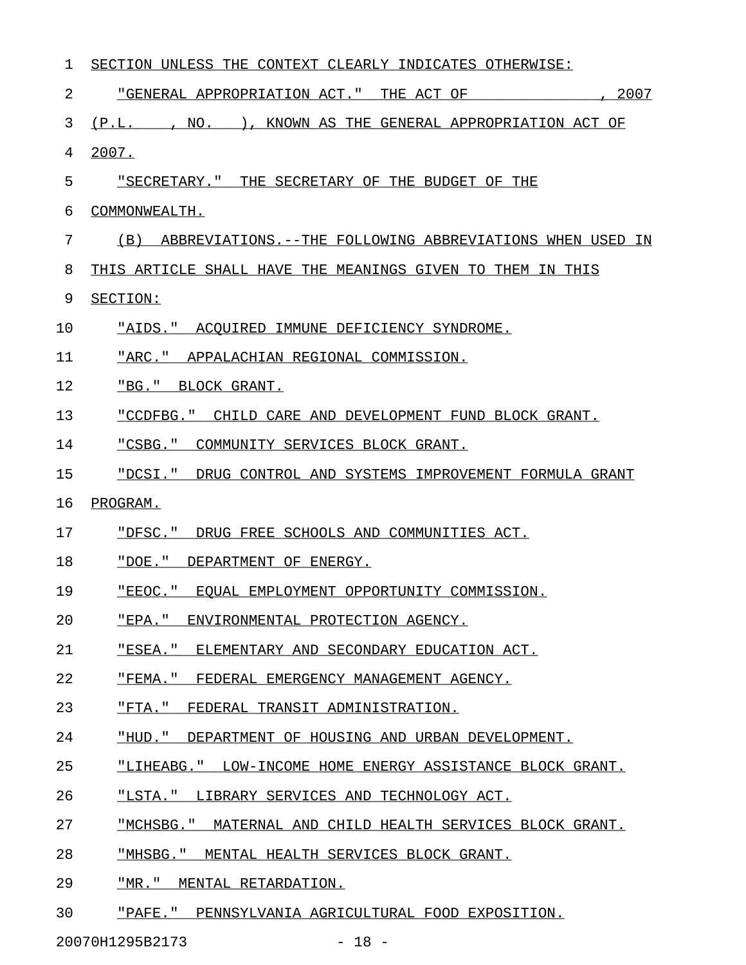| 1  | SECTION UNLESS THE CONTEXT CLEARLY INDICATES OTHERWISE:         |
|----|-----------------------------------------------------------------|
| 2  | "GENERAL APPROPRIATION ACT." THE ACT OF<br>2007                 |
| 3  | NO.<br>KNOWN AS THE GENERAL APPROPRIATION ACT OF<br>(P.L.       |
| 4  | 2007.                                                           |
| 5  | "SECRETARY." THE SECRETARY OF THE BUDGET OF THE                 |
| 6  | COMMONWEALTH.                                                   |
| 7  | (B)<br>ABBREVIATIONS.--THE FOLLOWING ABBREVIATIONS WHEN USED IN |
| 8  | THIS ARTICLE SHALL HAVE THE MEANINGS GIVEN TO THEM IN THIS      |
| 9  | SECTION:                                                        |
| 10 | "AIDS."<br>ACOUIRED IMMUNE DEFICIENCY SYNDROME.                 |
| 11 | "ARC."<br>APPALACHIAN REGIONAL COMMISSION.                      |
| 12 | "BG."<br>BLOCK GRANT.                                           |
| 13 | "CCDFBG."<br>CHILD CARE AND DEVELOPMENT FUND BLOCK GRANT.       |
| 14 | "CSBG."<br>COMMUNITY SERVICES BLOCK GRANT.                      |
| 15 | "DCSI."<br>DRUG CONTROL AND SYSTEMS IMPROVEMENT FORMULA GRANT   |
| 16 | PROGRAM.                                                        |
| 17 | "DFSC."<br>DRUG FREE SCHOOLS AND COMMUNITIES ACT.               |
| 18 | "DOE."<br>DEPARTMENT OF ENERGY.                                 |
| 19 | "EEOC."<br>EOUAL EMPLOYMENT OPPORTUNITY COMMISSION.             |
| 20 | "EPA." ENVIRONMENTAL PROTECTION AGENCY.                         |
| 21 | "ESEA." ELEMENTARY AND SECONDARY EDUCATION ACT.                 |
| 22 | "FEMA." FEDERAL EMERGENCY MANAGEMENT AGENCY.                    |
| 23 | "FTA." FEDERAL TRANSIT ADMINISTRATION.                          |
| 24 | "HUD." DEPARTMENT OF HOUSING AND URBAN DEVELOPMENT.             |
| 25 | "LIHEABG." LOW-INCOME HOME ENERGY ASSISTANCE BLOCK GRANT.       |
| 26 | "LSTA." LIBRARY SERVICES AND TECHNOLOGY ACT.                    |
| 27 | "MCHSBG." MATERNAL AND CHILD HEALTH SERVICES BLOCK GRANT.       |
| 28 | "MHSBG." MENTAL HEALTH SERVICES BLOCK GRANT.                    |
| 29 | "MR." MENTAL RETARDATION.                                       |
|    |                                                                 |

30 "PAFE." PENNSYLVANIA AGRICULTURAL FOOD EXPOSITION.

20070H1295B2173 - 18 -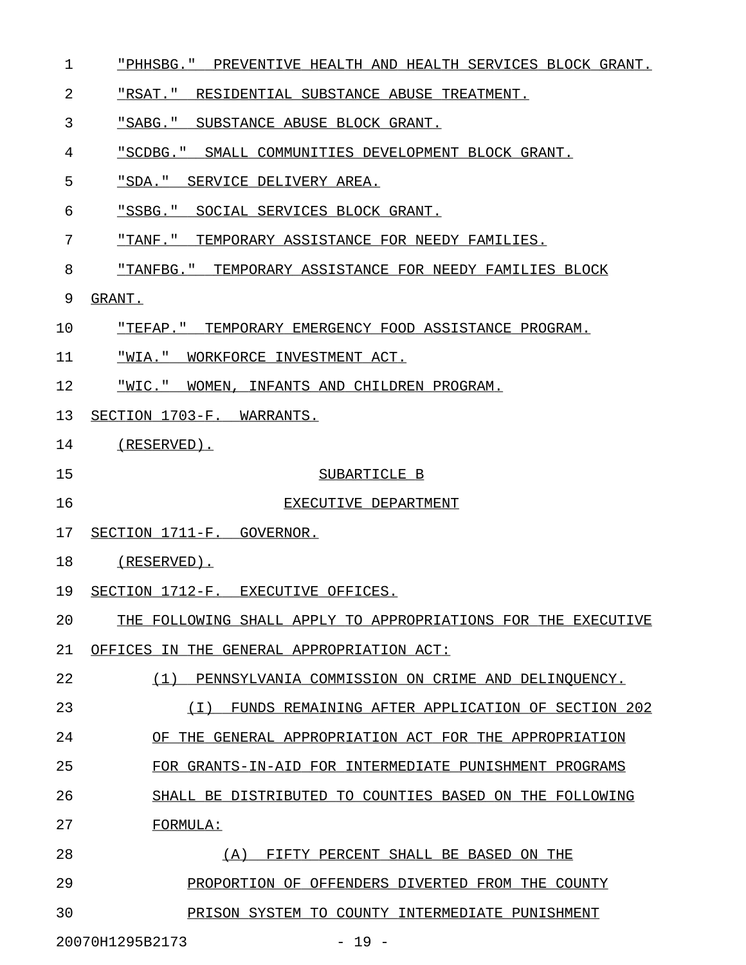- 1 "PHHSBG." PREVENTIVE HEALTH AND HEALTH SERVICES BLOCK GRANT.
- 2 FREAT." RESIDENTIAL SUBSTANCE ABUSE TREATMENT.
- 3 "SABG." SUBSTANCE ABUSE BLOCK GRANT.
- 4 "SCDBG." SMALL COMMUNITIES DEVELOPMENT BLOCK GRANT.
- 5 "SDA." SERVICE DELIVERY AREA.
- 6 "SSBG." SOCIAL SERVICES BLOCK GRANT.
- 7 "TANF." TEMPORARY ASSISTANCE FOR NEEDY FAMILIES.
- 8 "TANFBG." TEMPORARY ASSISTANCE FOR NEEDY FAMILIES BLOCK
- 9 GRANT.
- 10 "TEFAP." TEMPORARY EMERGENCY FOOD ASSISTANCE PROGRAM.
- 11 "WIA." WORKFORCE INVESTMENT ACT.
- 12 "WIC." WOMEN, INFANTS AND CHILDREN PROGRAM.
- 13 SECTION 1703-F. WARRANTS.
- 14 (RESERVED).
- 

### 15 SUBARTICLE B

- 16 EXECUTIVE DEPARTMENT
- 17 SECTION 1711-F. GOVERNOR.
- 18 (RESERVED).
- 19 SECTION 1712-F. EXECUTIVE OFFICES.
- 20 THE FOLLOWING SHALL APPLY TO APPROPRIATIONS FOR THE EXECUTIVE
- 21 OFFICES IN THE GENERAL APPROPRIATION ACT:
- 22 (1) PENNSYLVANIA COMMISSION ON CRIME AND DELINQUENCY.
- 23 (I) FUNDS REMAINING AFTER APPLICATION OF SECTION 202 \_\_\_\_\_\_\_\_\_\_\_\_\_\_\_\_\_\_\_\_\_\_\_\_\_\_\_\_\_\_\_\_\_\_\_\_\_\_\_\_\_\_\_\_\_\_\_\_\_\_\_\_\_
- 24 OF THE GENERAL APPROPRIATION ACT FOR THE APPROPRIATION
- 25 FOR GRANTS-IN-AID FOR INTERMEDIATE PUNISHMENT PROGRAMS
- 26 SHALL BE DISTRIBUTED TO COUNTIES BASED ON THE FOLLOWING
- 27 FORMULA:
- 28 (A) FIFTY PERCENT SHALL BE BASED ON THE 29 PROPORTION OF OFFENDERS DIVERTED FROM THE COUNTY 30 PRISON SYSTEM TO COUNTY INTERMEDIATE PUNISHMENT

20070H1295B2173 - 19 -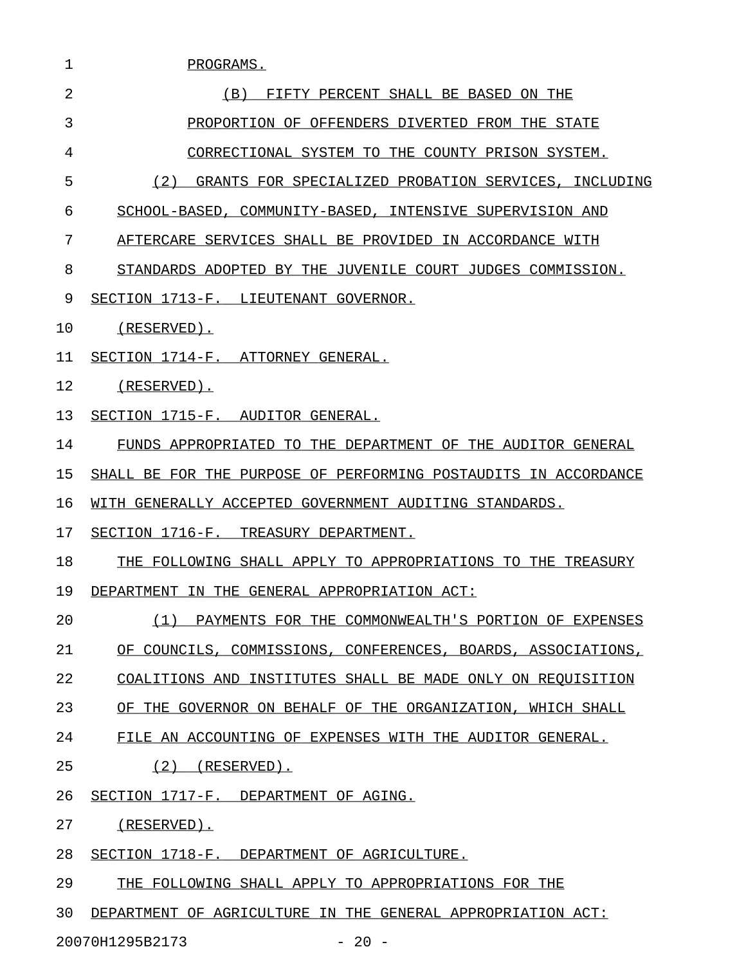| 1  | PROGRAMS.                                                       |
|----|-----------------------------------------------------------------|
| 2  | FIFTY PERCENT SHALL BE BASED ON THE<br>(B)                      |
| 3  | PROPORTION OF OFFENDERS DIVERTED FROM THE STATE                 |
| 4  | CORRECTIONAL SYSTEM TO THE COUNTY PRISON SYSTEM.                |
| 5  | (2)<br>GRANTS FOR SPECIALIZED PROBATION SERVICES, INCLUDING     |
| 6  | SCHOOL-BASED, COMMUNITY-BASED, INTENSIVE SUPERVISION AND        |
| 7  | AFTERCARE SERVICES SHALL BE PROVIDED IN ACCORDANCE WITH         |
| 8  | STANDARDS ADOPTED BY THE JUVENILE COURT JUDGES COMMISSION.      |
| 9  | SECTION 1713-F. LIEUTENANT GOVERNOR.                            |
| 10 | (RESERVED).                                                     |
| 11 | SECTION 1714-F. ATTORNEY GENERAL.                               |
| 12 | (RESERVED).                                                     |
| 13 | SECTION 1715-F. AUDITOR GENERAL.                                |
| 14 | FUNDS APPROPRIATED TO THE DEPARTMENT OF THE AUDITOR GENERAL     |
| 15 | SHALL BE FOR THE PURPOSE OF PERFORMING POSTAUDITS IN ACCORDANCE |
| 16 | WITH GENERALLY ACCEPTED GOVERNMENT AUDITING STANDARDS.          |
| 17 | SECTION 1716-F. TREASURY DEPARTMENT.                            |
| 18 | THE FOLLOWING SHALL APPLY TO APPROPRIATIONS TO THE TREASURY     |
| 19 | DEPARTMENT IN THE GENERAL APPROPRIATION ACT:                    |
| 20 | (1) PAYMENTS FOR THE COMMONWEALTH'S PORTION OF EXPENSES         |
| 21 | OF COUNCILS, COMMISSIONS, CONFERENCES, BOARDS, ASSOCIATIONS,    |
| 22 | COALITIONS AND INSTITUTES SHALL BE MADE ONLY ON REQUISITION     |
| 23 | OF THE GOVERNOR ON BEHALF OF THE ORGANIZATION, WHICH SHALL      |
| 24 | FILE AN ACCOUNTING OF EXPENSES WITH THE AUDITOR GENERAL.        |
| 25 | $(2)$ (RESERVED).                                               |
| 26 | SECTION 1717-F. DEPARTMENT OF AGING.                            |
| 27 | (RESERVED).                                                     |
| 28 | SECTION 1718-F. DEPARTMENT OF AGRICULTURE.                      |
| 29 | THE FOLLOWING SHALL APPLY TO APPROPRIATIONS FOR THE             |
| 30 | DEPARTMENT OF AGRICULTURE IN THE GENERAL APPROPRIATION ACT:     |

20070H1295B2173 - 20 -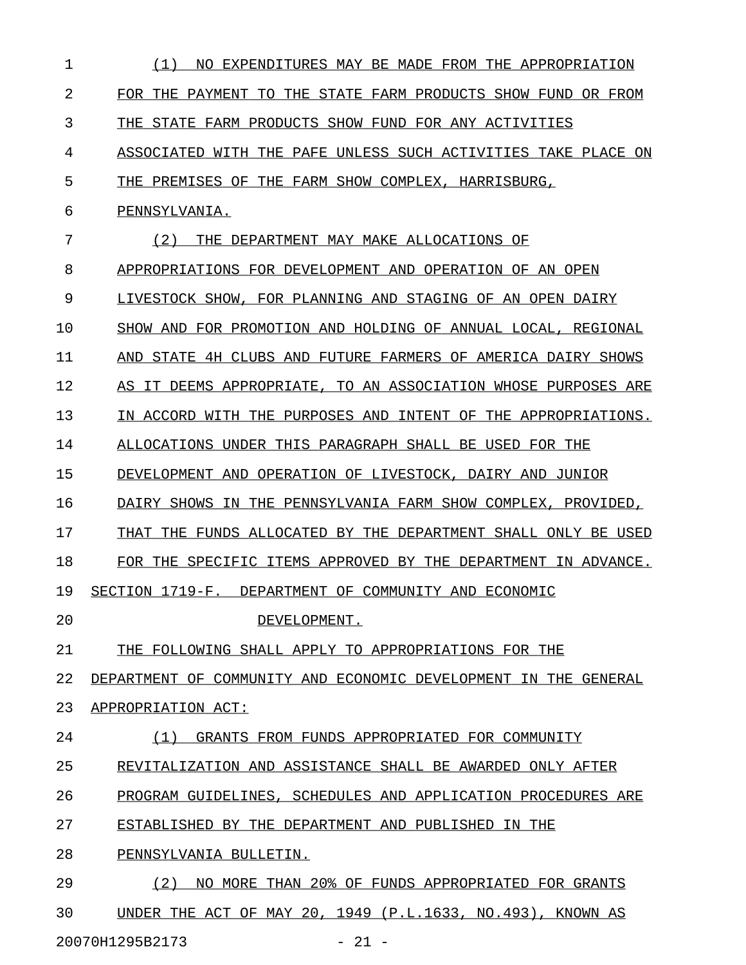| 1  | (1)<br>NO.<br>EXPENDITURES MAY BE MADE FROM THE APPROPRIATION    |
|----|------------------------------------------------------------------|
| 2  | FOR THE PAYMENT TO THE STATE FARM PRODUCTS SHOW FUND<br>OR FROM  |
| 3  | THE STATE FARM PRODUCTS SHOW FUND FOR ANY ACTIVITIES             |
| 4  | WITH THE PAFE UNLESS SUCH ACTIVITIES TAKE PLACE ON<br>ASSOCIATED |
| 5  | THE PREMISES OF THE FARM SHOW COMPLEX, HARRISBURG,               |
| 6  | PENNSYLVANIA.                                                    |
| 7  | (2)<br>THE DEPARTMENT MAY MAKE ALLOCATIONS OF                    |
| 8  | APPROPRIATIONS FOR DEVELOPMENT AND OPERATION OF AN OPEN          |
| 9  | LIVESTOCK SHOW, FOR PLANNING AND STAGING OF AN OPEN DAIRY        |
| 10 | SHOW AND FOR PROMOTION AND HOLDING OF ANNUAL LOCAL, REGIONAL     |
| 11 | AND STATE 4H CLUBS AND FUTURE FARMERS OF AMERICA DAIRY SHOWS     |
| 12 | AS IT DEEMS APPROPRIATE, TO AN ASSOCIATION WHOSE PURPOSES ARE    |
| 13 | IN ACCORD WITH THE PURPOSES AND INTENT OF THE APPROPRIATIONS.    |
| 14 | ALLOCATIONS UNDER THIS PARAGRAPH SHALL BE USED FOR THE           |
| 15 | DEVELOPMENT AND OPERATION OF LIVESTOCK, DAIRY AND JUNIOR         |
| 16 | DAIRY SHOWS IN THE PENNSYLVANIA FARM SHOW COMPLEX, PROVIDED,     |
| 17 | THAT THE FUNDS ALLOCATED BY THE DEPARTMENT SHALL ONLY BE USED    |
| 18 | FOR THE SPECIFIC ITEMS APPROVED BY THE DEPARTMENT IN ADVANCE.    |
| 19 | SECTION 1719-F. DEPARTMENT OF COMMUNITY AND ECONOMIC             |
| 20 | DEVELOPMENT.                                                     |
| 21 | THE FOLLOWING SHALL APPLY TO APPROPRIATIONS FOR THE              |
| 22 | DEPARTMENT OF COMMUNITY AND ECONOMIC DEVELOPMENT IN THE GENERAL  |
| 23 | APPROPRIATION ACT:                                               |
| 24 | (1)<br>GRANTS FROM FUNDS APPROPRIATED FOR COMMUNITY              |
| 25 | REVITALIZATION AND ASSISTANCE SHALL BE AWARDED ONLY AFTER        |
| 26 | PROGRAM GUIDELINES, SCHEDULES AND APPLICATION PROCEDURES ARE     |
| 27 | ESTABLISHED BY THE DEPARTMENT AND PUBLISHED IN THE               |
| 28 | PENNSYLVANIA BULLETIN.                                           |
| 29 | NO MORE THAN 20% OF FUNDS APPROPRIATED FOR GRANTS<br>(2)         |
| 30 | UNDER THE ACT OF MAY 20, 1949 (P.L.1633, NO.493), KNOWN AS       |

20070H1295B2173 - 21 -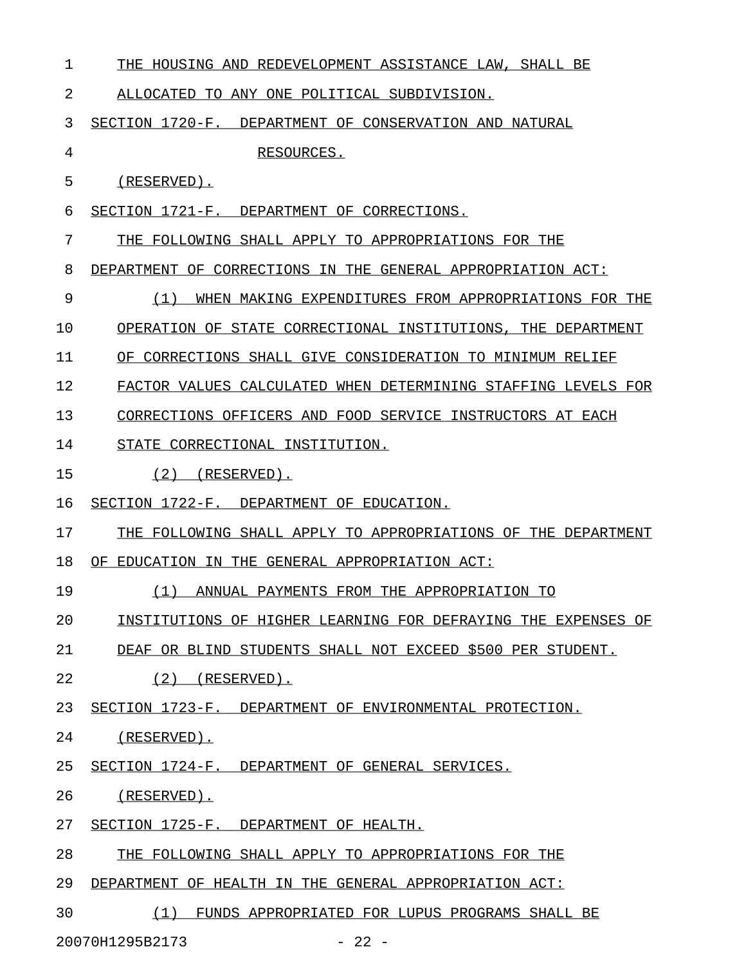| 1  | THE HOUSING AND REDEVELOPMENT ASSISTANCE LAW, SHALL BE        |
|----|---------------------------------------------------------------|
| 2  | ALLOCATED TO ANY ONE POLITICAL SUBDIVISION.                   |
| 3  | SECTION 1720-F.<br>DEPARTMENT OF CONSERVATION AND NATURAL     |
| 4  | RESOURCES.                                                    |
| 5  | (RESERVED).                                                   |
| 6  | SECTION 1721-F. DEPARTMENT OF CORRECTIONS.                    |
| 7  | THE FOLLOWING SHALL APPLY TO APPROPRIATIONS FOR THE           |
| 8  | DEPARTMENT OF CORRECTIONS IN THE GENERAL APPROPRIATION ACT:   |
| 9  | (1)<br>WHEN MAKING EXPENDITURES FROM APPROPRIATIONS FOR THE   |
| 10 | OPERATION OF STATE CORRECTIONAL INSTITUTIONS, THE DEPARTMENT  |
| 11 | OF CORRECTIONS SHALL GIVE CONSIDERATION TO MINIMUM RELIEF     |
| 12 | FACTOR VALUES CALCULATED WHEN DETERMINING STAFFING LEVELS FOR |
| 13 | CORRECTIONS OFFICERS AND FOOD SERVICE INSTRUCTORS AT EACH     |
| 14 | STATE CORRECTIONAL INSTITUTION.                               |
| 15 | (2)<br>(RESERVED).                                            |
| 16 | SECTION 1722-F.<br>DEPARTMENT OF EDUCATION.                   |
| 17 | THE FOLLOWING SHALL APPLY TO APPROPRIATIONS OF THE DEPARTMENT |
| 18 | OF EDUCATION IN THE GENERAL APPROPRIATION ACT:                |
| 19 | (1)<br>ANNUAL PAYMENTS FROM THE APPROPRIATION TO              |
| 20 | INSTITUTIONS OF HIGHER LEARNING FOR DEFRAYING THE EXPENSES OF |
| 21 | DEAF OR BLIND STUDENTS SHALL NOT EXCEED \$500 PER STUDENT.    |
| 22 | $(2)$ (RESERVED).                                             |
| 23 | SECTION 1723-F. DEPARTMENT OF ENVIRONMENTAL PROTECTION.       |
| 24 | (RESERVED).                                                   |
| 25 | SECTION 1724-F. DEPARTMENT OF GENERAL SERVICES.               |
| 26 | (RESERVED).                                                   |
| 27 | SECTION 1725-F. DEPARTMENT OF HEALTH.                         |
| 28 | THE FOLLOWING SHALL APPLY TO APPROPRIATIONS FOR THE           |
| 29 | DEPARTMENT OF HEALTH IN THE GENERAL APPROPRIATION ACT:        |
| 30 | (1) FUNDS APPROPRIATED FOR LUPUS PROGRAMS SHALL BE            |
|    | $-22 -$<br>20070H1295B2173                                    |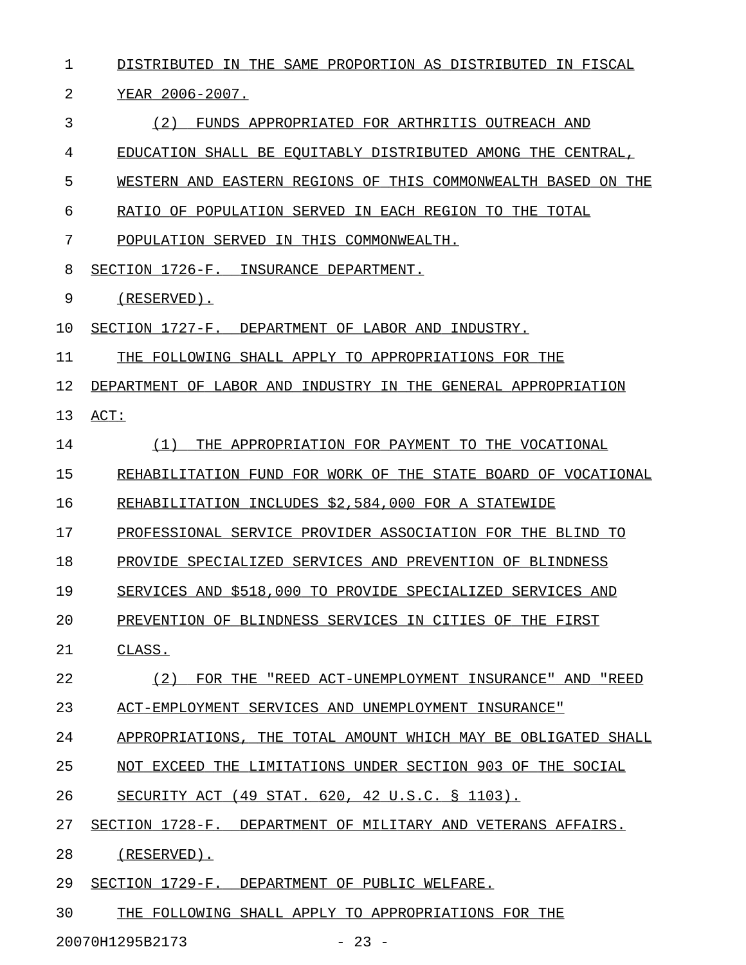| 1  | DISTRIBUTED IN THE SAME PROPORTION AS DISTRIBUTED IN FISCAL   |
|----|---------------------------------------------------------------|
| 2  | YEAR 2006-2007.                                               |
| 3  | (2)<br>FUNDS APPROPRIATED FOR ARTHRITIS OUTREACH AND          |
| 4  | EDUCATION SHALL BE EQUITABLY DISTRIBUTED AMONG THE CENTRAL,   |
| 5  | WESTERN AND EASTERN REGIONS OF THIS COMMONWEALTH BASED ON THE |
| 6  | RATIO OF POPULATION SERVED IN EACH REGION TO THE TOTAL        |
| 7  | POPULATION SERVED IN THIS COMMONWEALTH.                       |
| 8  | SECTION 1726-F. INSURANCE DEPARTMENT.                         |
| 9  | $(RESERVED)$ .                                                |
| 10 | SECTION 1727-F. DEPARTMENT OF LABOR AND INDUSTRY.             |
| 11 | THE FOLLOWING SHALL APPLY TO APPROPRIATIONS FOR THE           |
| 12 | DEPARTMENT OF LABOR AND INDUSTRY IN THE GENERAL APPROPRIATION |
| 13 | ACT:                                                          |
| 14 | THE APPROPRIATION FOR PAYMENT TO THE VOCATIONAL<br>(1)        |
| 15 | REHABILITATION FUND FOR WORK OF THE STATE BOARD OF VOCATIONAL |
| 16 | REHABILITATION INCLUDES \$2,584,000 FOR A STATEWIDE           |
| 17 | PROFESSIONAL SERVICE PROVIDER ASSOCIATION FOR THE BLIND TO    |
| 18 | PROVIDE SPECIALIZED SERVICES AND PREVENTION OF BLINDNESS      |
| 19 | SERVICES AND \$518,000 TO PROVIDE SPECIALIZED SERVICES AND    |
| 20 | PREVENTION OF BLINDNESS SERVICES IN CITIES OF THE FIRST       |
| 21 | CLASS.                                                        |
| 22 | FOR THE "REED ACT-UNEMPLOYMENT INSURANCE" AND "REED<br>(2)    |
| 23 | ACT-EMPLOYMENT SERVICES AND UNEMPLOYMENT INSURANCE"           |
| 24 | APPROPRIATIONS, THE TOTAL AMOUNT WHICH MAY BE OBLIGATED SHALL |
| 25 | NOT EXCEED THE LIMITATIONS UNDER SECTION 903 OF THE SOCIAL    |
| 26 | SECURITY ACT (49 STAT. 620, 42 U.S.C. § 1103).                |
| 27 | SECTION 1728-F. DEPARTMENT OF MILITARY AND VETERANS AFFAIRS.  |
| 28 | (RESERVED).                                                   |
| 29 | SECTION 1729-F. DEPARTMENT OF PUBLIC WELFARE.                 |
| 30 | THE FOLLOWING SHALL APPLY TO APPROPRIATIONS FOR THE           |

20070H1295B2173 - 23 -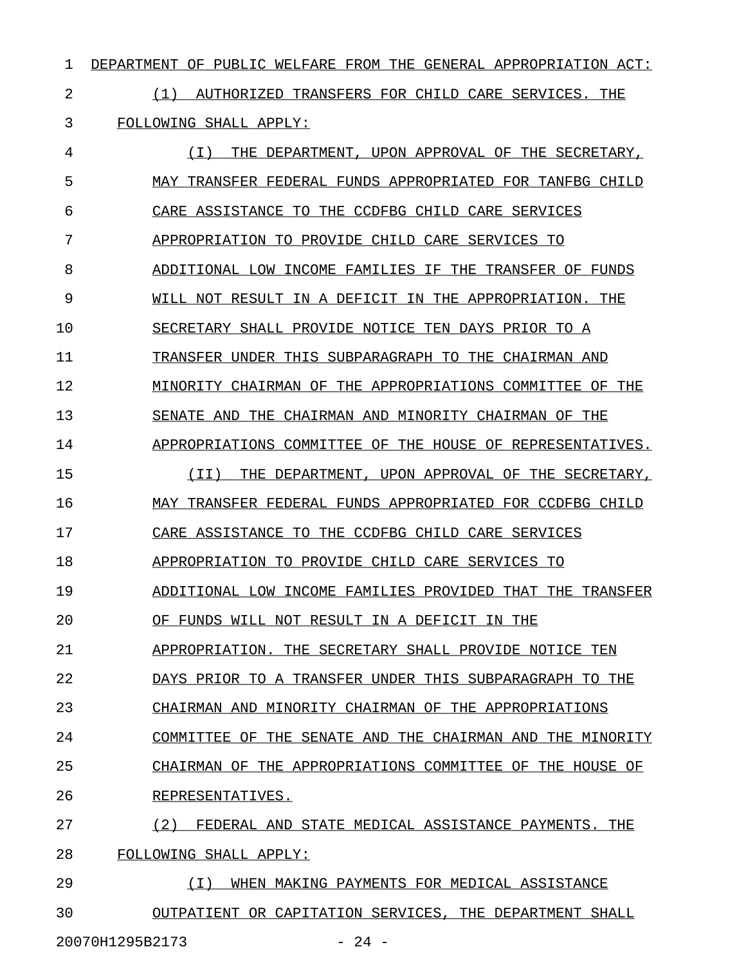1 DEPARTMENT OF PUBLIC WELFARE FROM THE GENERAL APPROPRIATION ACT:

2 1 (1) AUTHORIZED TRANSFERS FOR CHILD CARE SERVICES. THE 3 FOLLOWING SHALL APPLY:

4 (I) THE DEPARTMENT, UPON APPROVAL OF THE SECRETARY, 5 MAY TRANSFER FEDERAL FUNDS APPROPRIATED FOR TANFBG CHILD 6 CARE ASSISTANCE TO THE CCDFBG CHILD CARE SERVICES 7 APPROPRIATION TO PROVIDE CHILD CARE SERVICES TO 8 ADDITIONAL LOW INCOME FAMILIES IF THE TRANSFER OF FUNDS 9 WILL NOT RESULT IN A DEFICIT IN THE APPROPRIATION. THE 10 SECRETARY SHALL PROVIDE NOTICE TEN DAYS PRIOR TO A 11 TRANSFER UNDER THIS SUBPARAGRAPH TO THE CHAIRMAN AND 12 MINORITY CHAIRMAN OF THE APPROPRIATIONS COMMITTEE OF THE 13 SENATE AND THE CHAIRMAN AND MINORITY CHAIRMAN OF THE 14 APPROPRIATIONS COMMITTEE OF THE HOUSE OF REPRESENTATIVES. 15 (II) THE DEPARTMENT, UPON APPROVAL OF THE SECRETARY, 16 MAY TRANSFER FEDERAL FUNDS APPROPRIATED FOR CCDFBG CHILD 17 CARE ASSISTANCE TO THE CCDFBG CHILD CARE SERVICES 18 APPROPRIATION TO PROVIDE CHILD CARE SERVICES TO 19 ADDITIONAL LOW INCOME FAMILIES PROVIDED THAT THE TRANSFER 20 OF FUNDS WILL NOT RESULT IN A DEFICIT IN THE 21 APPROPRIATION. THE SECRETARY SHALL PROVIDE NOTICE TEN 22 DAYS PRIOR TO A TRANSFER UNDER THIS SUBPARAGRAPH TO THE 23 CHAIRMAN AND MINORITY CHAIRMAN OF THE APPROPRIATIONS 24 COMMITTEE OF THE SENATE AND THE CHAIRMAN AND THE MINORITY 25 CHAIRMAN OF THE APPROPRIATIONS COMMITTEE OF THE HOUSE OF 26 REPRESENTATIVES. 27 (2) FEDERAL AND STATE MEDICAL ASSISTANCE PAYMENTS. THE 28 FOLLOWING SHALL APPLY: 29 (I) WHEN MAKING PAYMENTS FOR MEDICAL ASSISTANCE \_\_\_\_\_\_\_\_\_\_\_\_\_\_\_\_\_\_\_\_\_\_\_\_\_\_\_\_\_\_\_\_\_\_\_\_\_\_\_\_\_\_\_\_\_\_\_\_

30 OUTPATIENT OR CAPITATION SERVICES, THE DEPARTMENT SHALL 20070H1295B2173 - 24 -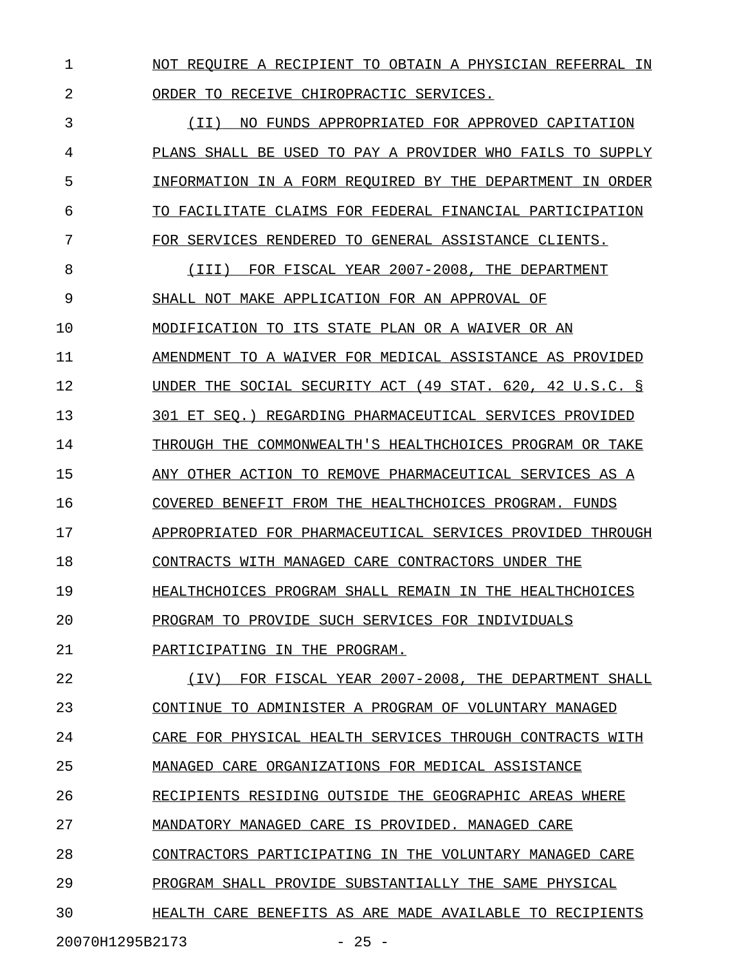1 NOT REQUIRE A RECIPIENT TO OBTAIN A PHYSICIAN REFERRAL IN 2 ORDER TO RECEIVE CHIROPRACTIC SERVICES.

3 (II) NO FUNDS APPROPRIATED FOR APPROVED CAPITATION 4 PLANS SHALL BE USED TO PAY A PROVIDER WHO FAILS TO SUPPLY 5 INFORMATION IN A FORM REQUIRED BY THE DEPARTMENT IN ORDER 6 TO FACILITATE CLAIMS FOR FEDERAL FINANCIAL PARTICIPATION 7 FOR SERVICES RENDERED TO GENERAL ASSISTANCE CLIENTS.

8 (III) FOR FISCAL YEAR 2007-2008, THE DEPARTMENT 9 SHALL NOT MAKE APPLICATION FOR AN APPROVAL OF 10 MODIFICATION TO ITS STATE PLAN OR A WAIVER OR AN 11 AMENDMENT TO A WAIVER FOR MEDICAL ASSISTANCE AS PROVIDED 12 UNDER THE SOCIAL SECURITY ACT (49 STAT. 620, 42 U.S.C. § 13 301 ET SEQ.) REGARDING PHARMACEUTICAL SERVICES PROVIDED 14 THROUGH THE COMMONWEALTH'S HEALTHCHOICES PROGRAM OR TAKE 15 ANY OTHER ACTION TO REMOVE PHARMACEUTICAL SERVICES AS A 16 COVERED BENEFIT FROM THE HEALTHCHOICES PROGRAM. FUNDS 17 APPROPRIATED FOR PHARMACEUTICAL SERVICES PROVIDED THROUGH 18 CONTRACTS WITH MANAGED CARE CONTRACTORS UNDER THE 19 **HEALTHCHOICES PROGRAM SHALL REMAIN IN THE HEALTHCHOICES** 20 PROGRAM TO PROVIDE SUCH SERVICES FOR INDIVIDUALS \_\_\_\_\_\_\_\_\_\_\_\_\_\_\_\_\_\_\_\_\_\_\_\_\_\_\_\_\_\_\_\_\_\_\_\_\_\_\_\_\_\_\_\_\_\_\_\_ 21 PARTICIPATING IN THE PROGRAM.

22 (IV) FOR FISCAL YEAR 2007-2008, THE DEPARTMENT SHALL 23 CONTINUE TO ADMINISTER A PROGRAM OF VOLUNTARY MANAGED 24 CARE FOR PHYSICAL HEALTH SERVICES THROUGH CONTRACTS WITH 25 MANAGED CARE ORGANIZATIONS FOR MEDICAL ASSISTANCE 26 RECIPIENTS RESIDING OUTSIDE THE GEOGRAPHIC AREAS WHERE 27 MANDATORY MANAGED CARE IS PROVIDED. MANAGED CARE 28 CONTRACTORS PARTICIPATING IN THE VOLUNTARY MANAGED CARE 29 PROGRAM SHALL PROVIDE SUBSTANTIALLY THE SAME PHYSICAL 30 **HEALTH CARE BENEFITS AS ARE MADE AVAILABLE TO RECIPIENTS** 

20070H1295B2173 - 25 -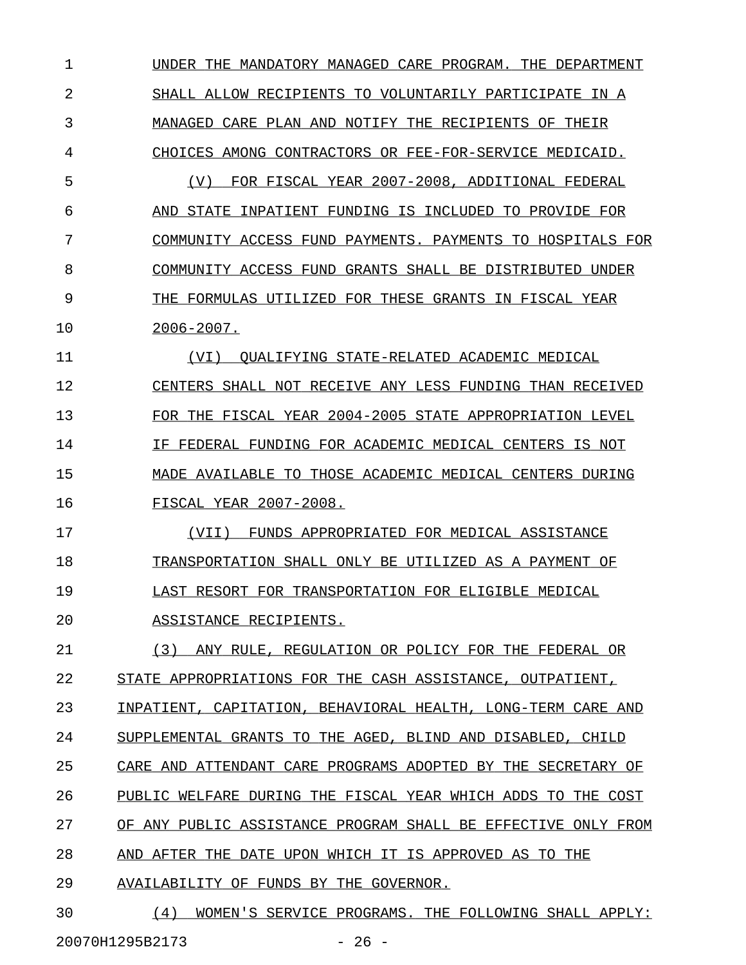1 UNDER THE MANDATORY MANAGED CARE PROGRAM. THE DEPARTMENT 2 SHALL ALLOW RECIPIENTS TO VOLUNTARILY PARTICIPATE IN A 3 MANAGED CARE PLAN AND NOTIFY THE RECIPIENTS OF THEIR 4 CHOICES AMONG CONTRACTORS OR FEE-FOR-SERVICE MEDICAID. 5 (V) FOR FISCAL YEAR 2007-2008, ADDITIONAL FEDERAL 6 AND STATE INPATIENT FUNDING IS INCLUDED TO PROVIDE FOR 7 COMMUNITY ACCESS FUND PAYMENTS. PAYMENTS TO HOSPITALS FOR 8 COMMUNITY ACCESS FUND GRANTS SHALL BE DISTRIBUTED UNDER 9 THE FORMULAS UTILIZED FOR THESE GRANTS IN FISCAL YEAR 10 2006-2007. \_\_\_\_\_\_\_\_\_\_ 11 (VI) QUALIFYING STATE-RELATED ACADEMIC MEDICAL 12 CENTERS SHALL NOT RECEIVE ANY LESS FUNDING THAN RECEIVED 13 FOR THE FISCAL YEAR 2004-2005 STATE APPROPRIATION LEVEL 14 IF FEDERAL FUNDING FOR ACADEMIC MEDICAL CENTERS IS NOT 15 MADE AVAILABLE TO THOSE ACADEMIC MEDICAL CENTERS DURING 16 FISCAL YEAR 2007-2008. 17 (VII) FUNDS APPROPRIATED FOR MEDICAL ASSISTANCE 18 TRANSPORTATION SHALL ONLY BE UTILIZED AS A PAYMENT OF 19 LAST RESORT FOR TRANSPORTATION FOR ELIGIBLE MEDICAL 20 ASSISTANCE RECIPIENTS. 21 (3) ANY RULE, REGULATION OR POLICY FOR THE FEDERAL OR 22 STATE APPROPRIATIONS FOR THE CASH ASSISTANCE, OUTPATIENT, 23 INPATIENT, CAPITATION, BEHAVIORAL HEALTH, LONG-TERM CARE AND 24 SUPPLEMENTAL GRANTS TO THE AGED, BLIND AND DISABLED, CHILD 25 CARE AND ATTENDANT CARE PROGRAMS ADOPTED BY THE SECRETARY OF 26 PUBLIC WELFARE DURING THE FISCAL YEAR WHICH ADDS TO THE COST 27 OF ANY PUBLIC ASSISTANCE PROGRAM SHALL BE EFFECTIVE ONLY FROM 28 AND AFTER THE DATE UPON WHICH IT IS APPROVED AS TO THE 29 AVAILABILITY OF FUNDS BY THE GOVERNOR. 30 (4) WOMEN'S SERVICE PROGRAMS. THE FOLLOWING SHALL APPLY:

20070H1295B2173 - 26 -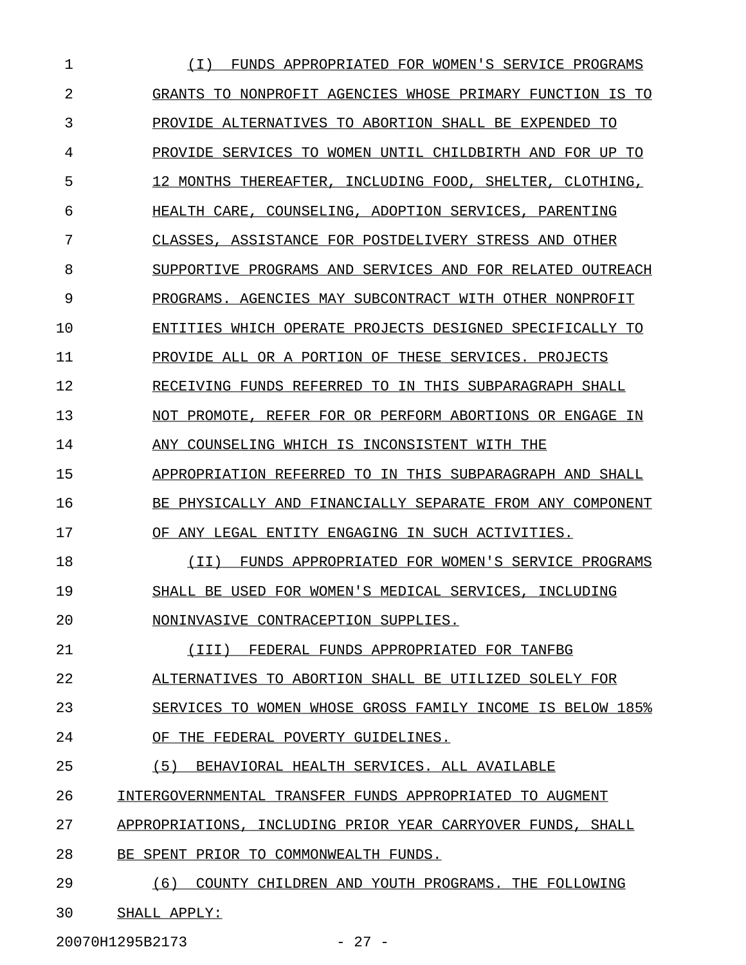| 1  | FUNDS APPROPRIATED FOR WOMEN'S SERVICE PROGRAMS<br>$\bot$    |
|----|--------------------------------------------------------------|
| 2  | GRANTS TO NONPROFIT AGENCIES WHOSE PRIMARY FUNCTION IS<br>TO |
| 3  | PROVIDE ALTERNATIVES TO ABORTION SHALL BE EXPENDED TO        |
| 4  | PROVIDE SERVICES TO WOMEN UNTIL CHILDBIRTH AND FOR UP TO     |
| 5  | 12 MONTHS THEREAFTER, INCLUDING FOOD, SHELTER,<br>CLOTHING,  |
| 6  | COUNSELING, ADOPTION SERVICES, PARENTING<br>HEALTH CARE.     |
| 7  | CLASSES.<br>ASSISTANCE FOR POSTDELIVERY STRESS AND OTHER     |
| 8  | SUPPORTIVE PROGRAMS AND SERVICES AND FOR RELATED OUTREACH    |
| 9  | PROGRAMS.<br>AGENCIES MAY SUBCONTRACT WITH OTHER NONPROFIT   |
| 10 | ENTITIES WHICH OPERATE PROJECTS DESIGNED SPECIFICALLY TO     |
| 11 | PROVIDE ALL OR A PORTION OF THESE SERVICES. PROJECTS         |
| 12 | RECEIVING FUNDS REFERRED TO IN THIS SUBPARAGRAPH SHALL       |
| 13 | NOT PROMOTE, REFER FOR OR PERFORM ABORTIONS OR ENGAGE IN     |
| 14 | ANY COUNSELING WHICH IS INCONSISTENT WITH THE                |
| 15 | APPROPRIATION REFERRED TO IN THIS SUBPARAGRAPH AND SHALL     |
| 16 | BE PHYSICALLY AND FINANCIALLY SEPARATE FROM ANY COMPONENT    |
| 17 | OF ANY LEGAL ENTITY ENGAGING IN SUCH ACTIVITIES.             |
| 18 | FUNDS APPROPRIATED FOR WOMEN'S SERVICE PROGRAMS<br>$TT$ )    |
| 19 | SHALL BE USED FOR WOMEN'S MEDICAL SERVICES, INCLUDING        |
| 20 | NONINVASIVE CONTRACEPTION SUPPLIES.                          |
| 21 | (III) FEDERAL FUNDS APPROPRIATED FOR TANFBG                  |
| 22 | ALTERNATIVES TO ABORTION SHALL BE UTILIZED SOLELY FOR        |
| 23 | SERVICES TO WOMEN WHOSE GROSS FAMILY INCOME IS BELOW 185%    |
| 24 | OF THE FEDERAL POVERTY GUIDELINES.                           |
| 25 | (5)<br>BEHAVIORAL HEALTH SERVICES. ALL AVAILABLE             |
| 26 | INTERGOVERNMENTAL TRANSFER FUNDS APPROPRIATED TO AUGMENT     |
| 27 | APPROPRIATIONS, INCLUDING PRIOR YEAR CARRYOVER FUNDS, SHALL  |
| 28 | BE SPENT PRIOR TO COMMONWEALTH FUNDS.                        |
| 29 | COUNTY CHILDREN AND YOUTH PROGRAMS. THE FOLLOWING<br>(6)     |
| 30 | SHALL APPLY:                                                 |

20070H1295B2173 - 27 -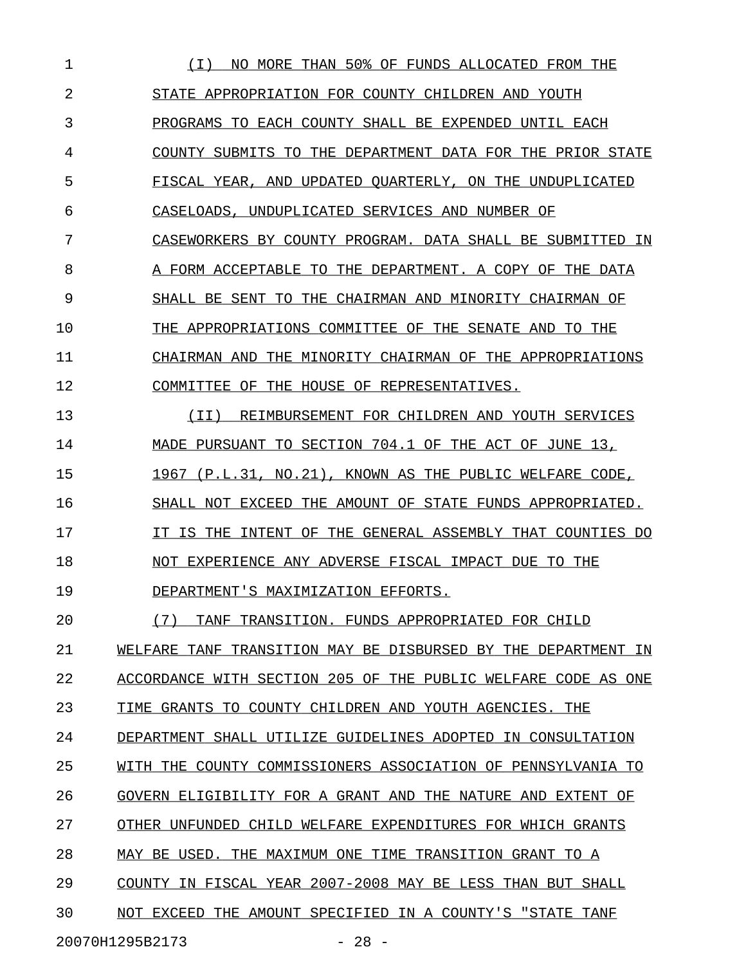1 (I) NO MORE THAN 50% OF FUNDS ALLOCATED FROM THE 2 STATE APPROPRIATION FOR COUNTY CHILDREN AND YOUTH 3 PROGRAMS TO EACH COUNTY SHALL BE EXPENDED UNTIL EACH 4 COUNTY SUBMITS TO THE DEPARTMENT DATA FOR THE PRIOR STATE 5 FISCAL YEAR, AND UPDATED QUARTERLY, ON THE UNDUPLICATED 6 CASELOADS, UNDUPLICATED SERVICES AND NUMBER OF 7 CASEWORKERS BY COUNTY PROGRAM. DATA SHALL BE SUBMITTED IN 8 A FORM ACCEPTABLE TO THE DEPARTMENT. A COPY OF THE DATA 9 SHALL BE SENT TO THE CHAIRMAN AND MINORITY CHAIRMAN OF 10 THE APPROPRIATIONS COMMITTEE OF THE SENATE AND TO THE 11 CHAIRMAN AND THE MINORITY CHAIRMAN OF THE APPROPRIATIONS 12 COMMITTEE OF THE HOUSE OF REPRESENTATIVES. 13 (II) REIMBURSEMENT FOR CHILDREN AND YOUTH SERVICES 14 MADE PURSUANT TO SECTION 704.1 OF THE ACT OF JUNE 13, 15 1967 (P.L.31, NO.21), KNOWN AS THE PUBLIC WELFARE CODE, 16 SHALL NOT EXCEED THE AMOUNT OF STATE FUNDS APPROPRIATED. 17 IT IS THE INTENT OF THE GENERAL ASSEMBLY THAT COUNTIES DO 18 NOT EXPERIENCE ANY ADVERSE FISCAL IMPACT DUE TO THE 19 DEPARTMENT'S MAXIMIZATION EFFORTS. 20 (7) TANF TRANSITION. FUNDS APPROPRIATED FOR CHILD \_\_\_\_\_\_\_\_\_\_\_\_\_\_\_\_\_\_\_\_\_\_\_\_\_\_\_\_\_\_\_\_\_\_\_\_\_\_\_\_\_\_\_\_\_\_\_\_\_\_ 21 WELFARE TANF TRANSITION MAY BE DISBURSED BY THE DEPARTMENT IN 22 ACCORDANCE WITH SECTION 205 OF THE PUBLIC WELFARE CODE AS ONE 23 TIME GRANTS TO COUNTY CHILDREN AND YOUTH AGENCIES. THE 24 DEPARTMENT SHALL UTILIZE GUIDELINES ADOPTED IN CONSULTATION 25 WITH THE COUNTY COMMISSIONERS ASSOCIATION OF PENNSYLVANIA TO 26 GOVERN ELIGIBILITY FOR A GRANT AND THE NATURE AND EXTENT OF 27 OTHER UNFUNDED CHILD WELFARE EXPENDITURES FOR WHICH GRANTS

28 MAY BE USED. THE MAXIMUM ONE TIME TRANSITION GRANT TO A

29 COUNTY IN FISCAL YEAR 2007-2008 MAY BE LESS THAN BUT SHALL

30 NOT EXCEED THE AMOUNT SPECIFIED IN A COUNTY'S "STATE TANF

20070H1295B2173 - 28 -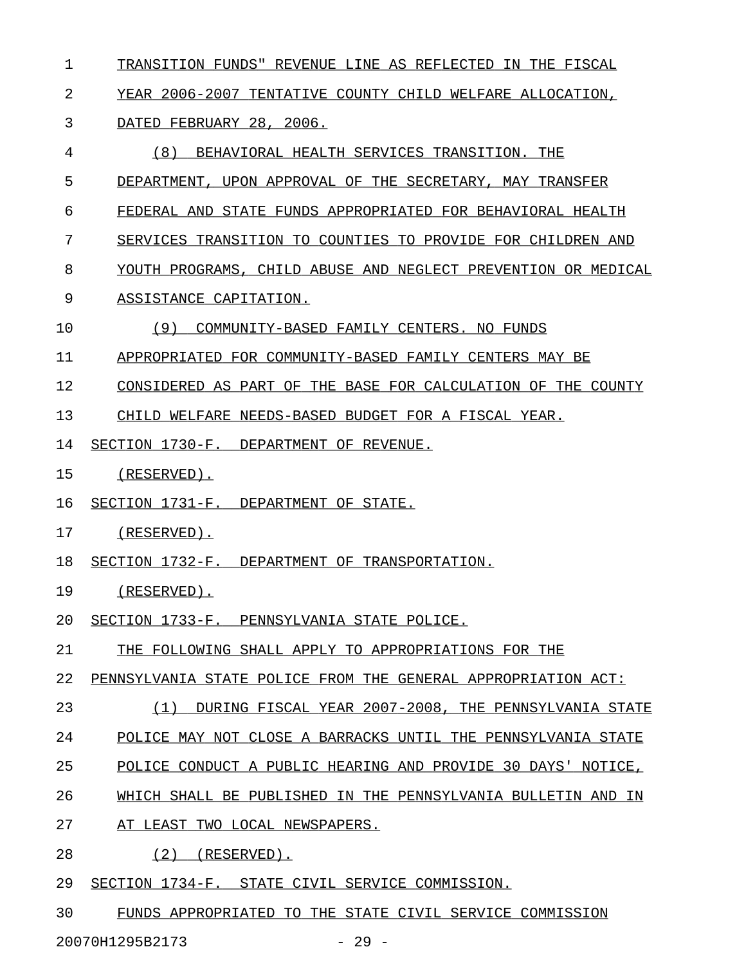1 TRANSITION FUNDS" REVENUE LINE AS REFLECTED IN THE FISCAL

2 YEAR 2006-2007 TENTATIVE COUNTY CHILD WELFARE ALLOCATION,

#### 3 DATED FEBRUARY 28, 2006.

- 4 (8) BEHAVIORAL HEALTH SERVICES TRANSITION. THE \_\_\_\_\_\_\_\_\_\_\_\_\_\_\_\_\_\_\_\_\_\_\_\_\_\_\_\_\_\_\_\_\_\_\_\_\_\_\_\_\_\_\_\_\_\_\_
- 5 DEPARTMENT, UPON APPROVAL OF THE SECRETARY, MAY TRANSFER
- 6 FEDERAL AND STATE FUNDS APPROPRIATED FOR BEHAVIORAL HEALTH
- 7 SERVICES TRANSITION TO COUNTIES TO PROVIDE FOR CHILDREN AND
- 8 YOUTH PROGRAMS, CHILD ABUSE AND NEGLECT PREVENTION OR MEDICAL

#### 9 ASSISTANCE CAPITATION.

10 (9) COMMUNITY-BASED FAMILY CENTERS. NO FUNDS

11 APPROPRIATED FOR COMMUNITY-BASED FAMILY CENTERS MAY BE

12 CONSIDERED AS PART OF THE BASE FOR CALCULATION OF THE COUNTY

13 CHILD WELFARE NEEDS-BASED BUDGET FOR A FISCAL YEAR.

- 14 SECTION 1730-F. DEPARTMENT OF REVENUE.
- 15 (RESERVED).
- 16 SECTION 1731-F. DEPARTMENT OF STATE.
- 17 (RESERVED).
- 18 SECTION 1732-F. DEPARTMENT OF TRANSPORTATION.
- 19 (RESERVED).
- 20 SECTION 1733-F. PENNSYLVANIA STATE POLICE.
- 21 THE FOLLOWING SHALL APPLY TO APPROPRIATIONS FOR THE

22 PENNSYLVANIA STATE POLICE FROM THE GENERAL APPROPRIATION ACT:

- 23 (1) DURING FISCAL YEAR 2007-2008, THE PENNSYLVANIA STATE
- 24 POLICE MAY NOT CLOSE A BARRACKS UNTIL THE PENNSYLVANIA STATE
- 25 POLICE CONDUCT A PUBLIC HEARING AND PROVIDE 30 DAYS' NOTICE,
- 26 WHICH SHALL BE PUBLISHED IN THE PENNSYLVANIA BULLETIN AND IN
- 27 AT LEAST TWO LOCAL NEWSPAPERS.
- 28 (2) (RESERVED).
- 29 SECTION 1734-F. STATE CIVIL SERVICE COMMISSION.
- 30 FUNDS APPROPRIATED TO THE STATE CIVIL SERVICE COMMISSION

20070H1295B2173 - 29 -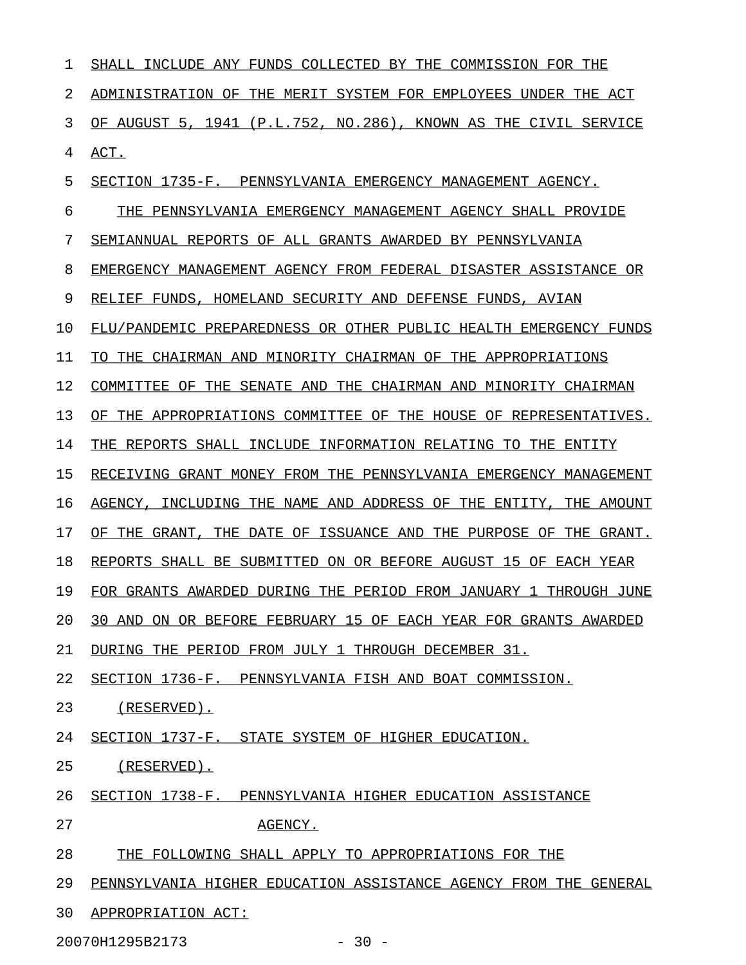| 1  | SHALL INCLUDE ANY FUNDS COLLECTED BY THE COMMISSION FOR THE               |
|----|---------------------------------------------------------------------------|
| 2  | ADMINISTRATION OF THE MERIT SYSTEM FOR EMPLOYEES UNDER THE ACT            |
| 3  | OF AUGUST 5, 1941 (P.L.752, NO.286), KNOWN AS THE CIVIL SERVICE           |
| 4  | ACT.                                                                      |
| 5  | SECTION 1735-F. PENNSYLVANIA EMERGENCY MANAGEMENT AGENCY.                 |
| 6  | THE PENNSYLVANIA EMERGENCY MANAGEMENT AGENCY SHALL PROVIDE                |
| 7  | SEMIANNUAL REPORTS OF ALL GRANTS AWARDED BY PENNSYLVANIA                  |
| 8  | EMERGENCY MANAGEMENT AGENCY FROM FEDERAL DISASTER ASSISTANCE OR           |
| 9  | RELIEF FUNDS. HOMELAND SECURITY AND DEFENSE FUNDS. AVIAN                  |
| 10 | FLU/PANDEMIC PREPAREDNESS OR OTHER PUBLIC HEALTH EMERGENCY FUNDS          |
| 11 | TO THE CHAIRMAN AND MINORITY CHAIRMAN OF THE APPROPRIATIONS               |
| 12 | COMMITTEE OF THE SENATE AND THE CHAIRMAN AND MINORITY CHAIRMAN            |
| 13 | OF THE APPROPRIATIONS COMMITTEE OF THE HOUSE OF REPRESENTATIVES.          |
| 14 | THE REPORTS SHALL INCLUDE INFORMATION RELATING TO THE ENTITY              |
| 15 | RECEIVING GRANT MONEY FROM THE PENNSYLVANIA EMERGENCY MANAGEMENT          |
| 16 | INCLUDING THE NAME AND ADDRESS OF THE ENTITY, THE AMOUNT<br>AGENCY.       |
| 17 | OF THE<br>GRANT.<br>THE DATE OF ISSUANCE AND THE PURPOSE OF<br>THE GRANT. |
| 18 | REPORTS SHALL BE SUBMITTED ON OR BEFORE AUGUST 15 OF EACH YEAR            |
| 19 | FOR GRANTS AWARDED DURING THE PERIOD FROM JANUARY 1 THROUGH JUNE          |
| 20 | 30 AND ON OR BEFORE FEBRUARY 15 OF EACH YEAR FOR GRANTS AWARDED           |
| 21 | DURING THE PERIOD FROM JULY 1 THROUGH DECEMBER 31.                        |
| 22 | SECTION 1736-F. PENNSYLVANIA FISH AND BOAT COMMISSION.                    |
| 23 | (RESERVED).                                                               |
| 24 | SECTION 1737-F. STATE SYSTEM OF HIGHER EDUCATION.                         |
| 25 | (RESERVED).                                                               |
| 26 | SECTION 1738-F. PENNSYLVANIA HIGHER EDUCATION ASSISTANCE                  |
| 27 | AGENCY.                                                                   |
| 28 | THE FOLLOWING SHALL APPLY TO APPROPRIATIONS FOR THE                       |
| 29 | PENNSYLVANIA HIGHER EDUCATION ASSISTANCE AGENCY FROM THE GENERAL          |
| 30 | APPROPRIATION ACT:                                                        |

20070H1295B2173 - 30 -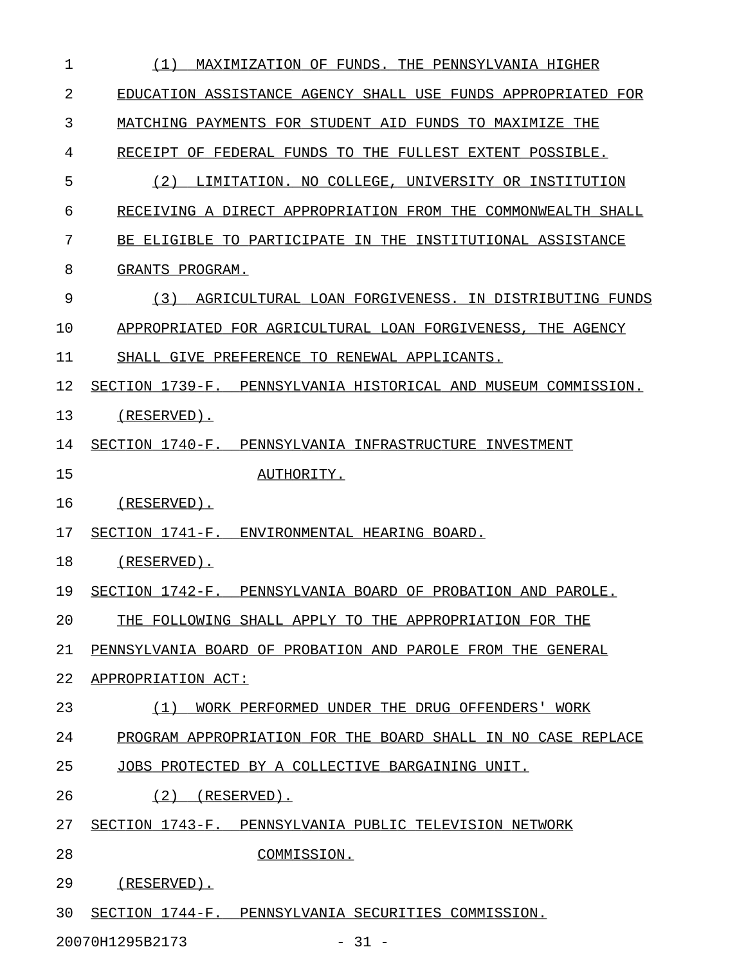| (1)<br>MAXIMIZATION OF FUNDS. THE PENNSYLVANIA HIGHER          |
|----------------------------------------------------------------|
| EDUCATION ASSISTANCE AGENCY SHALL USE FUNDS APPROPRIATED FOR   |
| MATCHING PAYMENTS FOR STUDENT AID FUNDS TO MAXIMIZE THE        |
| RECEIPT OF FEDERAL FUNDS TO THE FULLEST EXTENT POSSIBLE.       |
| (2)<br>LIMITATION. NO COLLEGE, UNIVERSITY OR INSTITUTION       |
| RECEIVING A DIRECT APPROPRIATION FROM THE COMMONWEALTH SHALL   |
| BE ELIGIBLE TO PARTICIPATE IN THE INSTITUTIONAL ASSISTANCE     |
| GRANTS PROGRAM.                                                |
| (3)<br>AGRICULTURAL LOAN FORGIVENESS. IN DISTRIBUTING FUNDS    |
| APPROPRIATED FOR AGRICULTURAL LOAN FORGIVENESS, THE AGENCY     |
| SHALL GIVE PREFERENCE TO RENEWAL APPLICANTS.                   |
| SECTION 1739-F. PENNSYLVANIA HISTORICAL AND MUSEUM COMMISSION. |
| $(RESERVED)$ .                                                 |
| SECTION 1740-F. PENNSYLVANIA INFRASTRUCTURE INVESTMENT         |
| AUTHORITY.                                                     |
| $(RESERVED)$ .                                                 |
| SECTION 1741-F. ENVIRONMENTAL HEARING BOARD.                   |
| $(RESERVED)$ .                                                 |
| SECTION 1742-F. PENNSYLVANIA BOARD OF PROBATION AND PAROLE.    |
| THE FOLLOWING SHALL APPLY TO THE APPROPRIATION FOR THE         |
| PENNSYLVANIA BOARD OF PROBATION AND PAROLE FROM THE GENERAL    |
| APPROPRIATION ACT:                                             |
| WORK PERFORMED UNDER THE DRUG OFFENDERS' WORK<br>(1)           |
| PROGRAM APPROPRIATION FOR THE BOARD SHALL IN NO CASE REPLACE   |
| JOBS PROTECTED BY A COLLECTIVE BARGAINING UNIT.                |
| $(2)$ (RESERVED).                                              |
| SECTION 1743-F. PENNSYLVANIA PUBLIC TELEVISION NETWORK         |
| COMMISSION.                                                    |
| (RESERVED).                                                    |
| SECTION 1744-F. PENNSYLVANIA SECURITIES COMMISSION.            |
|                                                                |

20070H1295B2173 - 31 -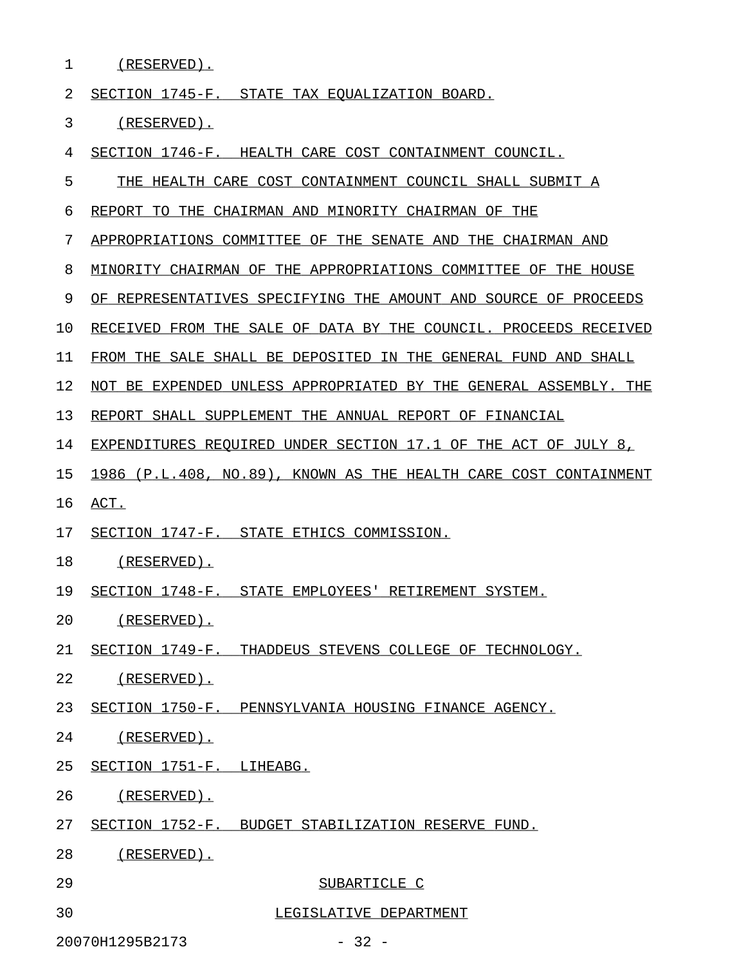1 (RESERVED).

2 SECTION 1745-F. STATE TAX EQUALIZATION BOARD.

3 (RESERVED).

4 SECTION 1746-F. HEALTH CARE COST CONTAINMENT COUNCIL.

5 THE HEALTH CARE COST CONTAINMENT COUNCIL SHALL SUBMIT A

6 REPORT TO THE CHAIRMAN AND MINORITY CHAIRMAN OF THE

7 APPROPRIATIONS COMMITTEE OF THE SENATE AND THE CHAIRMAN AND

8 MINORITY CHAIRMAN OF THE APPROPRIATIONS COMMITTEE OF THE HOUSE

9 OF REPRESENTATIVES SPECIFYING THE AMOUNT AND SOURCE OF PROCEEDS

10 RECEIVED FROM THE SALE OF DATA BY THE COUNCIL. PROCEEDS RECEIVED

11 FROM THE SALE SHALL BE DEPOSITED IN THE GENERAL FUND AND SHALL

12 NOT BE EXPENDED UNLESS APPROPRIATED BY THE GENERAL ASSEMBLY. THE

13 REPORT SHALL SUPPLEMENT THE ANNUAL REPORT OF FINANCIAL

14 EXPENDITURES REQUIRED UNDER SECTION 17.1 OF THE ACT OF JULY 8,

15 1986 (P.L.408, NO.89), KNOWN AS THE HEALTH CARE COST CONTAINMENT

16 ACT. \_\_\_\_

17 SECTION 1747-F. STATE ETHICS COMMISSION.

18 (RESERVED).

19 SECTION 1748-F. STATE EMPLOYEES' RETIREMENT SYSTEM.

20 (RESERVED).

21 SECTION 1749-F. THADDEUS STEVENS COLLEGE OF TECHNOLOGY.

22 (RESERVED).

23 SECTION 1750-F. PENNSYLVANIA HOUSING FINANCE AGENCY.

24 (RESERVED).

25 SECTION 1751-F. LIHEABG.

26 (RESERVED).

27 SECTION 1752-F. BUDGET STABILIZATION RESERVE FUND.

28 (RESERVED).

- 29 SUBARTICLE C
- 30 LEGISLATIVE DEPARTMENT

20070H1295B2173 - 32 -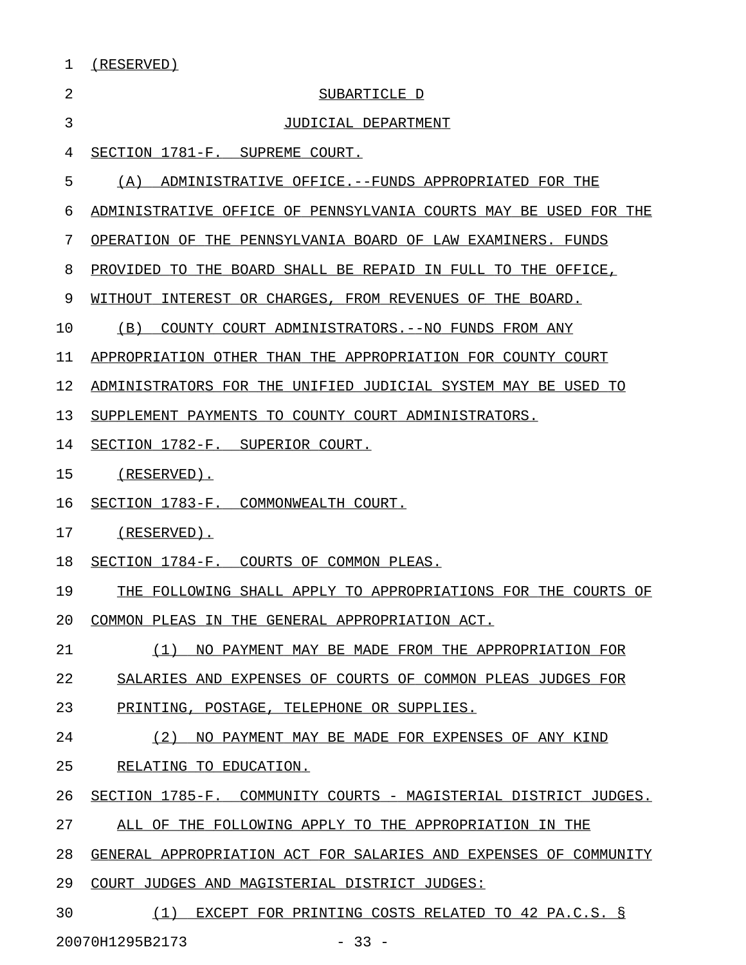| (RESERVED) |  |
|------------|--|
|            |  |

| 2  | SUBARTICLE D                                                     |
|----|------------------------------------------------------------------|
| 3  | JUDICIAL DEPARTMENT                                              |
| 4  | SECTION 1781-F. SUPREME COURT.                                   |
| 5  | (A)<br>ADMINISTRATIVE OFFICE.--FUNDS APPROPRIATED FOR THE        |
| 6  | ADMINISTRATIVE OFFICE OF PENNSYLVANIA COURTS MAY BE USED FOR THE |
| 7  | OPERATION OF THE PENNSYLVANIA BOARD OF LAW EXAMINERS. FUNDS      |
| 8  | PROVIDED<br>TO THE BOARD SHALL BE REPAID IN FULL TO THE OFFICE,  |
| 9  | WITHOUT<br>INTEREST OR CHARGES, FROM REVENUES OF THE BOARD.      |
| 10 | COUNTY COURT ADMINISTRATORS. -- NO FUNDS FROM ANY<br>(B)         |
| 11 | APPROPRIATION OTHER THAN THE APPROPRIATION FOR COUNTY COURT      |
| 12 | ADMINISTRATORS FOR THE UNIFIED JUDICIAL SYSTEM MAY BE USED TO    |
| 13 | SUPPLEMENT PAYMENTS TO COUNTY COURT ADMINISTRATORS.              |
| 14 | SECTION 1782-F. SUPERIOR COURT.                                  |
| 15 | (RESERVED).                                                      |
| 16 | SECTION 1783-F. COMMONWEALTH COURT.                              |
| 17 | $(RESERVED)$ .                                                   |
| 18 | SECTION 1784-F. COURTS OF COMMON PLEAS.                          |
| 19 | THE FOLLOWING SHALL APPLY TO APPROPRIATIONS FOR THE COURTS OF    |
| 20 | COMMON PLEAS IN THE GENERAL APPROPRIATION ACT                    |
| 21 | (1)<br>NO PAYMENT MAY BE MADE FROM THE APPROPRIATION FOR         |
| 22 | SALARIES AND EXPENSES OF COURTS OF COMMON PLEAS JUDGES FOR       |
| 23 | PRINTING, POSTAGE, TELEPHONE OR SUPPLIES.                        |
| 24 | (2)<br>NO PAYMENT MAY BE MADE FOR EXPENSES OF ANY KIND           |
| 25 | RELATING TO EDUCATION.                                           |
| 26 | SECTION 1785-F. COMMUNITY COURTS - MAGISTERIAL DISTRICT JUDGES.  |
| 27 | ALL OF THE FOLLOWING APPLY TO THE APPROPRIATION IN THE           |
| 28 | GENERAL APPROPRIATION ACT FOR SALARIES AND EXPENSES OF COMMUNITY |
| 29 | COURT JUDGES AND MAGISTERIAL DISTRICT JUDGES:                    |
| 30 | EXCEPT FOR PRINTING COSTS RELATED TO 42 PA.C.S. §<br>(1)         |

20070H1295B2173 - 33 -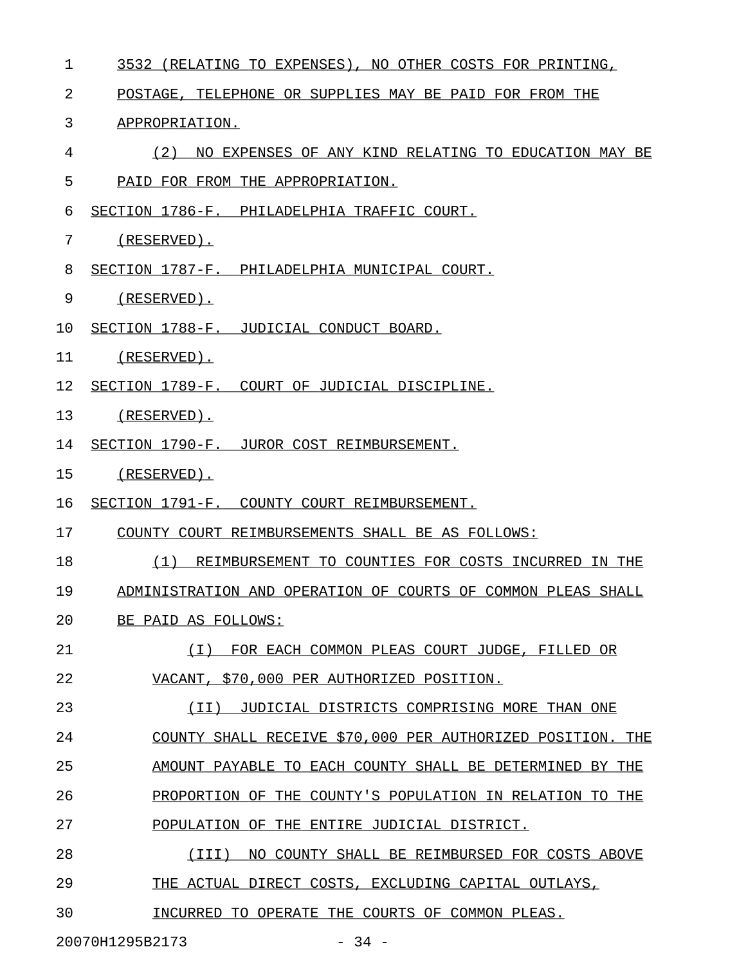| 1  | 3532<br>(RELATING TO EXPENSES), NO OTHER COSTS FOR PRINTING, |
|----|--------------------------------------------------------------|
| 2  | POSTAGE, TELEPHONE OR SUPPLIES MAY BE PAID FOR FROM THE      |
| 3  | APPROPRIATION.                                               |
| 4  | (2)<br>NO EXPENSES OF ANY KIND RELATING TO EDUCATION MAY BE  |
| 5  | PAID FOR FROM THE APPROPRIATION.                             |
| 6  | SECTION 1786-F. PHILADELPHIA TRAFFIC COURT.                  |
| 7  | $(RESERVED)$ .                                               |
| 8  | SECTION 1787-F. PHILADELPHIA MUNICIPAL COURT.                |
| 9  | $(RESERVED)$ .                                               |
| 10 | SECTION 1788-F. JUDICIAL CONDUCT BOARD.                      |
| 11 | $(RESERVED)$ .                                               |
| 12 | SECTION 1789-F. COURT OF JUDICIAL DISCIPLINE.                |
| 13 | $(RESERVED)$ .                                               |
| 14 | SECTION 1790-F. JUROR COST REIMBURSEMENT.                    |
| 15 | $(RESERVED)$ .                                               |
| 16 | SECTION 1791-F. COUNTY COURT REIMBURSEMENT.                  |
| 17 | COUNTY COURT REIMBURSEMENTS SHALL BE AS FOLLOWS:             |
| 18 | (1)<br>REIMBURSEMENT TO COUNTIES FOR COSTS INCURRED IN THE   |
| 19 | ADMINISTRATION AND OPERATION OF COURTS OF COMMON PLEAS SHALL |
| 20 | BE PAID AS FOLLOWS:                                          |
| 21 | (I) FOR EACH COMMON PLEAS COURT JUDGE, FILLED OR             |
| 22 | VACANT, \$70,000 PER AUTHORIZED POSITION.                    |
| 23 | (II) JUDICIAL DISTRICTS COMPRISING MORE THAN ONE             |
| 24 | COUNTY SHALL RECEIVE \$70,000 PER AUTHORIZED POSITION. THE   |
| 25 | AMOUNT PAYABLE TO EACH COUNTY SHALL BE DETERMINED BY THE     |
| 26 | PROPORTION OF THE COUNTY'S POPULATION IN RELATION TO THE     |
| 27 | POPULATION OF THE ENTIRE JUDICIAL DISTRICT.                  |
| 28 | (III)<br>NO COUNTY SHALL BE REIMBURSED FOR COSTS ABOVE       |
| 29 | THE ACTUAL DIRECT COSTS, EXCLUDING CAPITAL OUTLAYS,          |
| 30 | INCURRED TO OPERATE THE COURTS OF COMMON PLEAS.              |

20070H1295B2173 - 34 -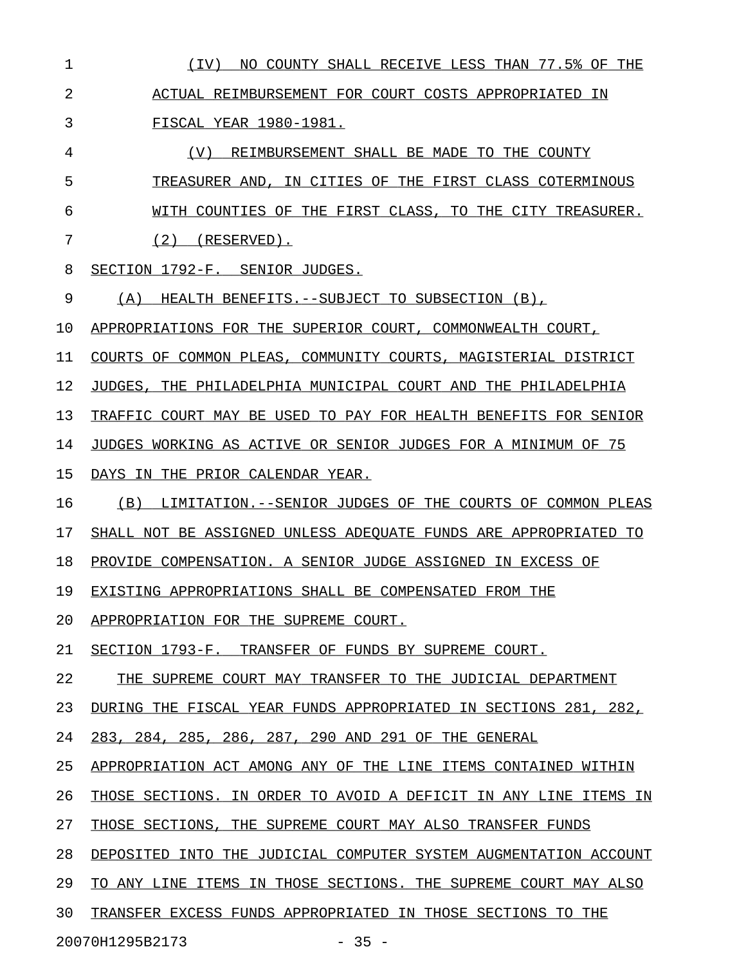| $\mathbf 1$    | (IV) NO COUNTY SHALL RECEIVE LESS THAN 77.5% OF THE                   |
|----------------|-----------------------------------------------------------------------|
| $\overline{2}$ | ACTUAL REIMBURSEMENT FOR COURT COSTS APPROPRIATED IN                  |
| 3              | FISCAL YEAR 1980-1981.                                                |
| 4              | (V) REIMBURSEMENT SHALL BE MADE TO THE COUNTY                         |
| 5              | TREASURER AND, IN CITIES OF THE FIRST CLASS COTERMINOUS               |
| 6              | WITH COUNTIES OF THE FIRST CLASS, TO THE CITY TREASURER.              |
| 7              | $(2)$ (RESERVED).                                                     |
| 8              | SECTION 1792-F. SENIOR JUDGES.                                        |
| 9              | (A) HEALTH BENEFITS. -- SUBJECT TO SUBSECTION (B),                    |
| 10             | APPROPRIATIONS FOR THE SUPERIOR COURT, COMMONWEALTH COURT,            |
| 11             | COURTS OF COMMON PLEAS, COMMUNITY COURTS, MAGISTERIAL DISTRICT        |
| 12             | JUDGES, THE PHILADELPHIA MUNICIPAL COURT AND THE PHILADELPHIA         |
| 13             | TRAFFIC COURT MAY BE USED TO PAY FOR HEALTH BENEFITS FOR SENIOR       |
| 14             | JUDGES WORKING AS ACTIVE OR SENIOR JUDGES FOR A MINIMUM OF 75         |
| 15             | DAYS IN THE PRIOR CALENDAR YEAR.                                      |
| 16             | (B) LIMITATION. -- SENIOR JUDGES OF THE COURTS OF COMMON PLEAS        |
| 17             | SHALL NOT BE ASSIGNED UNLESS ADEOUATE FUNDS ARE APPROPRIATED TO       |
| 18             | PROVIDE COMPENSATION. A SENIOR JUDGE ASSIGNED IN EXCESS OF            |
| 19             | EXISTING APPROPRIATIONS SHALL BE COMPENSATED FROM THE                 |
| 20             | APPROPRIATION FOR THE SUPREME COURT.                                  |
| 21             | SECTION 1793-F.<br>TRANSFER OF FUNDS BY SUPREME COURT.                |
| 22             | SUPREME COURT MAY TRANSFER TO THE JUDICIAL DEPARTMENT<br>THE          |
| 23             | DURING THE FISCAL YEAR FUNDS APPROPRIATED IN SECTIONS 281,<br>282,    |
| 24             | 283, 284, 285, 286, 287, 290 AND 291 OF THE GENERAL                   |
| 25             | APPROPRIATION ACT AMONG ANY OF THE LINE ITEMS CONTAINED<br>WITHIN     |
| 26             | THOSE SECTIONS. IN ORDER TO AVOID A DEFICIT IN ANY LINE<br>ITEMS IN   |
| 27             | THE SUPREME COURT MAY ALSO TRANSFER FUNDS<br>THOSE SECTIONS.          |
| 28             | DEPOSITED INTO THE JUDICIAL COMPUTER SYSTEM AUGMENTATION ACCOUNT      |
| 29             | ITEMS IN THOSE SECTIONS.<br>TO ANY LINE<br>THE SUPREME COURT MAY ALSO |
| 30             | TRANSFER EXCESS FUNDS APPROPRIATED IN THOSE SECTIONS TO THE           |
|                | 20070H1295B2173<br>$-35 -$                                            |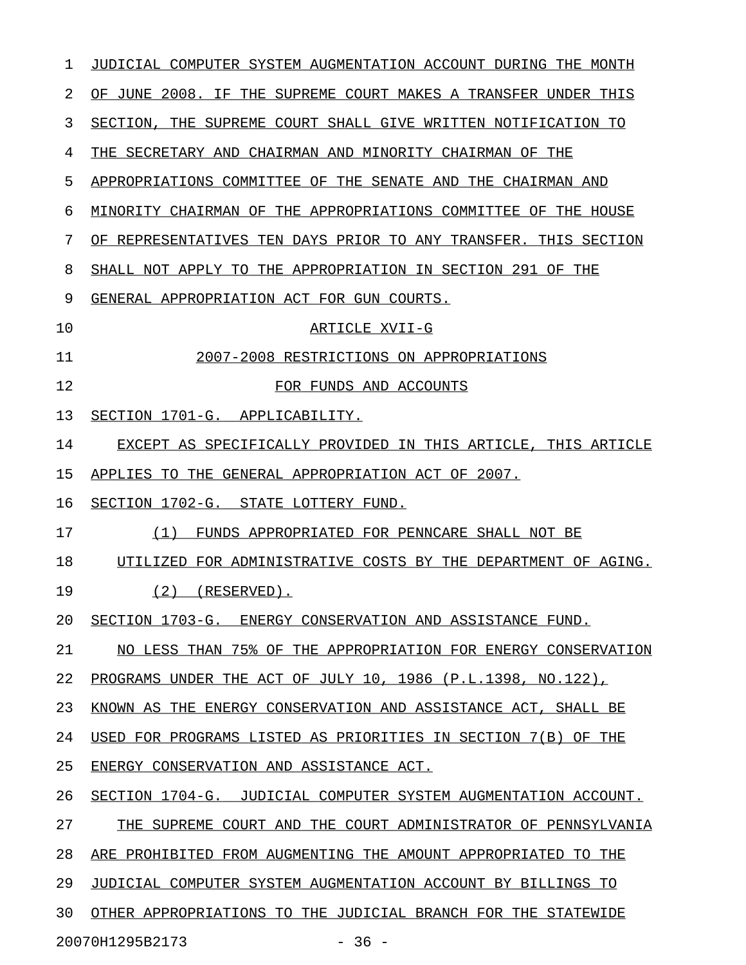| 1  | JUDICIAL COMPUTER SYSTEM AUGMENTATION ACCOUNT DURING THE MONTH   |
|----|------------------------------------------------------------------|
| 2  | OF JUNE 2008. IF THE SUPREME COURT MAKES A TRANSFER UNDER THIS   |
| 3  | SECTION,<br>THE SUPREME COURT SHALL GIVE WRITTEN NOTIFICATION TO |
| 4  | THE SECRETARY AND CHAIRMAN AND MINORITY CHAIRMAN OF THE          |
| 5  | APPROPRIATIONS COMMITTEE OF THE SENATE AND THE CHAIRMAN AND      |
| 6  | MINORITY CHAIRMAN OF THE APPROPRIATIONS COMMITTEE OF THE HOUSE   |
| 7  | OF REPRESENTATIVES TEN DAYS PRIOR TO ANY TRANSFER. THIS SECTION  |
| 8  | SHALL NOT APPLY TO THE APPROPRIATION IN SECTION 291 OF THE       |
| 9  | GENERAL APPROPRIATION ACT FOR GUN COURTS.                        |
| 10 | ARTICLE XVII-G                                                   |
| 11 | 2007-2008 RESTRICTIONS ON APPROPRIATIONS                         |
| 12 | FOR FUNDS AND ACCOUNTS                                           |
| 13 | SECTION 1701-G. APPLICABILITY.                                   |
| 14 | EXCEPT AS SPECIFICALLY PROVIDED IN THIS ARTICLE, THIS ARTICLE    |
| 15 | APPLIES TO THE GENERAL APPROPRIATION ACT OF 2007.                |
| 16 | SECTION 1702-G. STATE LOTTERY FUND.                              |
| 17 | (1)<br>FUNDS APPROPRIATED FOR PENNCARE SHALL NOT BE              |
| 18 | FOR ADMINISTRATIVE COSTS BY THE DEPARTMENT OF AGING.<br>UTILIZED |
| 19 | (2)<br>$(RESERVED)$ .                                            |
| 20 | SECTION 1703-G. ENERGY CONSERVATION AND ASSISTANCE FUND.         |
| 21 | NO LESS THAN 75% OF THE APPROPRIATION FOR ENERGY CONSERVATION    |
| 22 | PROGRAMS UNDER THE ACT OF JULY 10, 1986 (P.L.1398, NO.122),      |
| 23 | KNOWN AS THE ENERGY CONSERVATION AND ASSISTANCE ACT, SHALL BE    |
| 24 | USED FOR PROGRAMS LISTED AS PRIORITIES IN SECTION 7(B) OF THE    |
| 25 | ENERGY CONSERVATION AND ASSISTANCE ACT.                          |
| 26 | SECTION 1704-G. JUDICIAL COMPUTER SYSTEM AUGMENTATION ACCOUNT.   |
| 27 | THE SUPREME COURT AND THE COURT ADMINISTRATOR OF PENNSYLVANIA    |
| 28 | ARE PROHIBITED FROM AUGMENTING THE AMOUNT APPROPRIATED TO THE    |
| 29 | JUDICIAL COMPUTER SYSTEM AUGMENTATION ACCOUNT BY BILLINGS TO     |
| 30 | OTHER APPROPRIATIONS TO THE JUDICIAL BRANCH FOR THE STATEWIDE    |
|    | $-36 -$<br>20070H1295B2173                                       |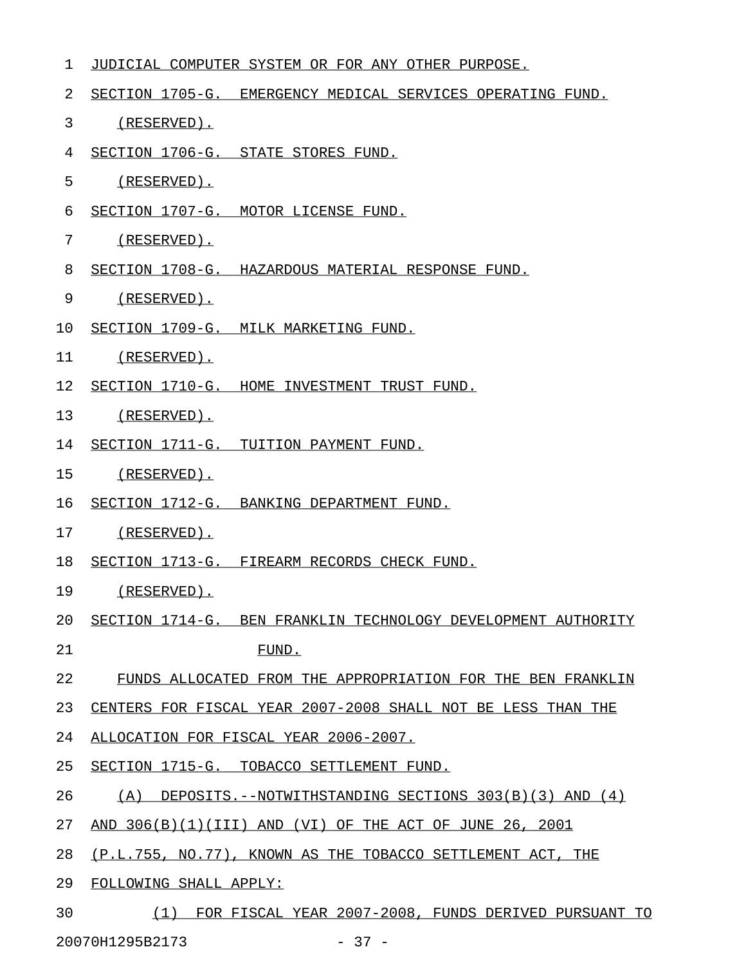| 1  | JUDICIAL COMPUTER SYSTEM OR FOR ANY OTHER PURPOSE.                  |
|----|---------------------------------------------------------------------|
| 2  | SECTION 1705-G. EMERGENCY MEDICAL SERVICES OPERATING FUND.          |
| 3  | $(RESERVED)$ .                                                      |
| 4  | SECTION 1706-G. STATE STORES FUND.                                  |
| 5  | $(RESERVED)$ .                                                      |
| 6  | SECTION 1707-G. MOTOR LICENSE FUND.                                 |
| 7  | (RESERVED).                                                         |
| 8  | SECTION 1708-G. HAZARDOUS MATERIAL RESPONSE FUND.                   |
| 9  | (RESERVED).                                                         |
| 10 | SECTION 1709-G. MILK MARKETING FUND.                                |
| 11 | (RESERVED).                                                         |
| 12 | SECTION 1710-G. HOME INVESTMENT TRUST FUND.                         |
| 13 | (RESERVED).                                                         |
| 14 | SECTION 1711-G. TUITION PAYMENT FUND.                               |
| 15 | $(RESERVED)$ .                                                      |
| 16 | SECTION 1712-G. BANKING DEPARTMENT FUND.                            |
| 17 | $(RESERVED)$ .                                                      |
| 18 | SECTION 1713-G. FIREARM RECORDS CHECK FUND.                         |
| 19 | $(RESERVED)$ .                                                      |
| 20 | SECTION 1714-G. BEN FRANKLIN TECHNOLOGY DEVELOPMENT AUTHORITY       |
| 21 | FUND.                                                               |
| 22 | FUNDS ALLOCATED FROM THE APPROPRIATION FOR THE BEN FRANKLIN         |
| 23 | CENTERS FOR FISCAL YEAR 2007-2008 SHALL NOT BE LESS THAN THE        |
| 24 | ALLOCATION FOR FISCAL YEAR 2006-2007.                               |
| 25 | SECTION 1715-G. TOBACCO SETTLEMENT FUND.                            |
| 26 | $(A)$ DEPOSITS.--NOTWITHSTANDING SECTIONS 303(B)(3) AND (4)         |
| 27 | AND 306(B)(1)(III) AND (VI) OF THE ACT OF JUNE 26, 2001             |
| 28 | (P.L.755, NO.77), KNOWN AS THE TOBACCO SETTLEMENT ACT, THE          |
| 29 | FOLLOWING SHALL APPLY:                                              |
| 20 | ידוא גוזס סוזם חים זו היו בתוחות המחל ברחת כתום עם היה של היו לו לו |

30 (1) FOR FISCAL YEAR 2007-2008, FUNDS DERIVED PURSUANT TO 20070H1295B2173 - 37 -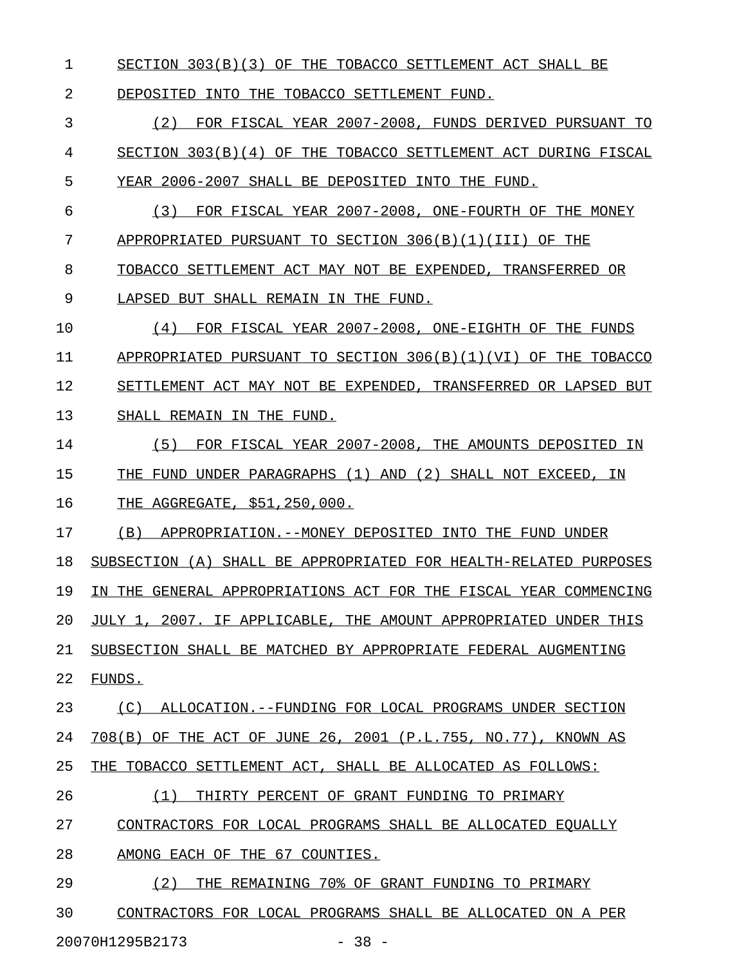1 SECTION 303(B)(3) OF THE TOBACCO SETTLEMENT ACT SHALL BE

2 DEPOSITED INTO THE TOBACCO SETTLEMENT FUND.

3 6 (2) FOR FISCAL YEAR 2007-2008, FUNDS DERIVED PURSUANT TO 4 SECTION 303(B)(4) OF THE TOBACCO SETTLEMENT ACT DURING FISCAL 5 YEAR 2006-2007 SHALL BE DEPOSITED INTO THE FUND.

6 (3) FOR FISCAL YEAR 2007-2008, ONE-FOURTH OF THE MONEY 7 APPROPRIATED PURSUANT TO SECTION 306(B)(1)(III) OF THE

8 TOBACCO SETTLEMENT ACT MAY NOT BE EXPENDED, TRANSFERRED OR

9 LAPSED BUT SHALL REMAIN IN THE FUND.

10 (4) FOR FISCAL YEAR 2007-2008, ONE-EIGHTH OF THE FUNDS \_\_\_\_\_\_\_\_\_\_\_\_\_\_\_\_\_\_\_\_\_\_\_\_\_\_\_\_\_\_\_\_\_\_\_\_\_\_\_\_\_\_\_\_\_\_\_\_\_\_\_\_\_\_\_ 11 APPROPRIATED PURSUANT TO SECTION 306(B)(1)(VI) OF THE TOBACCO 12 SETTLEMENT ACT MAY NOT BE EXPENDED, TRANSFERRED OR LAPSED BUT 13 SHALL REMAIN IN THE FUND.

- 14 (5) FOR FISCAL YEAR 2007-2008, THE AMOUNTS DEPOSITED IN \_\_\_\_\_\_\_\_\_\_\_\_\_\_\_\_\_\_\_\_\_\_\_\_\_\_\_\_\_\_\_\_\_\_\_\_\_\_\_\_\_\_\_\_\_\_\_\_\_\_\_\_\_\_\_\_ 15 THE FUND UNDER PARAGRAPHS (1) AND (2) SHALL NOT EXCEED, IN 16 THE AGGREGATE, \$51,250,000.
- 17 (B) APPROPRIATION.--MONEY DEPOSITED INTO THE FUND UNDER

18 SUBSECTION (A) SHALL BE APPROPRIATED FOR HEALTH-RELATED PURPOSES 19 IN THE GENERAL APPROPRIATIONS ACT FOR THE FISCAL YEAR COMMENCING 20 JULY 1, 2007. IF APPLICABLE, THE AMOUNT APPROPRIATED UNDER THIS 21 SUBSECTION SHALL BE MATCHED BY APPROPRIATE FEDERAL AUGMENTING

22 FUNDS.

23 (C) ALLOCATION.--FUNDING FOR LOCAL PROGRAMS UNDER SECTION 24 708(B) OF THE ACT OF JUNE 26, 2001 (P.L.755, NO.77), KNOWN AS 25 THE TOBACCO SETTLEMENT ACT, SHALL BE ALLOCATED AS FOLLOWS:

26 (1) THIRTY PERCENT OF GRANT FUNDING TO PRIMARY \_\_\_\_\_\_\_\_\_\_\_\_\_\_\_\_\_\_\_\_\_\_\_\_\_\_\_\_\_\_\_\_\_\_\_\_\_\_\_\_\_\_\_\_\_\_\_

27 CONTRACTORS FOR LOCAL PROGRAMS SHALL BE ALLOCATED EQUALLY

28 AMONG EACH OF THE 67 COUNTIES.

29 (2) THE REMAINING 70% OF GRANT FUNDING TO PRIMARY 30 CONTRACTORS FOR LOCAL PROGRAMS SHALL BE ALLOCATED ON A PER

20070H1295B2173 - 38 -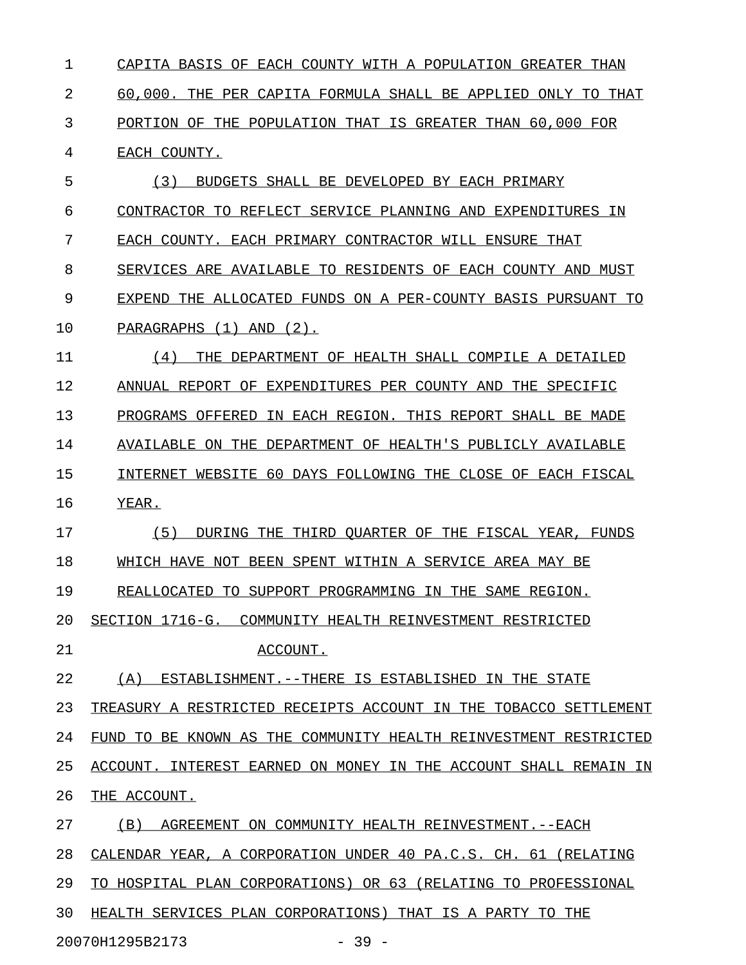1 CAPITA BASIS OF EACH COUNTY WITH A POPULATION GREATER THAN 2 60,000. THE PER CAPITA FORMULA SHALL BE APPLIED ONLY TO THAT 3 PORTION OF THE POPULATION THAT IS GREATER THAN 60,000 FOR 4 EACH COUNTY. 5 (3) BUDGETS SHALL BE DEVELOPED BY EACH PRIMARY 6 CONTRACTOR TO REFLECT SERVICE PLANNING AND EXPENDITURES IN 7 EACH COUNTY. EACH PRIMARY CONTRACTOR WILL ENSURE THAT 8 SERVICES ARE AVAILABLE TO RESIDENTS OF EACH COUNTY AND MUST 9 EXPEND THE ALLOCATED FUNDS ON A PER-COUNTY BASIS PURSUANT TO 10 PARAGRAPHS (1) AND (2). 11 (4) THE DEPARTMENT OF HEALTH SHALL COMPILE A DETAILED 12 ANNUAL REPORT OF EXPENDITURES PER COUNTY AND THE SPECIFIC

13 PROGRAMS OFFERED IN EACH REGION. THIS REPORT SHALL BE MADE 14 AVAILABLE ON THE DEPARTMENT OF HEALTH'S PUBLICLY AVAILABLE 15 INTERNET WEBSITE 60 DAYS FOLLOWING THE CLOSE OF EACH FISCAL

16 YEAR.

17 (5) DURING THE THIRD QUARTER OF THE FISCAL YEAR, FUNDS 18 WHICH HAVE NOT BEEN SPENT WITHIN A SERVICE AREA MAY BE 19 REALLOCATED TO SUPPORT PROGRAMMING IN THE SAME REGION.

20 SECTION 1716-G. COMMUNITY HEALTH REINVESTMENT RESTRICTED

21 ACCOUNT.

22 (A) ESTABLISHMENT.--THERE IS ESTABLISHED IN THE STATE

23 TREASURY A RESTRICTED RECEIPTS ACCOUNT IN THE TOBACCO SETTLEMENT 24 FUND TO BE KNOWN AS THE COMMUNITY HEALTH REINVESTMENT RESTRICTED 25 ACCOUNT. INTEREST EARNED ON MONEY IN THE ACCOUNT SHALL REMAIN IN 26 THE ACCOUNT.

27 (B) AGREEMENT ON COMMUNITY HEALTH REINVESTMENT. --EACH 28 CALENDAR YEAR, A CORPORATION UNDER 40 PA.C.S. CH. 61 (RELATING 29 TO HOSPITAL PLAN CORPORATIONS) OR 63 (RELATING TO PROFESSIONAL 30 HEALTH SERVICES PLAN CORPORATIONS) THAT IS A PARTY TO THE 20070H1295B2173 - 39 -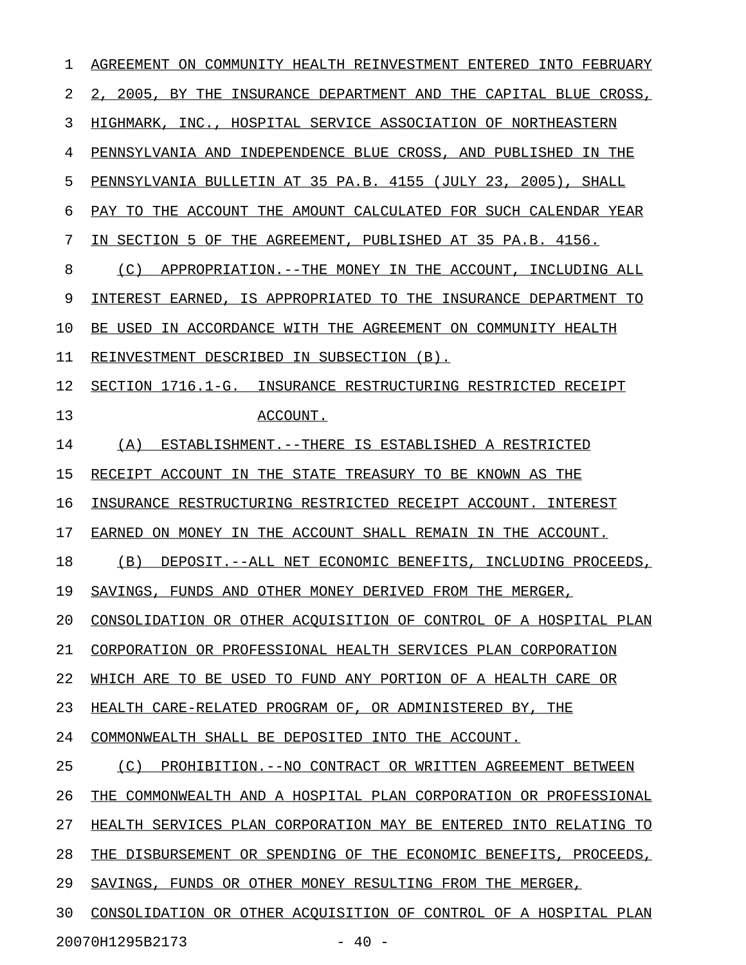| 1  | AGREEMENT ON COMMUNITY HEALTH REINVESTMENT ENTERED<br>INTO FEBRUARY |
|----|---------------------------------------------------------------------|
| 2  | 2, 2005, BY THE INSURANCE DEPARTMENT AND THE CAPITAL BLUE CROSS,    |
| 3  | HIGHMARK, INC., HOSPITAL SERVICE ASSOCIATION OF NORTHEASTERN        |
| 4  | PENNSYLVANIA AND INDEPENDENCE BLUE CROSS, AND PUBLISHED IN THE      |
| 5  | PENNSYLVANIA BULLETIN AT 35 PA.B. 4155 (JULY 23, 2005), SHALL       |
| 6  | PAY TO THE ACCOUNT THE AMOUNT CALCULATED FOR SUCH CALENDAR YEAR     |
| 7  | IN SECTION 5 OF THE AGREEMENT, PUBLISHED AT 35 PA.B. 4156.          |
| 8  | (C)<br>APPROPRIATION.--THE MONEY IN THE ACCOUNT, INCLUDING ALL      |
| 9  | INTEREST EARNED, IS APPROPRIATED TO THE INSURANCE DEPARTMENT TO     |
| 10 | BE USED IN ACCORDANCE WITH THE AGREEMENT ON COMMUNITY HEALTH        |
| 11 | REINVESTMENT DESCRIBED IN SUBSECTION (B).                           |
| 12 | SECTION 1716.1-G. INSURANCE RESTRUCTURING RESTRICTED RECEIPT        |
| 13 | ACCOUNT.                                                            |
| 14 | (A)<br>ESTABLISHMENT.--THERE IS ESTABLISHED A RESTRICTED            |
| 15 | RECEIPT ACCOUNT IN THE STATE TREASURY TO BE KNOWN AS THE            |
| 16 | INSURANCE RESTRUCTURING RESTRICTED RECEIPT ACCOUNT. INTEREST        |
| 17 | ON MONEY IN THE ACCOUNT SHALL REMAIN IN THE ACCOUNT.<br>EARNED      |
| 18 | (B)<br>DEPOSIT.--ALL NET ECONOMIC BENEFITS, INCLUDING PROCEEDS,     |
| 19 | SAVINGS, FUNDS AND OTHER MONEY DERIVED FROM THE MERGER,             |
| 20 | CONSOLIDATION OR OTHER ACOUISITION OF CONTROL OF A HOSPITAL PLAN    |
| 21 | CORPORATION OR PROFESSIONAL HEALTH SERVICES PLAN CORPORATION        |
| 22 | WHICH ARE TO BE USED TO FUND ANY PORTION OF A HEALTH CARE OR        |
| 23 | HEALTH CARE-RELATED PROGRAM OF, OR ADMINISTERED BY, THE             |
| 24 | COMMONWEALTH SHALL BE DEPOSITED INTO THE ACCOUNT.                   |
| 25 | (C) PROHIBITION. -- NO CONTRACT OR WRITTEN AGREEMENT BETWEEN        |
| 26 | THE COMMONWEALTH AND A HOSPITAL PLAN CORPORATION OR PROFESSIONAL    |
| 27 | HEALTH SERVICES PLAN CORPORATION MAY BE ENTERED INTO RELATING TO    |
| 28 | THE DISBURSEMENT OR SPENDING OF THE ECONOMIC BENEFITS, PROCEEDS,    |
| 29 | SAVINGS, FUNDS OR OTHER MONEY RESULTING FROM THE MERGER,            |
| 30 | CONSOLIDATION OR OTHER ACOUISITION OF CONTROL OF A HOSPITAL PLAN    |
|    | 20070H1295B2173<br>$-40 -$                                          |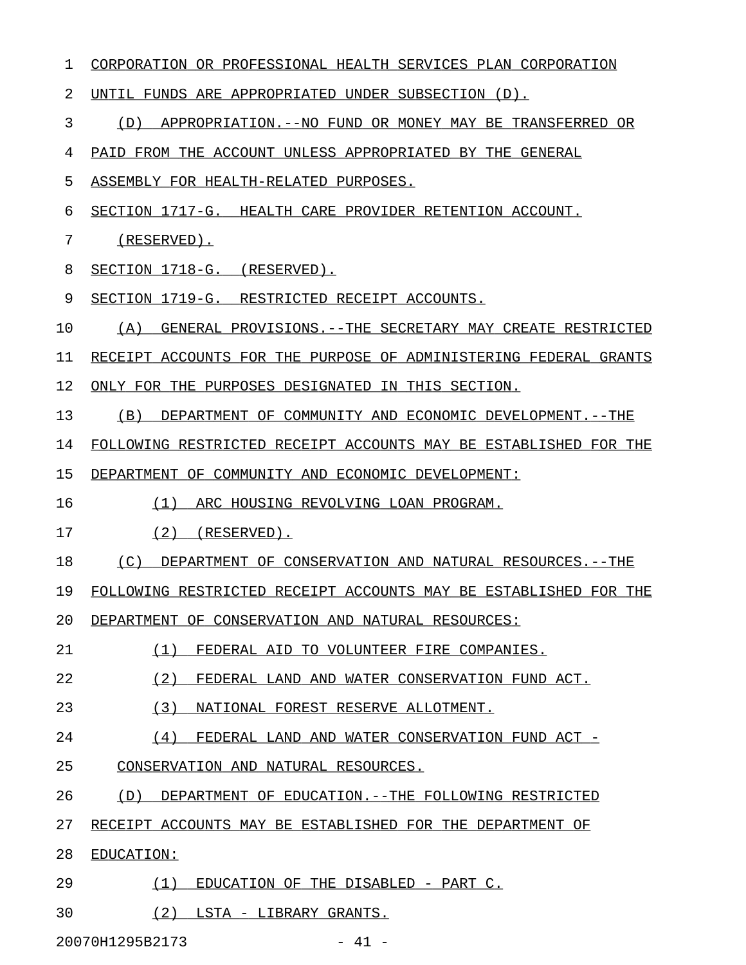| 1  | CORPORATION OR PROFESSIONAL HEALTH SERVICES PLAN CORPORATION      |
|----|-------------------------------------------------------------------|
| 2  | UNTIL FUNDS ARE APPROPRIATED UNDER SUBSECTION (D).                |
| 3  | (D)<br>APPROPRIATION.--NO FUND OR MONEY MAY BE TRANSFERRED OR     |
| 4  | PAID FROM THE ACCOUNT UNLESS APPROPRIATED BY THE GENERAL          |
| 5  | ASSEMBLY FOR HEALTH-RELATED PURPOSES.                             |
| 6  | SECTION 1717-G. HEALTH CARE PROVIDER RETENTION ACCOUNT.           |
| 7  | $(RESERVED)$ .                                                    |
| 8  | SECTION 1718-G. (RESERVED).                                       |
| 9  | SECTION 1719-G. RESTRICTED RECEIPT ACCOUNTS.                      |
| 10 | (A)<br>GENERAL PROVISIONS. -- THE SECRETARY MAY CREATE RESTRICTED |
| 11 | RECEIPT ACCOUNTS FOR THE PURPOSE OF ADMINISTERING FEDERAL GRANTS  |
| 12 | ONLY FOR THE PURPOSES DESIGNATED IN THIS SECTION.                 |
| 13 | (B)<br>DEPARTMENT OF COMMUNITY AND ECONOMIC DEVELOPMENT.--THE     |
| 14 | FOLLOWING RESTRICTED RECEIPT ACCOUNTS MAY BE ESTABLISHED FOR THE  |
| 15 | DEPARTMENT OF COMMUNITY AND ECONOMIC DEVELOPMENT:                 |
| 16 | (1)<br>ARC HOUSING REVOLVING LOAN PROGRAM.                        |
| 17 | (2)<br>(RESERVED).                                                |
| 18 | (C)<br>DEPARTMENT OF CONSERVATION AND NATURAL RESOURCES.--THE     |
| 19 | FOLLOWING RESTRICTED RECEIPT ACCOUNTS MAY BE ESTABLISHED FOR THE  |
| 20 | DEPARTMENT OF CONSERVATION AND NATURAL RESOURCES:                 |
| 21 | (1)<br>FEDERAL AID TO VOLUNTEER FIRE COMPANIES.                   |
| 22 | (2)<br>FEDERAL LAND AND WATER CONSERVATION FUND ACT.              |
| 23 | (3)<br>NATIONAL FOREST RESERVE ALLOTMENT.                         |
| 24 | (4)<br>FEDERAL LAND AND WATER CONSERVATION FUND ACT -             |
| 25 | CONSERVATION AND NATURAL RESOURCES.                               |
| 26 | (D)<br>DEPARTMENT OF EDUCATION. --THE FOLLOWING RESTRICTED        |
| 27 | RECEIPT ACCOUNTS MAY BE ESTABLISHED FOR THE DEPARTMENT OF         |
| 28 | EDUCATION:                                                        |
| 29 | (1)<br>EDUCATION OF THE DISABLED - PART C.                        |
| 30 | (2)<br>LSTA - LIBRARY GRANTS.                                     |
|    | 20070H1295B2173<br>$-41 -$                                        |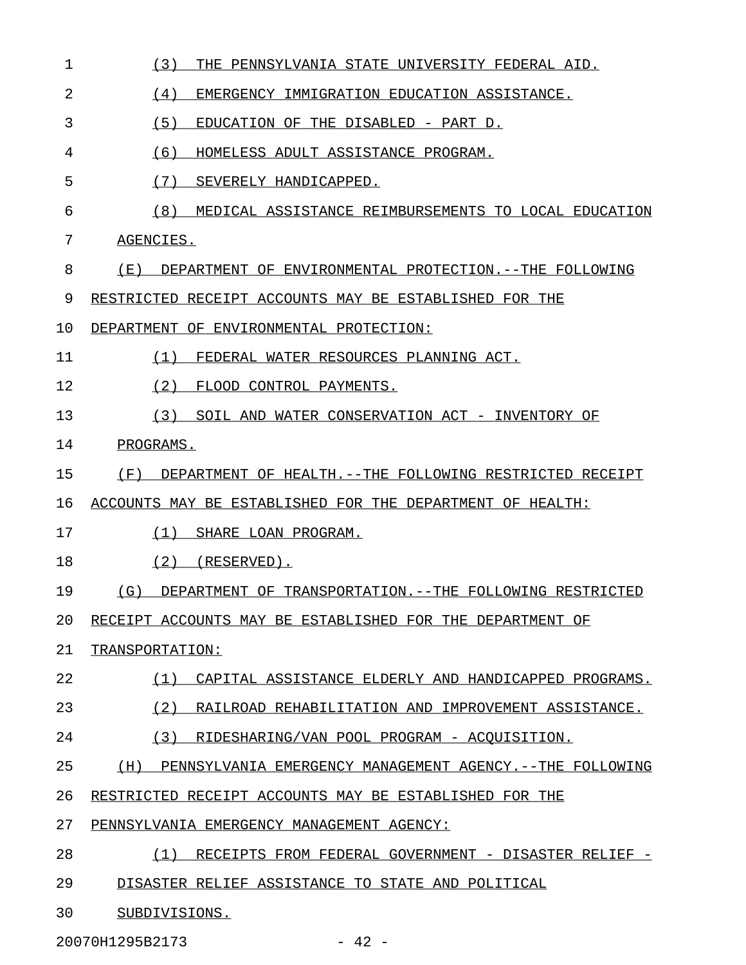| 1  | (3)<br>THE PENNSYLVANIA STATE UNIVERSITY FEDERAL AID.            |
|----|------------------------------------------------------------------|
| 2  | (4)<br>EMERGENCY IMMIGRATION EDUCATION ASSISTANCE.               |
| 3  | (5)<br>EDUCATION OF THE DISABLED - PART D.                       |
| 4  | (6)<br>HOMELESS ADULT ASSISTANCE PROGRAM.                        |
| 5  | (7)<br>SEVERELY HANDICAPPED.                                     |
| 6  | (8)<br>MEDICAL ASSISTANCE REIMBURSEMENTS TO LOCAL EDUCATION      |
| 7  | AGENCIES.                                                        |
| 8  | (E)<br>DEPARTMENT OF ENVIRONMENTAL PROTECTION. --THE FOLLOWING   |
| 9  | RESTRICTED RECEIPT ACCOUNTS MAY BE ESTABLISHED FOR THE           |
| 10 | DEPARTMENT OF ENVIRONMENTAL PROTECTION:                          |
| 11 | (1)<br>FEDERAL WATER RESOURCES PLANNING ACT.                     |
| 12 | (2)<br>FLOOD CONTROL PAYMENTS.                                   |
| 13 | (3)<br>SOIL AND WATER CONSERVATION ACT - INVENTORY OF            |
| 14 | PROGRAMS.                                                        |
| 15 | (F)<br>DEPARTMENT OF HEALTH. --THE FOLLOWING RESTRICTED RECEIPT  |
| 16 | ACCOUNTS MAY BE ESTABLISHED FOR THE DEPARTMENT OF HEALTH:        |
| 17 | (1)<br>SHARE LOAN PROGRAM.                                       |
| 18 | (2)<br>(RESERVED).                                               |
| 19 | (G)<br>DEPARTMENT OF TRANSPORTATION. --THE FOLLOWING RESTRICTED  |
| 20 | RECEIPT ACCOUNTS MAY BE ESTABLISHED FOR THE DEPARTMENT OF        |
| 21 | TRANSPORTATION:                                                  |
| 22 | CAPITAL ASSISTANCE ELDERLY AND HANDICAPPED PROGRAMS.<br>(1)      |
| 23 | (2)<br>RAILROAD REHABILITATION AND IMPROVEMENT ASSISTANCE.       |
| 24 | (3)<br>RIDESHARING/VAN POOL PROGRAM - ACQUISITION.               |
| 25 | (H)<br>PENNSYLVANIA EMERGENCY MANAGEMENT AGENCY. --THE FOLLOWING |
| 26 | RESTRICTED RECEIPT ACCOUNTS MAY BE ESTABLISHED FOR THE           |
| 27 | PENNSYLVANIA EMERGENCY MANAGEMENT AGENCY:                        |
| 28 | RECEIPTS FROM FEDERAL GOVERNMENT - DISASTER RELIEF -<br>(1)      |
| 29 | DISASTER RELIEF ASSISTANCE TO STATE AND POLITICAL                |
| 30 | SUBDIVISIONS.                                                    |

20070H1295B2173 - 42 -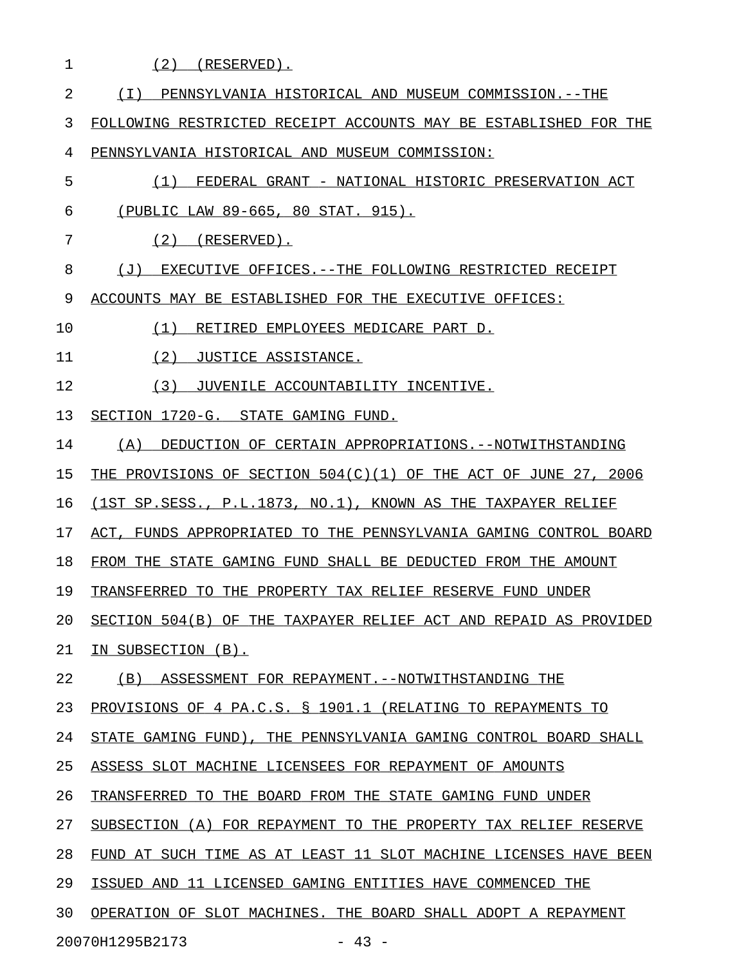1 (2) (RESERVED). 2 (I) PENNSYLVANIA HISTORICAL AND MUSEUM COMMISSION.--THE 3 FOLLOWING RESTRICTED RECEIPT ACCOUNTS MAY BE ESTABLISHED FOR THE 4 PENNSYLVANIA HISTORICAL AND MUSEUM COMMISSION: 5  $(1)$  FEDERAL GRANT - NATIONAL HISTORIC PRESERVATION ACT 6 (PUBLIC LAW 89-665, 80 STAT. 915). 7 (2) (RESERVED). 8 (J) EXECUTIVE OFFICES.--THE FOLLOWING RESTRICTED RECEIPT 9 ACCOUNTS MAY BE ESTABLISHED FOR THE EXECUTIVE OFFICES: 10  $(1)$  RETIRED EMPLOYEES MEDICARE PART D. 11 (2) JUSTICE ASSISTANCE. 12 (3) JUVENILE ACCOUNTABILITY INCENTIVE. 13 SECTION 1720-G. STATE GAMING FUND. 14 (A) DEDUCTION OF CERTAIN APPROPRIATIONS.--NOTWITHSTANDING 15 THE PROVISIONS OF SECTION 504(C)(1) OF THE ACT OF JUNE 27, 2006 16 (1ST SP.SESS., P.L.1873, NO.1), KNOWN AS THE TAXPAYER RELIEF 17 ACT, FUNDS APPROPRIATED TO THE PENNSYLVANIA GAMING CONTROL BOARD 18 FROM THE STATE GAMING FUND SHALL BE DEDUCTED FROM THE AMOUNT 19 TRANSFERRED TO THE PROPERTY TAX RELIEF RESERVE FUND UNDER 20 SECTION 504(B) OF THE TAXPAYER RELIEF ACT AND REPAID AS PROVIDED 21 IN SUBSECTION (B). 22 (B) ASSESSMENT FOR REPAYMENT. -- NOTWITHSTANDING THE 23 PROVISIONS OF 4 PA.C.S. § 1901.1 (RELATING TO REPAYMENTS TO 24 STATE GAMING FUND), THE PENNSYLVANIA GAMING CONTROL BOARD SHALL 25 ASSESS SLOT MACHINE LICENSEES FOR REPAYMENT OF AMOUNTS 26 TRANSFERRED TO THE BOARD FROM THE STATE GAMING FUND UNDER 27 SUBSECTION (A) FOR REPAYMENT TO THE PROPERTY TAX RELIEF RESERVE 28 FUND AT SUCH TIME AS AT LEAST 11 SLOT MACHINE LICENSES HAVE BEEN 29 ISSUED AND 11 LICENSED GAMING ENTITIES HAVE COMMENCED THE 30 OPERATION OF SLOT MACHINES. THE BOARD SHALL ADOPT A REPAYMENT

20070H1295B2173 - 43 -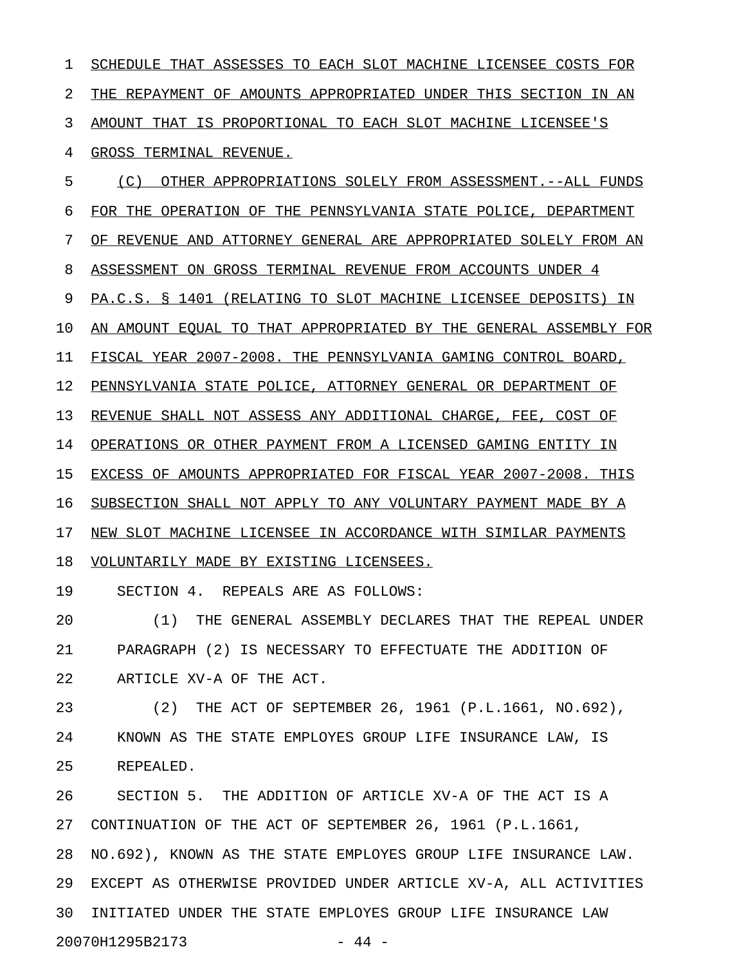1 SCHEDULE THAT ASSESSES TO EACH SLOT MACHINE LICENSEE COSTS FOR 2 THE REPAYMENT OF AMOUNTS APPROPRIATED UNDER THIS SECTION IN AN 3 AMOUNT THAT IS PROPORTIONAL TO EACH SLOT MACHINE LICENSEE'S 4 GROSS TERMINAL REVENUE. 5 (C) OTHER APPROPRIATIONS SOLELY FROM ASSESSMENT.--ALL FUNDS 6 FOR THE OPERATION OF THE PENNSYLVANIA STATE POLICE, DEPARTMENT 7 OF REVENUE AND ATTORNEY GENERAL ARE APPROPRIATED SOLELY FROM AN 8 ASSESSMENT ON GROSS TERMINAL REVENUE FROM ACCOUNTS UNDER 4 9 PA.C.S. § 1401 (RELATING TO SLOT MACHINE LICENSEE DEPOSITS) IN 10 AN AMOUNT EQUAL TO THAT APPROPRIATED BY THE GENERAL ASSEMBLY FOR 11 FISCAL YEAR 2007-2008. THE PENNSYLVANIA GAMING CONTROL BOARD, 12 PENNSYLVANIA STATE POLICE, ATTORNEY GENERAL OR DEPARTMENT OF 13 REVENUE SHALL NOT ASSESS ANY ADDITIONAL CHARGE, FEE, COST OF 14 OPERATIONS OR OTHER PAYMENT FROM A LICENSED GAMING ENTITY IN 15 EXCESS OF AMOUNTS APPROPRIATED FOR FISCAL YEAR 2007-2008. THIS 16 SUBSECTION SHALL NOT APPLY TO ANY VOLUNTARY PAYMENT MADE BY A 17 NEW SLOT MACHINE LICENSEE IN ACCORDANCE WITH SIMILAR PAYMENTS 18 VOLUNTARILY MADE BY EXISTING LICENSEES. 19 SECTION 4. REPEALS ARE AS FOLLOWS: 20 (1) THE GENERAL ASSEMBLY DECLARES THAT THE REPEAL UNDER 21 PARAGRAPH (2) IS NECESSARY TO EFFECTUATE THE ADDITION OF 22 ARTICLE XV-A OF THE ACT. 23 (2) THE ACT OF SEPTEMBER 26, 1961 (P.L.1661, NO.692), 24 KNOWN AS THE STATE EMPLOYES GROUP LIFE INSURANCE LAW, IS 25 REPEALED. 26 SECTION 5. THE ADDITION OF ARTICLE XV-A OF THE ACT IS A 27 CONTINUATION OF THE ACT OF SEPTEMBER 26, 1961 (P.L.1661, 28 NO.692), KNOWN AS THE STATE EMPLOYES GROUP LIFE INSURANCE LAW. 29 EXCEPT AS OTHERWISE PROVIDED UNDER ARTICLE XV-A, ALL ACTIVITIES 30 INITIATED UNDER THE STATE EMPLOYES GROUP LIFE INSURANCE LAW

20070H1295B2173 - 44 -